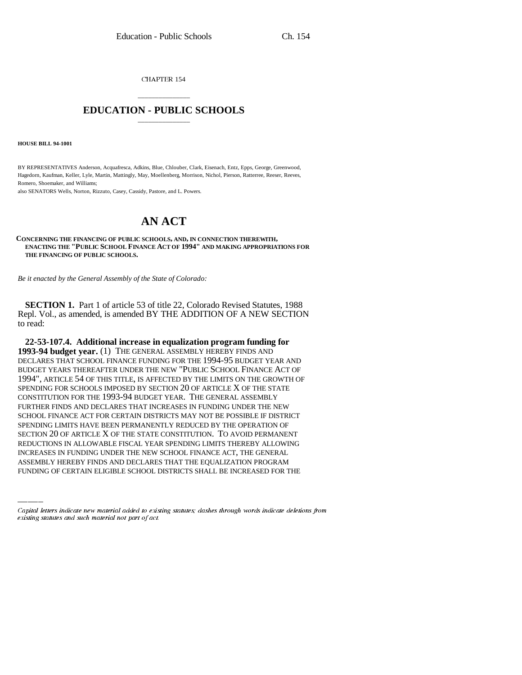CHAPTER 154

# \_\_\_\_\_\_\_\_\_\_\_\_\_\_\_ **EDUCATION - PUBLIC SCHOOLS** \_\_\_\_\_\_\_\_\_\_\_\_\_\_\_

**HOUSE BILL 94-1001**

BY REPRESENTATIVES Anderson, Acquafresca, Adkins, Blue, Chlouber, Clark, Eisenach, Entz, Epps, George, Greenwood, Hagedorn, Kaufman, Keller, Lyle, Martin, Mattingly, May, Moellenberg, Morrison, Nichol, Pierson, Ratterree, Reeser, Reeves, Romero, Shoemaker, and Williams;

also SENATORS Wells, Norton, Rizzuto, Casey, Cassidy, Pastore, and L. Powers.

# **AN ACT**

**CONCERNING THE FINANCING OF PUBLIC SCHOOLS, AND, IN CONNECTION THEREWITH, ENACTING THE "PUBLIC SCHOOL FINANCE ACT OF 1994" AND MAKING APPROPRIATIONS FOR THE FINANCING OF PUBLIC SCHOOLS.**

*Be it enacted by the General Assembly of the State of Colorado:*

**SECTION 1.** Part 1 of article 53 of title 22, Colorado Revised Statutes, 1988 Repl. Vol., as amended, is amended BY THE ADDITION OF A NEW SECTION to read:

SECTION ZU OF ARTICLE A OF THE STATE CONSTITUTION. I O AVOID PERMANENT<br>REDUCTIONS IN ALLOWABLE FISCAL YEAR SPENDING LIMITS THEREBY ALLOWING **22-53-107.4. Additional increase in equalization program funding for 1993-94 budget year.** (1) THE GENERAL ASSEMBLY HEREBY FINDS AND DECLARES THAT SCHOOL FINANCE FUNDING FOR THE 1994-95 BUDGET YEAR AND BUDGET YEARS THEREAFTER UNDER THE NEW "PUBLIC SCHOOL FINANCE ACT OF 1994", ARTICLE 54 OF THIS TITLE, IS AFFECTED BY THE LIMITS ON THE GROWTH OF SPENDING FOR SCHOOLS IMPOSED BY SECTION 20 OF ARTICLE X OF THE STATE CONSTITUTION FOR THE 1993-94 BUDGET YEAR. THE GENERAL ASSEMBLY FURTHER FINDS AND DECLARES THAT INCREASES IN FUNDING UNDER THE NEW SCHOOL FINANCE ACT FOR CERTAIN DISTRICTS MAY NOT BE POSSIBLE IF DISTRICT SPENDING LIMITS HAVE BEEN PERMANENTLY REDUCED BY THE OPERATION OF SECTION 20 OF ARTICLE X OF THE STATE CONSTITUTION. TO AVOID PERMANENT INCREASES IN FUNDING UNDER THE NEW SCHOOL FINANCE ACT, THE GENERAL ASSEMBLY HEREBY FINDS AND DECLARES THAT THE EQUALIZATION PROGRAM FUNDING OF CERTAIN ELIGIBLE SCHOOL DISTRICTS SHALL BE INCREASED FOR THE

Capital letters indicate new material added to existing statutes; dashes through words indicate deletions from existing statutes and such material not part of act.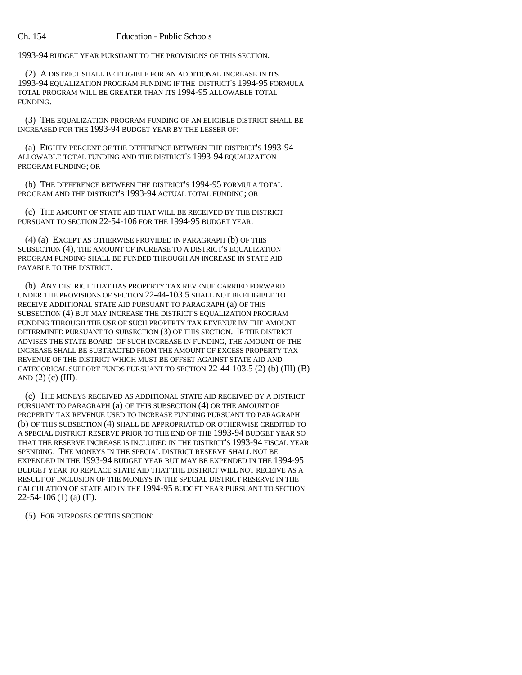1993-94 BUDGET YEAR PURSUANT TO THE PROVISIONS OF THIS SECTION.

(2) A DISTRICT SHALL BE ELIGIBLE FOR AN ADDITIONAL INCREASE IN ITS 1993-94 EQUALIZATION PROGRAM FUNDING IF THE DISTRICT'S 1994-95 FORMULA TOTAL PROGRAM WILL BE GREATER THAN ITS 1994-95 ALLOWABLE TOTAL FUNDING.

(3) THE EQUALIZATION PROGRAM FUNDING OF AN ELIGIBLE DISTRICT SHALL BE INCREASED FOR THE 1993-94 BUDGET YEAR BY THE LESSER OF:

(a) EIGHTY PERCENT OF THE DIFFERENCE BETWEEN THE DISTRICT'S 1993-94 ALLOWABLE TOTAL FUNDING AND THE DISTRICT'S 1993-94 EQUALIZATION PROGRAM FUNDING; OR

(b) THE DIFFERENCE BETWEEN THE DISTRICT'S 1994-95 FORMULA TOTAL PROGRAM AND THE DISTRICT'S 1993-94 ACTUAL TOTAL FUNDING; OR

(c) THE AMOUNT OF STATE AID THAT WILL BE RECEIVED BY THE DISTRICT PURSUANT TO SECTION 22-54-106 FOR THE 1994-95 BUDGET YEAR.

(4) (a) EXCEPT AS OTHERWISE PROVIDED IN PARAGRAPH (b) OF THIS SUBSECTION (4), THE AMOUNT OF INCREASE TO A DISTRICT'S EQUALIZATION PROGRAM FUNDING SHALL BE FUNDED THROUGH AN INCREASE IN STATE AID PAYABLE TO THE DISTRICT.

(b) ANY DISTRICT THAT HAS PROPERTY TAX REVENUE CARRIED FORWARD UNDER THE PROVISIONS OF SECTION 22-44-103.5 SHALL NOT BE ELIGIBLE TO RECEIVE ADDITIONAL STATE AID PURSUANT TO PARAGRAPH (a) OF THIS SUBSECTION (4) BUT MAY INCREASE THE DISTRICT'S EQUALIZATION PROGRAM FUNDING THROUGH THE USE OF SUCH PROPERTY TAX REVENUE BY THE AMOUNT DETERMINED PURSUANT TO SUBSECTION (3) OF THIS SECTION. IF THE DISTRICT ADVISES THE STATE BOARD OF SUCH INCREASE IN FUNDING, THE AMOUNT OF THE INCREASE SHALL BE SUBTRACTED FROM THE AMOUNT OF EXCESS PROPERTY TAX REVENUE OF THE DISTRICT WHICH MUST BE OFFSET AGAINST STATE AID AND CATEGORICAL SUPPORT FUNDS PURSUANT TO SECTION 22-44-103.5 (2) (b) (III) (B) AND  $(2)$   $(c)$   $(III)$ .

(c) THE MONEYS RECEIVED AS ADDITIONAL STATE AID RECEIVED BY A DISTRICT PURSUANT TO PARAGRAPH (a) OF THIS SUBSECTION (4) OR THE AMOUNT OF PROPERTY TAX REVENUE USED TO INCREASE FUNDING PURSUANT TO PARAGRAPH (b) OF THIS SUBSECTION (4) SHALL BE APPROPRIATED OR OTHERWISE CREDITED TO A SPECIAL DISTRICT RESERVE PRIOR TO THE END OF THE 1993-94 BUDGET YEAR SO THAT THE RESERVE INCREASE IS INCLUDED IN THE DISTRICT'S 1993-94 FISCAL YEAR SPENDING. THE MONEYS IN THE SPECIAL DISTRICT RESERVE SHALL NOT BE EXPENDED IN THE 1993-94 BUDGET YEAR BUT MAY BE EXPENDED IN THE 1994-95 BUDGET YEAR TO REPLACE STATE AID THAT THE DISTRICT WILL NOT RECEIVE AS A RESULT OF INCLUSION OF THE MONEYS IN THE SPECIAL DISTRICT RESERVE IN THE CALCULATION OF STATE AID IN THE 1994-95 BUDGET YEAR PURSUANT TO SECTION  $22-54-106$  (1) (a) (II).

(5) FOR PURPOSES OF THIS SECTION: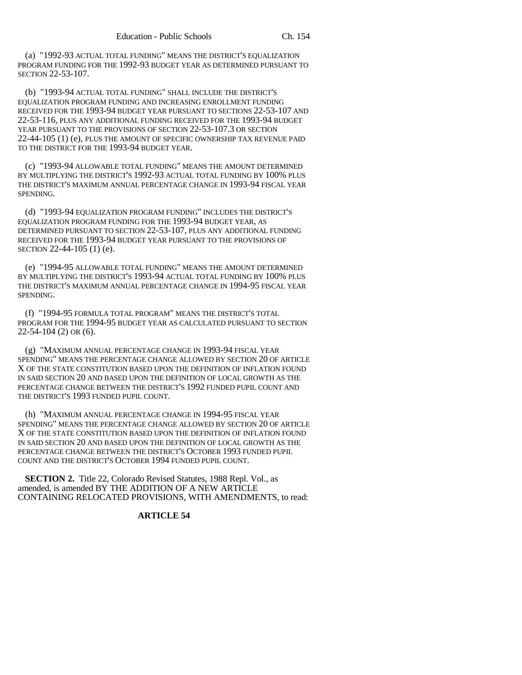(a) "1992-93 ACTUAL TOTAL FUNDING" MEANS THE DISTRICT'S EQUALIZATION PROGRAM FUNDING FOR THE 1992-93 BUDGET YEAR AS DETERMINED PURSUANT TO SECTION 22-53-107.

(b) "1993-94 ACTUAL TOTAL FUNDING" SHALL INCLUDE THE DISTRICT'S EQUALIZATION PROGRAM FUNDING AND INCREASING ENROLLMENT FUNDING RECEIVED FOR THE 1993-94 BUDGET YEAR PURSUANT TO SECTIONS 22-53-107 AND 22-53-116, PLUS ANY ADDITIONAL FUNDING RECEIVED FOR THE 1993-94 BUDGET YEAR PURSUANT TO THE PROVISIONS OF SECTION 22-53-107.3 OR SECTION 22-44-105 (1) (e), PLUS THE AMOUNT OF SPECIFIC OWNERSHIP TAX REVENUE PAID TO THE DISTRICT FOR THE 1993-94 BUDGET YEAR.

(c) "1993-94 ALLOWABLE TOTAL FUNDING" MEANS THE AMOUNT DETERMINED BY MULTIPLYING THE DISTRICT'S 1992-93 ACTUAL TOTAL FUNDING BY 100% PLUS THE DISTRICT'S MAXIMUM ANNUAL PERCENTAGE CHANGE IN 1993-94 FISCAL YEAR SPENDING.

(d) "1993-94 EQUALIZATION PROGRAM FUNDING" INCLUDES THE DISTRICT'S EQUALIZATION PROGRAM FUNDING FOR THE 1993-94 BUDGET YEAR, AS DETERMINED PURSUANT TO SECTION 22-53-107, PLUS ANY ADDITIONAL FUNDING RECEIVED FOR THE 1993-94 BUDGET YEAR PURSUANT TO THE PROVISIONS OF SECTION 22-44-105 (1) (e).

(e) "1994-95 ALLOWABLE TOTAL FUNDING" MEANS THE AMOUNT DETERMINED BY MULTIPLYING THE DISTRICT'S 1993-94 ACTUAL TOTAL FUNDING BY 100% PLUS THE DISTRICT'S MAXIMUM ANNUAL PERCENTAGE CHANGE IN 1994-95 FISCAL YEAR SPENDING.

(f) "1994-95 FORMULA TOTAL PROGRAM" MEANS THE DISTRICT'S TOTAL PROGRAM FOR THE 1994-95 BUDGET YEAR AS CALCULATED PURSUANT TO SECTION 22-54-104 (2) OR (6).

(g) "MAXIMUM ANNUAL PERCENTAGE CHANGE IN 1993-94 FISCAL YEAR SPENDING" MEANS THE PERCENTAGE CHANGE ALLOWED BY SECTION 20 OF ARTICLE X OF THE STATE CONSTITUTION BASED UPON THE DEFINITION OF INFLATION FOUND IN SAID SECTION 20 AND BASED UPON THE DEFINITION OF LOCAL GROWTH AS THE PERCENTAGE CHANGE BETWEEN THE DISTRICT'S 1992 FUNDED PUPIL COUNT AND THE DISTRICT'S 1993 FUNDED PUPIL COUNT.

(h) "MAXIMUM ANNUAL PERCENTAGE CHANGE IN 1994-95 FISCAL YEAR SPENDING" MEANS THE PERCENTAGE CHANGE ALLOWED BY SECTION 20 OF ARTICLE X OF THE STATE CONSTITUTION BASED UPON THE DEFINITION OF INFLATION FOUND IN SAID SECTION 20 AND BASED UPON THE DEFINITION OF LOCAL GROWTH AS THE PERCENTAGE CHANGE BETWEEN THE DISTRICT'S OCTOBER 1993 FUNDED PUPIL COUNT AND THE DISTRICT'S OCTOBER 1994 FUNDED PUPIL COUNT.

**SECTION 2.** Title 22, Colorado Revised Statutes, 1988 Repl. Vol., as amended, is amended BY THE ADDITION OF A NEW ARTICLE CONTAINING RELOCATED PROVISIONS, WITH AMENDMENTS, to read:

# **ARTICLE 54**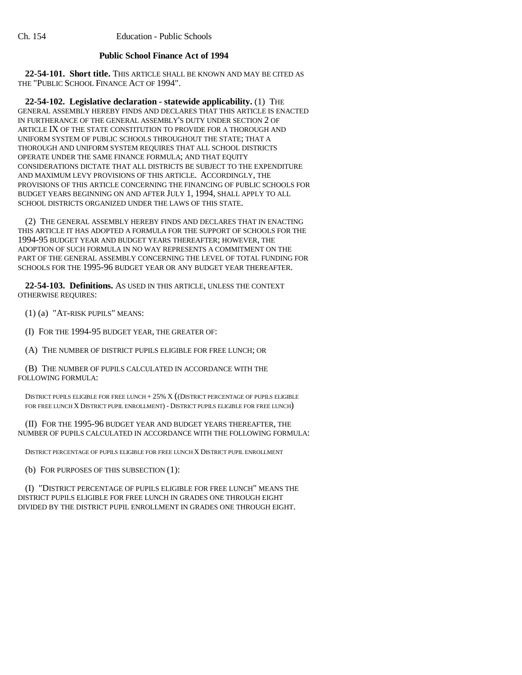# **Public School Finance Act of 1994**

**22-54-101. Short title.** THIS ARTICLE SHALL BE KNOWN AND MAY BE CITED AS THE "PUBLIC SCHOOL FINANCE ACT OF 1994".

**22-54-102. Legislative declaration - statewide applicability.** (1) THE GENERAL ASSEMBLY HEREBY FINDS AND DECLARES THAT THIS ARTICLE IS ENACTED IN FURTHERANCE OF THE GENERAL ASSEMBLY'S DUTY UNDER SECTION 2 OF ARTICLE IX OF THE STATE CONSTITUTION TO PROVIDE FOR A THOROUGH AND UNIFORM SYSTEM OF PUBLIC SCHOOLS THROUGHOUT THE STATE; THAT A THOROUGH AND UNIFORM SYSTEM REQUIRES THAT ALL SCHOOL DISTRICTS OPERATE UNDER THE SAME FINANCE FORMULA; AND THAT EQUITY CONSIDERATIONS DICTATE THAT ALL DISTRICTS BE SUBJECT TO THE EXPENDITURE AND MAXIMUM LEVY PROVISIONS OF THIS ARTICLE. ACCORDINGLY, THE PROVISIONS OF THIS ARTICLE CONCERNING THE FINANCING OF PUBLIC SCHOOLS FOR BUDGET YEARS BEGINNING ON AND AFTER JULY 1, 1994, SHALL APPLY TO ALL SCHOOL DISTRICTS ORGANIZED UNDER THE LAWS OF THIS STATE.

(2) THE GENERAL ASSEMBLY HEREBY FINDS AND DECLARES THAT IN ENACTING THIS ARTICLE IT HAS ADOPTED A FORMULA FOR THE SUPPORT OF SCHOOLS FOR THE 1994-95 BUDGET YEAR AND BUDGET YEARS THEREAFTER; HOWEVER, THE ADOPTION OF SUCH FORMULA IN NO WAY REPRESENTS A COMMITMENT ON THE PART OF THE GENERAL ASSEMBLY CONCERNING THE LEVEL OF TOTAL FUNDING FOR SCHOOLS FOR THE 1995-96 BUDGET YEAR OR ANY BUDGET YEAR THEREAFTER.

**22-54-103. Definitions.** AS USED IN THIS ARTICLE, UNLESS THE CONTEXT OTHERWISE REQUIRES:

(1) (a) "AT-RISK PUPILS" MEANS:

(I) FOR THE 1994-95 BUDGET YEAR, THE GREATER OF:

(A) THE NUMBER OF DISTRICT PUPILS ELIGIBLE FOR FREE LUNCH; OR

(B) THE NUMBER OF PUPILS CALCULATED IN ACCORDANCE WITH THE FOLLOWING FORMULA:

DISTRICT PUPILS ELIGIBLE FOR FREE LUNCH + 25% X ((DISTRICT PERCENTAGE OF PUPILS ELIGIBLE FOR FREE LUNCH X DISTRICT PUPIL ENROLLMENT) - DISTRICT PUPILS ELIGIBLE FOR FREE LUNCH)

(II) FOR THE 1995-96 BUDGET YEAR AND BUDGET YEARS THEREAFTER, THE NUMBER OF PUPILS CALCULATED IN ACCORDANCE WITH THE FOLLOWING FORMULA:

DISTRICT PERCENTAGE OF PUPILS ELIGIBLE FOR FREE LUNCH X DISTRICT PUPIL ENROLLMENT

(b) FOR PURPOSES OF THIS SUBSECTION (1):

(I) "DISTRICT PERCENTAGE OF PUPILS ELIGIBLE FOR FREE LUNCH" MEANS THE DISTRICT PUPILS ELIGIBLE FOR FREE LUNCH IN GRADES ONE THROUGH EIGHT DIVIDED BY THE DISTRICT PUPIL ENROLLMENT IN GRADES ONE THROUGH EIGHT.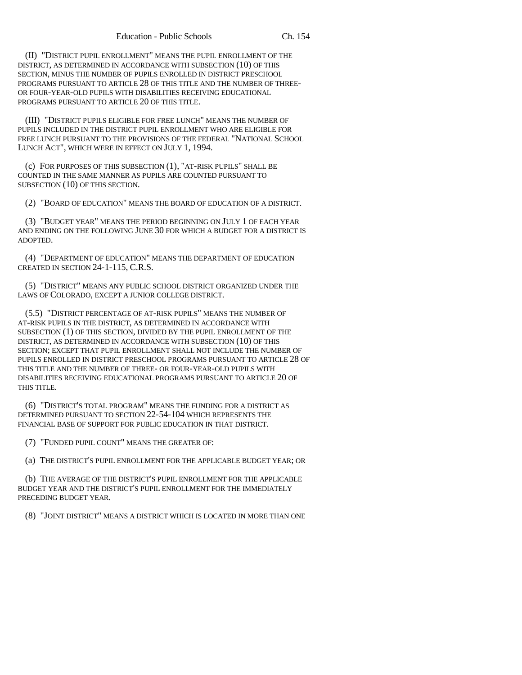(II) "DISTRICT PUPIL ENROLLMENT" MEANS THE PUPIL ENROLLMENT OF THE DISTRICT, AS DETERMINED IN ACCORDANCE WITH SUBSECTION (10) OF THIS SECTION, MINUS THE NUMBER OF PUPILS ENROLLED IN DISTRICT PRESCHOOL PROGRAMS PURSUANT TO ARTICLE 28 OF THIS TITLE AND THE NUMBER OF THREE-OR FOUR-YEAR-OLD PUPILS WITH DISABILITIES RECEIVING EDUCATIONAL PROGRAMS PURSUANT TO ARTICLE 20 OF THIS TITLE.

(III) "DISTRICT PUPILS ELIGIBLE FOR FREE LUNCH" MEANS THE NUMBER OF PUPILS INCLUDED IN THE DISTRICT PUPIL ENROLLMENT WHO ARE ELIGIBLE FOR FREE LUNCH PURSUANT TO THE PROVISIONS OF THE FEDERAL "NATIONAL SCHOOL LUNCH ACT", WHICH WERE IN EFFECT ON JULY 1, 1994.

(c) FOR PURPOSES OF THIS SUBSECTION (1), "AT-RISK PUPILS" SHALL BE COUNTED IN THE SAME MANNER AS PUPILS ARE COUNTED PURSUANT TO SUBSECTION (10) OF THIS SECTION.

(2) "BOARD OF EDUCATION" MEANS THE BOARD OF EDUCATION OF A DISTRICT.

(3) "BUDGET YEAR" MEANS THE PERIOD BEGINNING ON JULY 1 OF EACH YEAR AND ENDING ON THE FOLLOWING JUNE 30 FOR WHICH A BUDGET FOR A DISTRICT IS ADOPTED.

(4) "DEPARTMENT OF EDUCATION" MEANS THE DEPARTMENT OF EDUCATION CREATED IN SECTION 24-1-115, C.R.S.

(5) "DISTRICT" MEANS ANY PUBLIC SCHOOL DISTRICT ORGANIZED UNDER THE LAWS OF COLORADO, EXCEPT A JUNIOR COLLEGE DISTRICT.

(5.5) "DISTRICT PERCENTAGE OF AT-RISK PUPILS" MEANS THE NUMBER OF AT-RISK PUPILS IN THE DISTRICT, AS DETERMINED IN ACCORDANCE WITH SUBSECTION (1) OF THIS SECTION, DIVIDED BY THE PUPIL ENROLLMENT OF THE DISTRICT, AS DETERMINED IN ACCORDANCE WITH SUBSECTION (10) OF THIS SECTION; EXCEPT THAT PUPIL ENROLLMENT SHALL NOT INCLUDE THE NUMBER OF PUPILS ENROLLED IN DISTRICT PRESCHOOL PROGRAMS PURSUANT TO ARTICLE 28 OF THIS TITLE AND THE NUMBER OF THREE- OR FOUR-YEAR-OLD PUPILS WITH DISABILITIES RECEIVING EDUCATIONAL PROGRAMS PURSUANT TO ARTICLE 20 OF THIS TITLE.

(6) "DISTRICT'S TOTAL PROGRAM" MEANS THE FUNDING FOR A DISTRICT AS DETERMINED PURSUANT TO SECTION 22-54-104 WHICH REPRESENTS THE FINANCIAL BASE OF SUPPORT FOR PUBLIC EDUCATION IN THAT DISTRICT.

(7) "FUNDED PUPIL COUNT" MEANS THE GREATER OF:

(a) THE DISTRICT'S PUPIL ENROLLMENT FOR THE APPLICABLE BUDGET YEAR; OR

(b) THE AVERAGE OF THE DISTRICT'S PUPIL ENROLLMENT FOR THE APPLICABLE BUDGET YEAR AND THE DISTRICT'S PUPIL ENROLLMENT FOR THE IMMEDIATELY PRECEDING BUDGET YEAR.

(8) "JOINT DISTRICT" MEANS A DISTRICT WHICH IS LOCATED IN MORE THAN ONE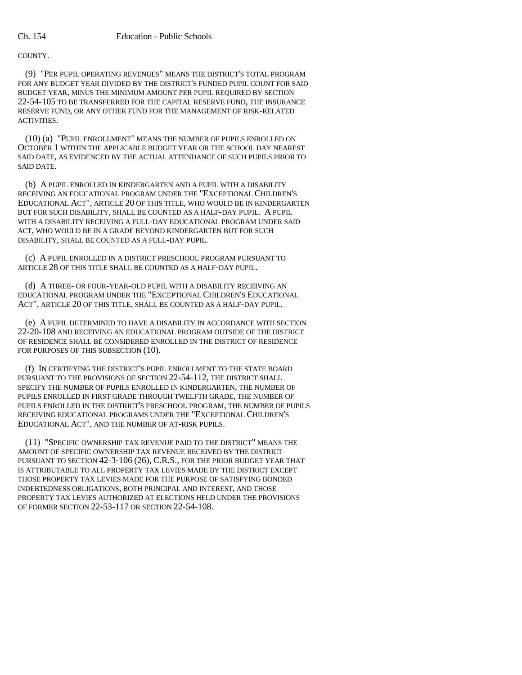### COUNTY.

(9) "PER PUPIL OPERATING REVENUES" MEANS THE DISTRICT'S TOTAL PROGRAM FOR ANY BUDGET YEAR DIVIDED BY THE DISTRICT'S FUNDED PUPIL COUNT FOR SAID BUDGET YEAR, MINUS THE MINIMUM AMOUNT PER PUPIL REQUIRED BY SECTION 22-54-105 TO BE TRANSFERRED FOR THE CAPITAL RESERVE FUND, THE INSURANCE RESERVE FUND, OR ANY OTHER FUND FOR THE MANAGEMENT OF RISK-RELATED **ACTIVITIES** 

(10) (a) "PUPIL ENROLLMENT" MEANS THE NUMBER OF PUPILS ENROLLED ON OCTOBER 1 WITHIN THE APPLICABLE BUDGET YEAR OR THE SCHOOL DAY NEAREST SAID DATE, AS EVIDENCED BY THE ACTUAL ATTENDANCE OF SUCH PUPILS PRIOR TO SAID DATE.

(b) A PUPIL ENROLLED IN KINDERGARTEN AND A PUPIL WITH A DISABILITY RECEIVING AN EDUCATIONAL PROGRAM UNDER THE "EXCEPTIONAL CHILDREN'S EDUCATIONAL ACT", ARTICLE 20 OF THIS TITLE, WHO WOULD BE IN KINDERGARTEN BUT FOR SUCH DISABILITY, SHALL BE COUNTED AS A HALF-DAY PUPIL. A PUPIL WITH A DISABILITY RECEIVING A FULL-DAY EDUCATIONAL PROGRAM UNDER SAID ACT, WHO WOULD BE IN A GRADE BEYOND KINDERGARTEN BUT FOR SUCH DISABILITY, SHALL BE COUNTED AS A FULL-DAY PUPIL.

(c) A PUPIL ENROLLED IN A DISTRICT PRESCHOOL PROGRAM PURSUANT TO ARTICLE 28 OF THIS TITLE SHALL BE COUNTED AS A HALF-DAY PUPIL.

(d) A THREE- OR FOUR-YEAR-OLD PUPIL WITH A DISABILITY RECEIVING AN EDUCATIONAL PROGRAM UNDER THE "EXCEPTIONAL CHILDREN'S EDUCATIONAL ACT", ARTICLE 20 OF THIS TITLE, SHALL BE COUNTED AS A HALF-DAY PUPIL.

(e) A PUPIL DETERMINED TO HAVE A DISABILITY IN ACCORDANCE WITH SECTION 22-20-108 AND RECEIVING AN EDUCATIONAL PROGRAM OUTSIDE OF THE DISTRICT OF RESIDENCE SHALL BE CONSIDERED ENROLLED IN THE DISTRICT OF RESIDENCE FOR PURPOSES OF THIS SUBSECTION (10).

(f) IN CERTIFYING THE DISTRICT'S PUPIL ENROLLMENT TO THE STATE BOARD PURSUANT TO THE PROVISIONS OF SECTION 22-54-112, THE DISTRICT SHALL SPECIFY THE NUMBER OF PUPILS ENROLLED IN KINDERGARTEN, THE NUMBER OF PUPILS ENROLLED IN FIRST GRADE THROUGH TWELFTH GRADE, THE NUMBER OF PUPILS ENROLLED IN THE DISTRICT'S PRESCHOOL PROGRAM, THE NUMBER OF PUPILS RECEIVING EDUCATIONAL PROGRAMS UNDER THE "EXCEPTIONAL CHILDREN'S EDUCATIONAL ACT", AND THE NUMBER OF AT-RISK PUPILS.

(11) "SPECIFIC OWNERSHIP TAX REVENUE PAID TO THE DISTRICT" MEANS THE AMOUNT OF SPECIFIC OWNERSHIP TAX REVENUE RECEIVED BY THE DISTRICT PURSUANT TO SECTION 42-3-106 (26), C.R.S., FOR THE PRIOR BUDGET YEAR THAT IS ATTRIBUTABLE TO ALL PROPERTY TAX LEVIES MADE BY THE DISTRICT EXCEPT THOSE PROPERTY TAX LEVIES MADE FOR THE PURPOSE OF SATISFYING BONDED INDEBTEDNESS OBLIGATIONS, BOTH PRINCIPAL AND INTEREST, AND THOSE PROPERTY TAX LEVIES AUTHORIZED AT ELECTIONS HELD UNDER THE PROVISIONS OF FORMER SECTION 22-53-117 OR SECTION 22-54-108.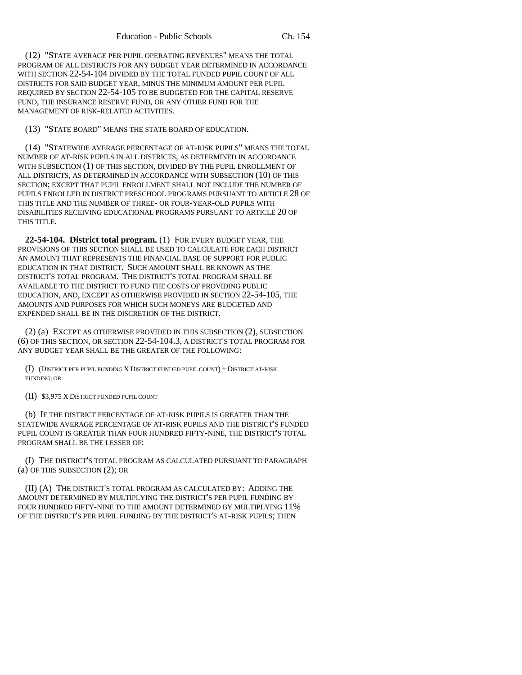(12) "STATE AVERAGE PER PUPIL OPERATING REVENUES" MEANS THE TOTAL PROGRAM OF ALL DISTRICTS FOR ANY BUDGET YEAR DETERMINED IN ACCORDANCE WITH SECTION 22-54-104 DIVIDED BY THE TOTAL FUNDED PUPIL COUNT OF ALL DISTRICTS FOR SAID BUDGET YEAR, MINUS THE MINIMUM AMOUNT PER PUPIL REQUIRED BY SECTION 22-54-105 TO BE BUDGETED FOR THE CAPITAL RESERVE FUND, THE INSURANCE RESERVE FUND, OR ANY OTHER FUND FOR THE MANAGEMENT OF RISK-RELATED ACTIVITIES.

(13) "STATE BOARD" MEANS THE STATE BOARD OF EDUCATION.

(14) "STATEWIDE AVERAGE PERCENTAGE OF AT-RISK PUPILS" MEANS THE TOTAL NUMBER OF AT-RISK PUPILS IN ALL DISTRICTS, AS DETERMINED IN ACCORDANCE WITH SUBSECTION (1) OF THIS SECTION, DIVIDED BY THE PUPIL ENROLLMENT OF ALL DISTRICTS, AS DETERMINED IN ACCORDANCE WITH SUBSECTION (10) OF THIS SECTION; EXCEPT THAT PUPIL ENROLLMENT SHALL NOT INCLUDE THE NUMBER OF PUPILS ENROLLED IN DISTRICT PRESCHOOL PROGRAMS PURSUANT TO ARTICLE 28 OF THIS TITLE AND THE NUMBER OF THREE- OR FOUR-YEAR-OLD PUPILS WITH DISABILITIES RECEIVING EDUCATIONAL PROGRAMS PURSUANT TO ARTICLE 20 OF THIS TITLE.

**22-54-104. District total program.** (1) FOR EVERY BUDGET YEAR, THE PROVISIONS OF THIS SECTION SHALL BE USED TO CALCULATE FOR EACH DISTRICT AN AMOUNT THAT REPRESENTS THE FINANCIAL BASE OF SUPPORT FOR PUBLIC EDUCATION IN THAT DISTRICT. SUCH AMOUNT SHALL BE KNOWN AS THE DISTRICT'S TOTAL PROGRAM. THE DISTRICT'S TOTAL PROGRAM SHALL BE AVAILABLE TO THE DISTRICT TO FUND THE COSTS OF PROVIDING PUBLIC EDUCATION, AND, EXCEPT AS OTHERWISE PROVIDED IN SECTION 22-54-105, THE AMOUNTS AND PURPOSES FOR WHICH SUCH MONEYS ARE BUDGETED AND EXPENDED SHALL BE IN THE DISCRETION OF THE DISTRICT.

(2) (a) EXCEPT AS OTHERWISE PROVIDED IN THIS SUBSECTION (2), SUBSECTION (6) OF THIS SECTION, OR SECTION 22-54-104.3, A DISTRICT'S TOTAL PROGRAM FOR ANY BUDGET YEAR SHALL BE THE GREATER OF THE FOLLOWING:

(I) (DISTRICT PER PUPIL FUNDING X DISTRICT FUNDED PUPIL COUNT) + DISTRICT AT-RISK FUNDING; OR

(II) \$3,975 X DISTRICT FUNDED PUPIL COUNT

(b) IF THE DISTRICT PERCENTAGE OF AT-RISK PUPILS IS GREATER THAN THE STATEWIDE AVERAGE PERCENTAGE OF AT-RISK PUPILS AND THE DISTRICT'S FUNDED PUPIL COUNT IS GREATER THAN FOUR HUNDRED FIFTY-NINE, THE DISTRICT'S TOTAL PROGRAM SHALL BE THE LESSER OF:

(I) THE DISTRICT'S TOTAL PROGRAM AS CALCULATED PURSUANT TO PARAGRAPH (a) OF THIS SUBSECTION (2); OR

(II) (A) THE DISTRICT'S TOTAL PROGRAM AS CALCULATED BY: ADDING THE AMOUNT DETERMINED BY MULTIPLYING THE DISTRICT'S PER PUPIL FUNDING BY FOUR HUNDRED FIFTY-NINE TO THE AMOUNT DETERMINED BY MULTIPLYING  $11\%$ OF THE DISTRICT'S PER PUPIL FUNDING BY THE DISTRICT'S AT-RISK PUPILS; THEN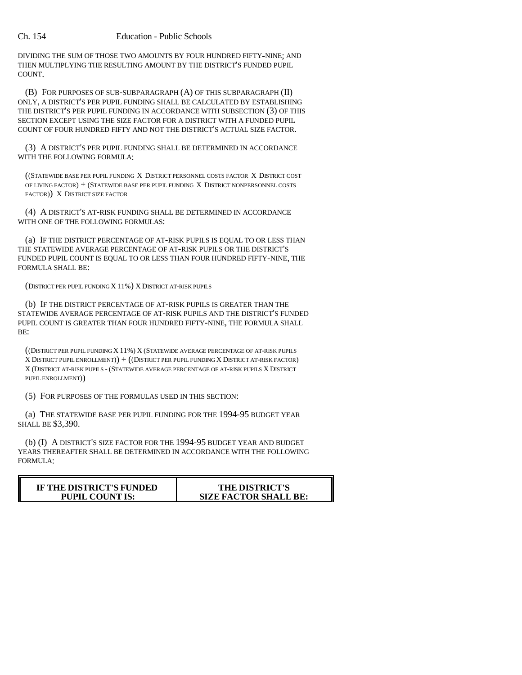# Ch. 154 Education - Public Schools

DIVIDING THE SUM OF THOSE TWO AMOUNTS BY FOUR HUNDRED FIFTY-NINE; AND THEN MULTIPLYING THE RESULTING AMOUNT BY THE DISTRICT'S FUNDED PUPIL COUNT.

(B) FOR PURPOSES OF SUB-SUBPARAGRAPH (A) OF THIS SUBPARAGRAPH (II) ONLY, A DISTRICT'S PER PUPIL FUNDING SHALL BE CALCULATED BY ESTABLISHING THE DISTRICT'S PER PUPIL FUNDING IN ACCORDANCE WITH SUBSECTION (3) OF THIS SECTION EXCEPT USING THE SIZE FACTOR FOR A DISTRICT WITH A FUNDED PUPIL COUNT OF FOUR HUNDRED FIFTY AND NOT THE DISTRICT'S ACTUAL SIZE FACTOR.

(3) A DISTRICT'S PER PUPIL FUNDING SHALL BE DETERMINED IN ACCORDANCE WITH THE FOLLOWING FORMULA:

((STATEWIDE BASE PER PUPIL FUNDING X DISTRICT PERSONNEL COSTS FACTOR X DISTRICT COST OF LIVING FACTOR) + (STATEWIDE BASE PER PUPIL FUNDING X DISTRICT NONPERSONNEL COSTS FACTOR)) X DISTRICT SIZE FACTOR

(4) A DISTRICT'S AT-RISK FUNDING SHALL BE DETERMINED IN ACCORDANCE WITH ONE OF THE FOLLOWING FORMULAS:

(a) IF THE DISTRICT PERCENTAGE OF AT-RISK PUPILS IS EQUAL TO OR LESS THAN THE STATEWIDE AVERAGE PERCENTAGE OF AT-RISK PUPILS OR THE DISTRICT'S FUNDED PUPIL COUNT IS EQUAL TO OR LESS THAN FOUR HUNDRED FIFTY-NINE, THE FORMULA SHALL BE:

(DISTRICT PER PUPIL FUNDING X 11%) X DISTRICT AT-RISK PUPILS

(b) IF THE DISTRICT PERCENTAGE OF AT-RISK PUPILS IS GREATER THAN THE STATEWIDE AVERAGE PERCENTAGE OF AT-RISK PUPILS AND THE DISTRICT'S FUNDED PUPIL COUNT IS GREATER THAN FOUR HUNDRED FIFTY-NINE, THE FORMULA SHALL BE:

((DISTRICT PER PUPIL FUNDING X 11%) X (STATEWIDE AVERAGE PERCENTAGE OF AT-RISK PUPILS X DISTRICT PUPIL ENROLLMENT)  $+$  ((DISTRICT PER PUPIL FUNDING X DISTRICT AT-RISK FACTOR) X (DISTRICT AT-RISK PUPILS - (STATEWIDE AVERAGE PERCENTAGE OF AT-RISK PUPILS X DISTRICT PUPIL ENROLLMENT))

(5) FOR PURPOSES OF THE FORMULAS USED IN THIS SECTION:

(a) THE STATEWIDE BASE PER PUPIL FUNDING FOR THE 1994-95 BUDGET YEAR SHALL BE \$3,390.

(b) (I) A DISTRICT'S SIZE FACTOR FOR THE 1994-95 BUDGET YEAR AND BUDGET YEARS THEREAFTER SHALL BE DETERMINED IN ACCORDANCE WITH THE FOLLOWING FORMULA:

| IF THE DISTRICT'S FUNDED | <b>THE DISTRICT'S</b>        |
|--------------------------|------------------------------|
| <b>PUPIL COUNT IS:</b>   | <b>SIZE FACTOR SHALL BE:</b> |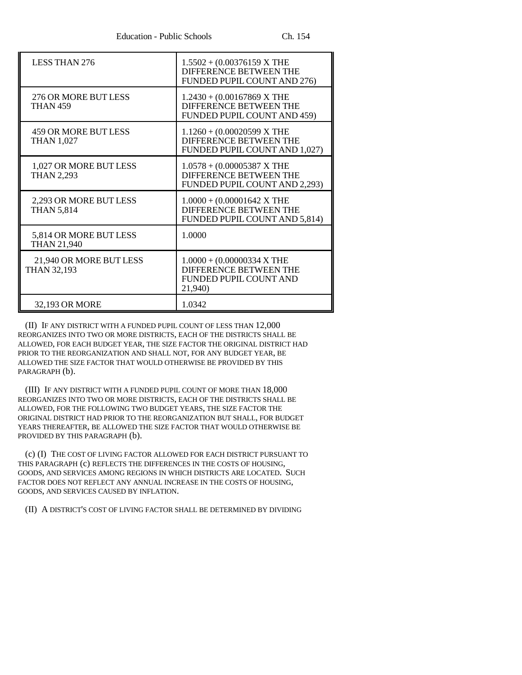| <b>LESS THAN 276</b>                          | $1.5502 + (0.00376159 X THE$<br><b>DIFFERENCE BETWEEN THE</b><br>FUNDED PUPIL COUNT AND 276)        |
|-----------------------------------------------|-----------------------------------------------------------------------------------------------------|
| 276 OR MORE BUT LESS<br><b>THAN 459</b>       | $1.2430 + (0.00167869 X THE$<br><b>DIFFERENCE BETWEEN THE</b><br>FUNDED PUPIL COUNT AND 459)        |
| 459 OR MORE BUT LESS<br><b>THAN 1,027</b>     | $1.1260 + (0.00020599 X THE$<br>DIFFERENCE BETWEEN THE<br>FUNDED PUPIL COUNT AND 1,027)             |
| 1,027 OR MORE BUT LESS<br><b>THAN 2,293</b>   | $1.0578 + (0.00005387 X THE$<br><b>DIFFERENCE BETWEEN THE</b><br>FUNDED PUPIL COUNT AND 2,293)      |
| 2,293 OR MORE BUT LESS<br><b>THAN 5,814</b>   | $1.0000 + (0.00001642 X THE)$<br>DIFFERENCE BETWEEN THE<br>FUNDED PUPIL COUNT AND 5,814)            |
| 5,814 OR MORE BUT LESS<br><b>THAN 21,940</b>  | 1.0000                                                                                              |
| 21,940 OR MORE BUT LESS<br><b>THAN 32,193</b> | $1.0000 + (0.00000334 X THE)$<br><b>DIFFERENCE BETWEEN THE</b><br>FUNDED PUPIL COUNT AND<br>21,940) |
| 32,193 OR MORE                                | 1.0342                                                                                              |

(II) IF ANY DISTRICT WITH A FUNDED PUPIL COUNT OF LESS THAN 12,000 REORGANIZES INTO TWO OR MORE DISTRICTS, EACH OF THE DISTRICTS SHALL BE ALLOWED, FOR EACH BUDGET YEAR, THE SIZE FACTOR THE ORIGINAL DISTRICT HAD PRIOR TO THE REORGANIZATION AND SHALL NOT, FOR ANY BUDGET YEAR, BE ALLOWED THE SIZE FACTOR THAT WOULD OTHERWISE BE PROVIDED BY THIS PARAGRAPH (b).

(III) IF ANY DISTRICT WITH A FUNDED PUPIL COUNT OF MORE THAN 18,000 REORGANIZES INTO TWO OR MORE DISTRICTS, EACH OF THE DISTRICTS SHALL BE ALLOWED, FOR THE FOLLOWING TWO BUDGET YEARS, THE SIZE FACTOR THE ORIGINAL DISTRICT HAD PRIOR TO THE REORGANIZATION BUT SHALL, FOR BUDGET YEARS THEREAFTER, BE ALLOWED THE SIZE FACTOR THAT WOULD OTHERWISE BE PROVIDED BY THIS PARAGRAPH (b).

(c) (I) THE COST OF LIVING FACTOR ALLOWED FOR EACH DISTRICT PURSUANT TO THIS PARAGRAPH (c) REFLECTS THE DIFFERENCES IN THE COSTS OF HOUSING, GOODS, AND SERVICES AMONG REGIONS IN WHICH DISTRICTS ARE LOCATED. SUCH FACTOR DOES NOT REFLECT ANY ANNUAL INCREASE IN THE COSTS OF HOUSING, GOODS, AND SERVICES CAUSED BY INFLATION.

(II) A DISTRICT'S COST OF LIVING FACTOR SHALL BE DETERMINED BY DIVIDING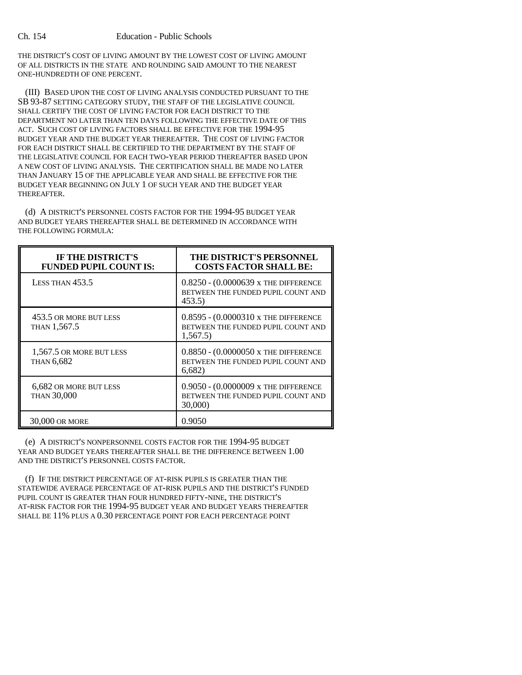THE DISTRICT'S COST OF LIVING AMOUNT BY THE LOWEST COST OF LIVING AMOUNT OF ALL DISTRICTS IN THE STATE AND ROUNDING SAID AMOUNT TO THE NEAREST ONE-HUNDREDTH OF ONE PERCENT.

(III) BASED UPON THE COST OF LIVING ANALYSIS CONDUCTED PURSUANT TO THE SB 93-87 SETTING CATEGORY STUDY, THE STAFF OF THE LEGISLATIVE COUNCIL SHALL CERTIFY THE COST OF LIVING FACTOR FOR EACH DISTRICT TO THE DEPARTMENT NO LATER THAN TEN DAYS FOLLOWING THE EFFECTIVE DATE OF THIS ACT. SUCH COST OF LIVING FACTORS SHALL BE EFFECTIVE FOR THE 1994-95 BUDGET YEAR AND THE BUDGET YEAR THEREAFTER. THE COST OF LIVING FACTOR FOR EACH DISTRICT SHALL BE CERTIFIED TO THE DEPARTMENT BY THE STAFF OF THE LEGISLATIVE COUNCIL FOR EACH TWO-YEAR PERIOD THEREAFTER BASED UPON A NEW COST OF LIVING ANALYSIS. THE CERTIFICATION SHALL BE MADE NO LATER THAN JANUARY 15 OF THE APPLICABLE YEAR AND SHALL BE EFFECTIVE FOR THE BUDGET YEAR BEGINNING ON JULY 1 OF SUCH YEAR AND THE BUDGET YEAR THEREAFTER.

(d) A DISTRICT'S PERSONNEL COSTS FACTOR FOR THE 1994-95 BUDGET YEAR AND BUDGET YEARS THEREAFTER SHALL BE DETERMINED IN ACCORDANCE WITH THE FOLLOWING FORMULA:

| <b>IF THE DISTRICT'S</b><br><b>FUNDED PUPIL COUNT IS:</b> | THE DISTRICT'S PERSONNEL<br><b>COSTS FACTOR SHALL BE:</b>                                        |
|-----------------------------------------------------------|--------------------------------------------------------------------------------------------------|
| LESS THAN $453.5$                                         | $0.8250 - (0.0000639 \text{ x}$ THE DIFFERENCE<br>BETWEEN THE FUNDED PUPIL COUNT AND<br>453.5)   |
| 453.5 OR MORE BUT LESS<br>THAN 1,567.5                    | $0.8595 - (0.0000310 \text{ x}$ THE DIFFERENCE<br>BETWEEN THE FUNDED PUPIL COUNT AND<br>1,567.5) |
| 1,567.5 OR MORE BUT LESS<br><b>THAN 6,682</b>             | $0.8850 - (0.0000050 \text{ x}$ THE DIFFERENCE<br>BETWEEN THE FUNDED PUPIL COUNT AND<br>6,682)   |
| 6.682 OR MORE BUT LESS<br><b>THAN 30,000</b>              | 0.9050 - (0.0000009 x THE DIFFERENCE<br>BETWEEN THE FUNDED PUPIL COUNT AND<br>30,000)            |
| 30,000 OR MORE                                            | 0.9050                                                                                           |

(e) A DISTRICT'S NONPERSONNEL COSTS FACTOR FOR THE 1994-95 BUDGET YEAR AND BUDGET YEARS THEREAFTER SHALL BE THE DIFFERENCE BETWEEN 1.00 AND THE DISTRICT'S PERSONNEL COSTS FACTOR.

(f) IF THE DISTRICT PERCENTAGE OF AT-RISK PUPILS IS GREATER THAN THE STATEWIDE AVERAGE PERCENTAGE OF AT-RISK PUPILS AND THE DISTRICT'S FUNDED PUPIL COUNT IS GREATER THAN FOUR HUNDRED FIFTY-NINE, THE DISTRICT'S AT-RISK FACTOR FOR THE 1994-95 BUDGET YEAR AND BUDGET YEARS THEREAFTER SHALL BE 11% PLUS A 0.30 PERCENTAGE POINT FOR EACH PERCENTAGE POINT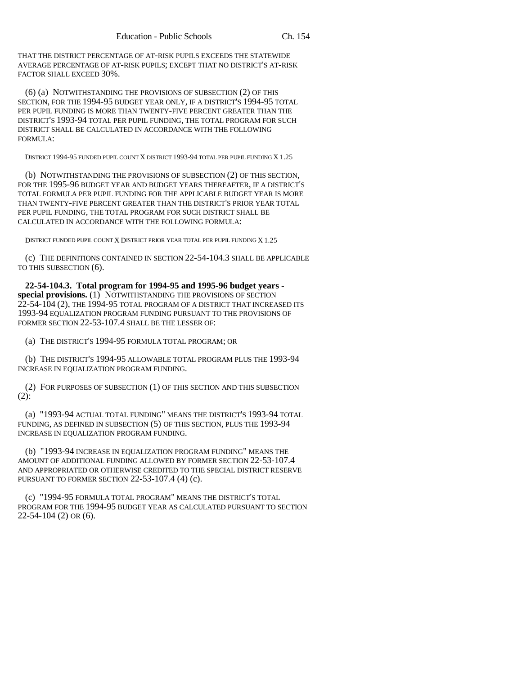THAT THE DISTRICT PERCENTAGE OF AT-RISK PUPILS EXCEEDS THE STATEWIDE AVERAGE PERCENTAGE OF AT-RISK PUPILS; EXCEPT THAT NO DISTRICT'S AT-RISK FACTOR SHALL EXCEED 30%.

(6) (a) NOTWITHSTANDING THE PROVISIONS OF SUBSECTION (2) OF THIS SECTION, FOR THE 1994-95 BUDGET YEAR ONLY, IF A DISTRICT'S 1994-95 TOTAL PER PUPIL FUNDING IS MORE THAN TWENTY-FIVE PERCENT GREATER THAN THE DISTRICT'S 1993-94 TOTAL PER PUPIL FUNDING, THE TOTAL PROGRAM FOR SUCH DISTRICT SHALL BE CALCULATED IN ACCORDANCE WITH THE FOLLOWING FORMULA:

DISTRICT 1994-95 FUNDED PUPIL COUNT X DISTRICT 1993-94 TOTAL PER PUPIL FUNDING X 1.25

(b) NOTWITHSTANDING THE PROVISIONS OF SUBSECTION (2) OF THIS SECTION, FOR THE 1995-96 BUDGET YEAR AND BUDGET YEARS THEREAFTER, IF A DISTRICT'S TOTAL FORMULA PER PUPIL FUNDING FOR THE APPLICABLE BUDGET YEAR IS MORE THAN TWENTY-FIVE PERCENT GREATER THAN THE DISTRICT'S PRIOR YEAR TOTAL PER PUPIL FUNDING, THE TOTAL PROGRAM FOR SUCH DISTRICT SHALL BE CALCULATED IN ACCORDANCE WITH THE FOLLOWING FORMULA:

DISTRICT FUNDED PUPIL COUNT X DISTRICT PRIOR YEAR TOTAL PER PUPIL FUNDING X 1.25

(c) THE DEFINITIONS CONTAINED IN SECTION 22-54-104.3 SHALL BE APPLICABLE TO THIS SUBSECTION (6).

**22-54-104.3. Total program for 1994-95 and 1995-96 budget years special provisions.** (1) NOTWITHSTANDING THE PROVISIONS OF SECTION  $22$ -54-104 (2), the 1994-95 total program of a district that increased its 1993-94 EQUALIZATION PROGRAM FUNDING PURSUANT TO THE PROVISIONS OF FORMER SECTION 22-53-107.4 SHALL BE THE LESSER OF:

(a) THE DISTRICT'S 1994-95 FORMULA TOTAL PROGRAM; OR

(b) THE DISTRICT'S 1994-95 ALLOWABLE TOTAL PROGRAM PLUS THE 1993-94 INCREASE IN EQUALIZATION PROGRAM FUNDING.

(2) FOR PURPOSES OF SUBSECTION (1) OF THIS SECTION AND THIS SUBSECTION (2):

(a) "1993-94 ACTUAL TOTAL FUNDING" MEANS THE DISTRICT'S 1993-94 TOTAL FUNDING, AS DEFINED IN SUBSECTION (5) OF THIS SECTION, PLUS THE 1993-94 INCREASE IN EQUALIZATION PROGRAM FUNDING.

(b) "1993-94 INCREASE IN EQUALIZATION PROGRAM FUNDING" MEANS THE AMOUNT OF ADDITIONAL FUNDING ALLOWED BY FORMER SECTION 22-53-107.4 AND APPROPRIATED OR OTHERWISE CREDITED TO THE SPECIAL DISTRICT RESERVE PURSUANT TO FORMER SECTION 22-53-107.4 (4) (c).

(c) "1994-95 FORMULA TOTAL PROGRAM" MEANS THE DISTRICT'S TOTAL PROGRAM FOR THE 1994-95 BUDGET YEAR AS CALCULATED PURSUANT TO SECTION 22-54-104 (2) OR (6).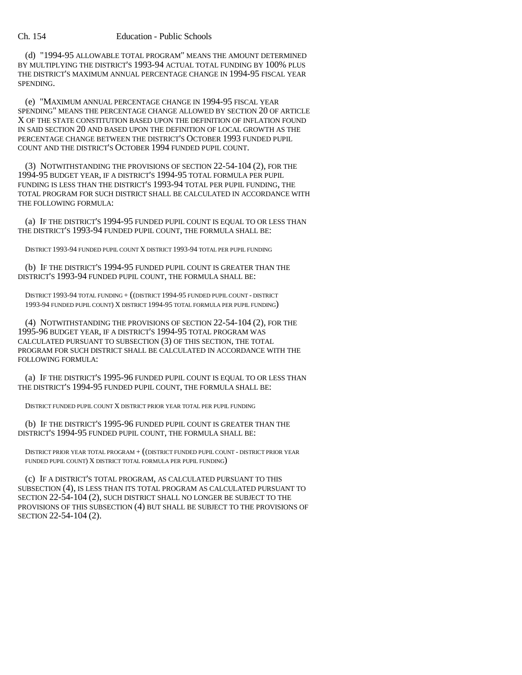(d) "1994-95 ALLOWABLE TOTAL PROGRAM" MEANS THE AMOUNT DETERMINED BY MULTIPLYING THE DISTRICT'S 1993-94 ACTUAL TOTAL FUNDING BY 100% PLUS THE DISTRICT'S MAXIMUM ANNUAL PERCENTAGE CHANGE IN 1994-95 FISCAL YEAR SPENDING.

(e) "MAXIMUM ANNUAL PERCENTAGE CHANGE IN 1994-95 FISCAL YEAR SPENDING" MEANS THE PERCENTAGE CHANGE ALLOWED BY SECTION 20 OF ARTICLE X OF THE STATE CONSTITUTION BASED UPON THE DEFINITION OF INFLATION FOUND IN SAID SECTION 20 AND BASED UPON THE DEFINITION OF LOCAL GROWTH AS THE PERCENTAGE CHANGE BETWEEN THE DISTRICT'S OCTOBER 1993 FUNDED PUPIL COUNT AND THE DISTRICT'S OCTOBER 1994 FUNDED PUPIL COUNT.

(3) NOTWITHSTANDING THE PROVISIONS OF SECTION 22-54-104 (2), FOR THE 1994-95 BUDGET YEAR, IF A DISTRICT'S 1994-95 TOTAL FORMULA PER PUPIL FUNDING IS LESS THAN THE DISTRICT'S 1993-94 TOTAL PER PUPIL FUNDING, THE TOTAL PROGRAM FOR SUCH DISTRICT SHALL BE CALCULATED IN ACCORDANCE WITH THE FOLLOWING FORMULA:

(a) IF THE DISTRICT'S 1994-95 FUNDED PUPIL COUNT IS EQUAL TO OR LESS THAN THE DISTRICT'S 1993-94 FUNDED PUPIL COUNT, THE FORMULA SHALL BE:

DISTRICT 1993-94 FUNDED PUPIL COUNT X DISTRICT 1993-94 TOTAL PER PUPIL FUNDING

(b) IF THE DISTRICT'S 1994-95 FUNDED PUPIL COUNT IS GREATER THAN THE DISTRICT'S 1993-94 FUNDED PUPIL COUNT, THE FORMULA SHALL BE:

DISTRICT 1993-94 TOTAL FUNDING + ((DISTRICT 1994-95 FUNDED PUPIL COUNT - DISTRICT 1993-94 FUNDED PUPIL COUNT) X DISTRICT 1994-95 TOTAL FORMULA PER PUPIL FUNDING)

(4) NOTWITHSTANDING THE PROVISIONS OF SECTION 22-54-104 (2), FOR THE 1995-96 BUDGET YEAR, IF A DISTRICT'S 1994-95 TOTAL PROGRAM WAS CALCULATED PURSUANT TO SUBSECTION (3) OF THIS SECTION, THE TOTAL PROGRAM FOR SUCH DISTRICT SHALL BE CALCULATED IN ACCORDANCE WITH THE FOLLOWING FORMULA:

(a) IF THE DISTRICT'S 1995-96 FUNDED PUPIL COUNT IS EQUAL TO OR LESS THAN THE DISTRICT'S 1994-95 FUNDED PUPIL COUNT, THE FORMULA SHALL BE:

DISTRICT FUNDED PUPIL COUNT X DISTRICT PRIOR YEAR TOTAL PER PUPIL FUNDING

(b) IF THE DISTRICT'S 1995-96 FUNDED PUPIL COUNT IS GREATER THAN THE DISTRICT'S 1994-95 FUNDED PUPIL COUNT, THE FORMULA SHALL BE:

DISTRICT PRIOR YEAR TOTAL PROGRAM + ((DISTRICT FUNDED PUPIL COUNT - DISTRICT PRIOR YEAR FUNDED PUPIL COUNT) X DISTRICT TOTAL FORMULA PER PUPIL FUNDING)

(c) IF A DISTRICT'S TOTAL PROGRAM, AS CALCULATED PURSUANT TO THIS SUBSECTION (4), IS LESS THAN ITS TOTAL PROGRAM AS CALCULATED PURSUANT TO SECTION 22-54-104 (2), SUCH DISTRICT SHALL NO LONGER BE SUBJECT TO THE PROVISIONS OF THIS SUBSECTION (4) BUT SHALL BE SUBJECT TO THE PROVISIONS OF SECTION 22-54-104 (2).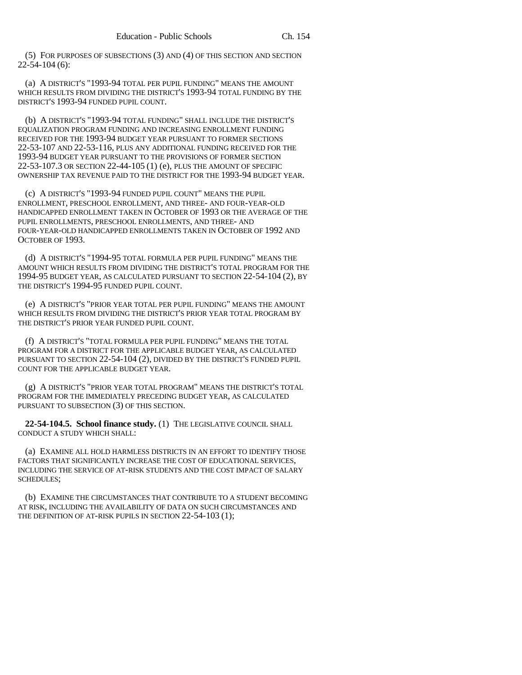(5) FOR PURPOSES OF SUBSECTIONS (3) AND (4) OF THIS SECTION AND SECTION 22-54-104 (6):

(a) A DISTRICT'S "1993-94 TOTAL PER PUPIL FUNDING" MEANS THE AMOUNT WHICH RESULTS FROM DIVIDING THE DISTRICT'S 1993-94 TOTAL FUNDING BY THE DISTRICT'S 1993-94 FUNDED PUPIL COUNT.

(b) A DISTRICT'S "1993-94 TOTAL FUNDING" SHALL INCLUDE THE DISTRICT'S EQUALIZATION PROGRAM FUNDING AND INCREASING ENROLLMENT FUNDING RECEIVED FOR THE 1993-94 BUDGET YEAR PURSUANT TO FORMER SECTIONS 22-53-107 AND 22-53-116, PLUS ANY ADDITIONAL FUNDING RECEIVED FOR THE 1993-94 BUDGET YEAR PURSUANT TO THE PROVISIONS OF FORMER SECTION 22-53-107.3 OR SECTION 22-44-105 (1) (e), PLUS THE AMOUNT OF SPECIFIC OWNERSHIP TAX REVENUE PAID TO THE DISTRICT FOR THE 1993-94 BUDGET YEAR.

(c) A DISTRICT'S "1993-94 FUNDED PUPIL COUNT" MEANS THE PUPIL ENROLLMENT, PRESCHOOL ENROLLMENT, AND THREE- AND FOUR-YEAR-OLD HANDICAPPED ENROLLMENT TAKEN IN OCTOBER OF 1993 OR THE AVERAGE OF THE PUPIL ENROLLMENTS, PRESCHOOL ENROLLMENTS, AND THREE- AND FOUR-YEAR-OLD HANDICAPPED ENROLLMENTS TAKEN IN OCTOBER OF 1992 AND OCTOBER OF 1993.

(d) A DISTRICT'S "1994-95 TOTAL FORMULA PER PUPIL FUNDING" MEANS THE AMOUNT WHICH RESULTS FROM DIVIDING THE DISTRICT'S TOTAL PROGRAM FOR THE 1994-95 BUDGET YEAR, AS CALCULATED PURSUANT TO SECTION 22-54-104 (2), BY THE DISTRICT'S 1994-95 FUNDED PUPIL COUNT.

(e) A DISTRICT'S "PRIOR YEAR TOTAL PER PUPIL FUNDING" MEANS THE AMOUNT WHICH RESULTS FROM DIVIDING THE DISTRICT'S PRIOR YEAR TOTAL PROGRAM BY THE DISTRICT'S PRIOR YEAR FUNDED PUPIL COUNT.

(f) A DISTRICT'S "TOTAL FORMULA PER PUPIL FUNDING" MEANS THE TOTAL PROGRAM FOR A DISTRICT FOR THE APPLICABLE BUDGET YEAR, AS CALCULATED PURSUANT TO SECTION 22-54-104 (2), DIVIDED BY THE DISTRICT'S FUNDED PUPIL COUNT FOR THE APPLICABLE BUDGET YEAR.

(g) A DISTRICT'S "PRIOR YEAR TOTAL PROGRAM" MEANS THE DISTRICT'S TOTAL PROGRAM FOR THE IMMEDIATELY PRECEDING BUDGET YEAR, AS CALCULATED PURSUANT TO SUBSECTION (3) OF THIS SECTION.

**22-54-104.5. School finance study.** (1) THE LEGISLATIVE COUNCIL SHALL CONDUCT A STUDY WHICH SHALL:

(a) EXAMINE ALL HOLD HARMLESS DISTRICTS IN AN EFFORT TO IDENTIFY THOSE FACTORS THAT SIGNIFICANTLY INCREASE THE COST OF EDUCATIONAL SERVICES, INCLUDING THE SERVICE OF AT-RISK STUDENTS AND THE COST IMPACT OF SALARY SCHEDULES;

(b) EXAMINE THE CIRCUMSTANCES THAT CONTRIBUTE TO A STUDENT BECOMING AT RISK, INCLUDING THE AVAILABILITY OF DATA ON SUCH CIRCUMSTANCES AND THE DEFINITION OF AT-RISK PUPILS IN SECTION 22-54-103 (1);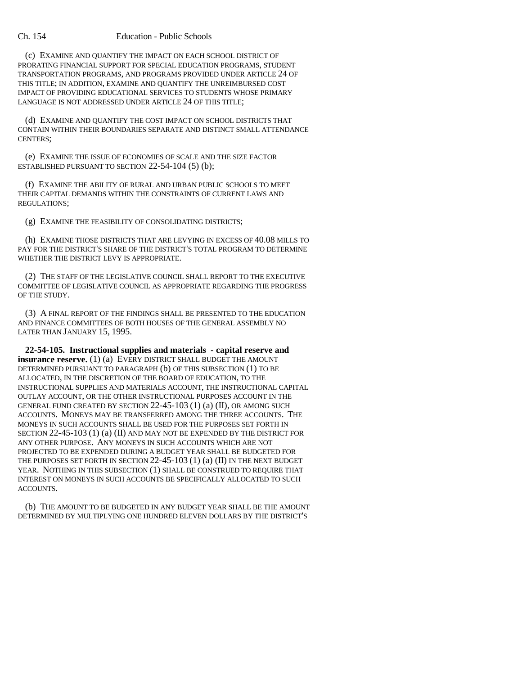(c) EXAMINE AND QUANTIFY THE IMPACT ON EACH SCHOOL DISTRICT OF PRORATING FINANCIAL SUPPORT FOR SPECIAL EDUCATION PROGRAMS, STUDENT TRANSPORTATION PROGRAMS, AND PROGRAMS PROVIDED UNDER ARTICLE 24 OF THIS TITLE; IN ADDITION, EXAMINE AND QUANTIFY THE UNREIMBURSED COST IMPACT OF PROVIDING EDUCATIONAL SERVICES TO STUDENTS WHOSE PRIMARY LANGUAGE IS NOT ADDRESSED UNDER ARTICLE 24 OF THIS TITLE;

(d) EXAMINE AND QUANTIFY THE COST IMPACT ON SCHOOL DISTRICTS THAT CONTAIN WITHIN THEIR BOUNDARIES SEPARATE AND DISTINCT SMALL ATTENDANCE CENTERS;

(e) EXAMINE THE ISSUE OF ECONOMIES OF SCALE AND THE SIZE FACTOR ESTABLISHED PURSUANT TO SECTION 22-54-104 (5) (b);

(f) EXAMINE THE ABILITY OF RURAL AND URBAN PUBLIC SCHOOLS TO MEET THEIR CAPITAL DEMANDS WITHIN THE CONSTRAINTS OF CURRENT LAWS AND REGULATIONS;

(g) EXAMINE THE FEASIBILITY OF CONSOLIDATING DISTRICTS;

(h) EXAMINE THOSE DISTRICTS THAT ARE LEVYING IN EXCESS OF 40.08 MILLS TO PAY FOR THE DISTRICT'S SHARE OF THE DISTRICT'S TOTAL PROGRAM TO DETERMINE WHETHER THE DISTRICT LEVY IS APPROPRIATE.

(2) THE STAFF OF THE LEGISLATIVE COUNCIL SHALL REPORT TO THE EXECUTIVE COMMITTEE OF LEGISLATIVE COUNCIL AS APPROPRIATE REGARDING THE PROGRESS OF THE STUDY.

(3) A FINAL REPORT OF THE FINDINGS SHALL BE PRESENTED TO THE EDUCATION AND FINANCE COMMITTEES OF BOTH HOUSES OF THE GENERAL ASSEMBLY NO LATER THAN JANUARY 15, 1995.

**22-54-105. Instructional supplies and materials - capital reserve and insurance reserve.** (1) (a) EVERY DISTRICT SHALL BUDGET THE AMOUNT DETERMINED PURSUANT TO PARAGRAPH (b) OF THIS SUBSECTION (1) TO BE ALLOCATED, IN THE DISCRETION OF THE BOARD OF EDUCATION, TO THE INSTRUCTIONAL SUPPLIES AND MATERIALS ACCOUNT, THE INSTRUCTIONAL CAPITAL OUTLAY ACCOUNT, OR THE OTHER INSTRUCTIONAL PURPOSES ACCOUNT IN THE GENERAL FUND CREATED BY SECTION 22-45-103 (1) (a) (II), OR AMONG SUCH ACCOUNTS. MONEYS MAY BE TRANSFERRED AMONG THE THREE ACCOUNTS. THE MONEYS IN SUCH ACCOUNTS SHALL BE USED FOR THE PURPOSES SET FORTH IN SECTION 22-45-103 (1) (a) (II) AND MAY NOT BE EXPENDED BY THE DISTRICT FOR ANY OTHER PURPOSE. ANY MONEYS IN SUCH ACCOUNTS WHICH ARE NOT PROJECTED TO BE EXPENDED DURING A BUDGET YEAR SHALL BE BUDGETED FOR THE PURPOSES SET FORTH IN SECTION 22-45-103 (1) (a) (II) IN THE NEXT BUDGET YEAR. NOTHING IN THIS SUBSECTION (1) SHALL BE CONSTRUED TO REQUIRE THAT INTEREST ON MONEYS IN SUCH ACCOUNTS BE SPECIFICALLY ALLOCATED TO SUCH ACCOUNTS.

(b) THE AMOUNT TO BE BUDGETED IN ANY BUDGET YEAR SHALL BE THE AMOUNT DETERMINED BY MULTIPLYING ONE HUNDRED ELEVEN DOLLARS BY THE DISTRICT'S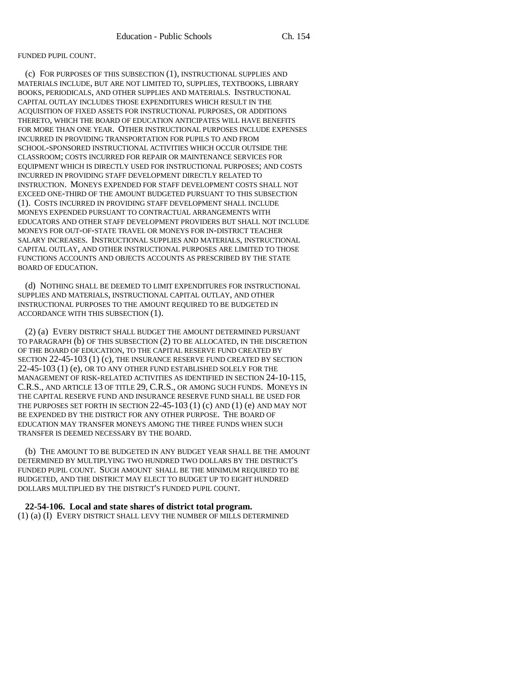### FUNDED PUPIL COUNT.

(c) FOR PURPOSES OF THIS SUBSECTION (1), INSTRUCTIONAL SUPPLIES AND MATERIALS INCLUDE, BUT ARE NOT LIMITED TO, SUPPLIES, TEXTBOOKS, LIBRARY BOOKS, PERIODICALS, AND OTHER SUPPLIES AND MATERIALS. INSTRUCTIONAL CAPITAL OUTLAY INCLUDES THOSE EXPENDITURES WHICH RESULT IN THE ACQUISITION OF FIXED ASSETS FOR INSTRUCTIONAL PURPOSES, OR ADDITIONS THERETO, WHICH THE BOARD OF EDUCATION ANTICIPATES WILL HAVE BENEFITS FOR MORE THAN ONE YEAR. OTHER INSTRUCTIONAL PURPOSES INCLUDE EXPENSES INCURRED IN PROVIDING TRANSPORTATION FOR PUPILS TO AND FROM SCHOOL-SPONSORED INSTRUCTIONAL ACTIVITIES WHICH OCCUR OUTSIDE THE CLASSROOM; COSTS INCURRED FOR REPAIR OR MAINTENANCE SERVICES FOR EQUIPMENT WHICH IS DIRECTLY USED FOR INSTRUCTIONAL PURPOSES; AND COSTS INCURRED IN PROVIDING STAFF DEVELOPMENT DIRECTLY RELATED TO INSTRUCTION. MONEYS EXPENDED FOR STAFF DEVELOPMENT COSTS SHALL NOT EXCEED ONE-THIRD OF THE AMOUNT BUDGETED PURSUANT TO THIS SUBSECTION (1). COSTS INCURRED IN PROVIDING STAFF DEVELOPMENT SHALL INCLUDE MONEYS EXPENDED PURSUANT TO CONTRACTUAL ARRANGEMENTS WITH EDUCATORS AND OTHER STAFF DEVELOPMENT PROVIDERS BUT SHALL NOT INCLUDE MONEYS FOR OUT-OF-STATE TRAVEL OR MONEYS FOR IN-DISTRICT TEACHER SALARY INCREASES. INSTRUCTIONAL SUPPLIES AND MATERIALS, INSTRUCTIONAL CAPITAL OUTLAY, AND OTHER INSTRUCTIONAL PURPOSES ARE LIMITED TO THOSE FUNCTIONS ACCOUNTS AND OBJECTS ACCOUNTS AS PRESCRIBED BY THE STATE BOARD OF EDUCATION.

(d) NOTHING SHALL BE DEEMED TO LIMIT EXPENDITURES FOR INSTRUCTIONAL SUPPLIES AND MATERIALS, INSTRUCTIONAL CAPITAL OUTLAY, AND OTHER INSTRUCTIONAL PURPOSES TO THE AMOUNT REQUIRED TO BE BUDGETED IN ACCORDANCE WITH THIS SUBSECTION (1).

(2) (a) EVERY DISTRICT SHALL BUDGET THE AMOUNT DETERMINED PURSUANT TO PARAGRAPH (b) OF THIS SUBSECTION (2) TO BE ALLOCATED, IN THE DISCRETION OF THE BOARD OF EDUCATION, TO THE CAPITAL RESERVE FUND CREATED BY SECTION 22-45-103 (1) (c), THE INSURANCE RESERVE FUND CREATED BY SECTION 22-45-103 (1) (e), OR TO ANY OTHER FUND ESTABLISHED SOLELY FOR THE MANAGEMENT OF RISK-RELATED ACTIVITIES AS IDENTIFIED IN SECTION 24-10-115, C.R.S., AND ARTICLE 13 OF TITLE 29, C.R.S., OR AMONG SUCH FUNDS. MONEYS IN THE CAPITAL RESERVE FUND AND INSURANCE RESERVE FUND SHALL BE USED FOR THE PURPOSES SET FORTH IN SECTION  $22-45-103$  (1) (c) AND (1) (e) AND MAY NOT BE EXPENDED BY THE DISTRICT FOR ANY OTHER PURPOSE. THE BOARD OF EDUCATION MAY TRANSFER MONEYS AMONG THE THREE FUNDS WHEN SUCH TRANSFER IS DEEMED NECESSARY BY THE BOARD.

(b) THE AMOUNT TO BE BUDGETED IN ANY BUDGET YEAR SHALL BE THE AMOUNT DETERMINED BY MULTIPLYING TWO HUNDRED TWO DOLLARS BY THE DISTRICT'S FUNDED PUPIL COUNT. SUCH AMOUNT SHALL BE THE MINIMUM REQUIRED TO BE BUDGETED, AND THE DISTRICT MAY ELECT TO BUDGET UP TO EIGHT HUNDRED DOLLARS MULTIPLIED BY THE DISTRICT'S FUNDED PUPIL COUNT.

# **22-54-106. Local and state shares of district total program.**

(1) (a) (I) EVERY DISTRICT SHALL LEVY THE NUMBER OF MILLS DETERMINED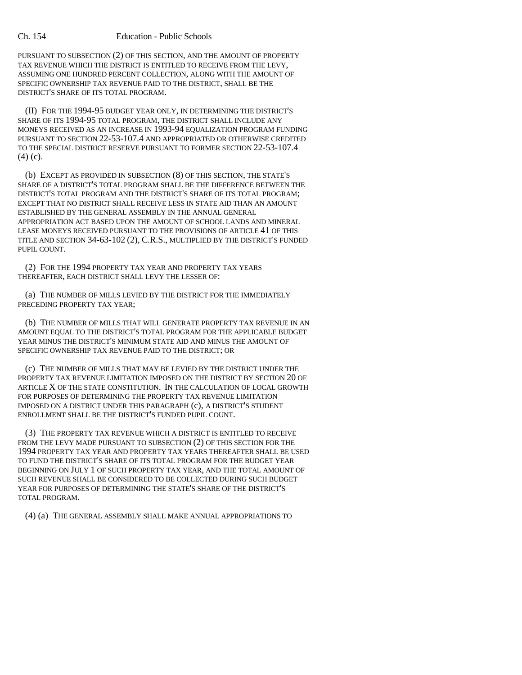PURSUANT TO SUBSECTION (2) OF THIS SECTION, AND THE AMOUNT OF PROPERTY TAX REVENUE WHICH THE DISTRICT IS ENTITLED TO RECEIVE FROM THE LEVY, ASSUMING ONE HUNDRED PERCENT COLLECTION, ALONG WITH THE AMOUNT OF SPECIFIC OWNERSHIP TAX REVENUE PAID TO THE DISTRICT, SHALL BE THE DISTRICT'S SHARE OF ITS TOTAL PROGRAM.

(II) FOR THE 1994-95 BUDGET YEAR ONLY, IN DETERMINING THE DISTRICT'S SHARE OF ITS 1994-95 TOTAL PROGRAM, THE DISTRICT SHALL INCLUDE ANY MONEYS RECEIVED AS AN INCREASE IN 1993-94 EQUALIZATION PROGRAM FUNDING PURSUANT TO SECTION 22-53-107.4 AND APPROPRIATED OR OTHERWISE CREDITED TO THE SPECIAL DISTRICT RESERVE PURSUANT TO FORMER SECTION 22-53-107.4 (4) (c).

(b) EXCEPT AS PROVIDED IN SUBSECTION (8) OF THIS SECTION, THE STATE'S SHARE OF A DISTRICT'S TOTAL PROGRAM SHALL BE THE DIFFERENCE BETWEEN THE DISTRICT'S TOTAL PROGRAM AND THE DISTRICT'S SHARE OF ITS TOTAL PROGRAM; EXCEPT THAT NO DISTRICT SHALL RECEIVE LESS IN STATE AID THAN AN AMOUNT ESTABLISHED BY THE GENERAL ASSEMBLY IN THE ANNUAL GENERAL APPROPRIATION ACT BASED UPON THE AMOUNT OF SCHOOL LANDS AND MINERAL LEASE MONEYS RECEIVED PURSUANT TO THE PROVISIONS OF ARTICLE 41 OF THIS TITLE AND SECTION 34-63-102 (2), C.R.S., MULTIPLIED BY THE DISTRICT'S FUNDED PUPIL COUNT.

(2) FOR THE 1994 PROPERTY TAX YEAR AND PROPERTY TAX YEARS THEREAFTER, EACH DISTRICT SHALL LEVY THE LESSER OF:

(a) THE NUMBER OF MILLS LEVIED BY THE DISTRICT FOR THE IMMEDIATELY PRECEDING PROPERTY TAX YEAR;

(b) THE NUMBER OF MILLS THAT WILL GENERATE PROPERTY TAX REVENUE IN AN AMOUNT EQUAL TO THE DISTRICT'S TOTAL PROGRAM FOR THE APPLICABLE BUDGET YEAR MINUS THE DISTRICT'S MINIMUM STATE AID AND MINUS THE AMOUNT OF SPECIFIC OWNERSHIP TAX REVENUE PAID TO THE DISTRICT; OR

(c) THE NUMBER OF MILLS THAT MAY BE LEVIED BY THE DISTRICT UNDER THE PROPERTY TAX REVENUE LIMITATION IMPOSED ON THE DISTRICT BY SECTION 20 OF ARTICLE X OF THE STATE CONSTITUTION. IN THE CALCULATION OF LOCAL GROWTH FOR PURPOSES OF DETERMINING THE PROPERTY TAX REVENUE LIMITATION IMPOSED ON A DISTRICT UNDER THIS PARAGRAPH (c), A DISTRICT'S STUDENT ENROLLMENT SHALL BE THE DISTRICT'S FUNDED PUPIL COUNT.

(3) THE PROPERTY TAX REVENUE WHICH A DISTRICT IS ENTITLED TO RECEIVE FROM THE LEVY MADE PURSUANT TO SUBSECTION (2) OF THIS SECTION FOR THE 1994 PROPERTY TAX YEAR AND PROPERTY TAX YEARS THEREAFTER SHALL BE USED TO FUND THE DISTRICT'S SHARE OF ITS TOTAL PROGRAM FOR THE BUDGET YEAR BEGINNING ON JULY 1 OF SUCH PROPERTY TAX YEAR, AND THE TOTAL AMOUNT OF SUCH REVENUE SHALL BE CONSIDERED TO BE COLLECTED DURING SUCH BUDGET YEAR FOR PURPOSES OF DETERMINING THE STATE'S SHARE OF THE DISTRICT'S TOTAL PROGRAM.

(4) (a) THE GENERAL ASSEMBLY SHALL MAKE ANNUAL APPROPRIATIONS TO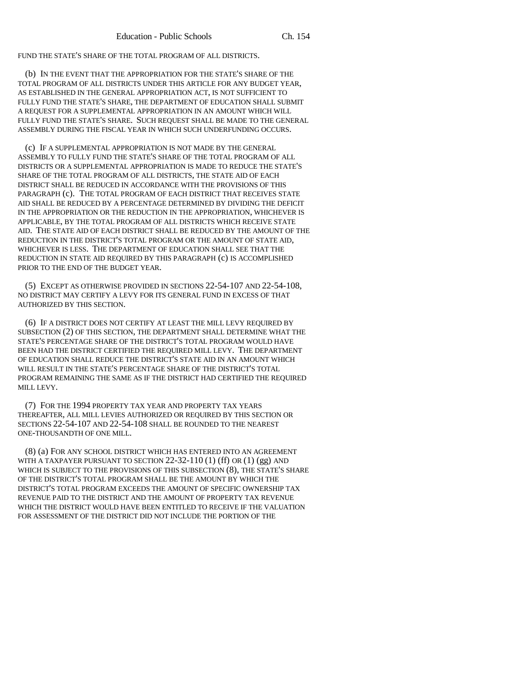FUND THE STATE'S SHARE OF THE TOTAL PROGRAM OF ALL DISTRICTS.

(b) IN THE EVENT THAT THE APPROPRIATION FOR THE STATE'S SHARE OF THE TOTAL PROGRAM OF ALL DISTRICTS UNDER THIS ARTICLE FOR ANY BUDGET YEAR, AS ESTABLISHED IN THE GENERAL APPROPRIATION ACT, IS NOT SUFFICIENT TO FULLY FUND THE STATE'S SHARE, THE DEPARTMENT OF EDUCATION SHALL SUBMIT A REQUEST FOR A SUPPLEMENTAL APPROPRIATION IN AN AMOUNT WHICH WILL FULLY FUND THE STATE'S SHARE. SUCH REQUEST SHALL BE MADE TO THE GENERAL ASSEMBLY DURING THE FISCAL YEAR IN WHICH SUCH UNDERFUNDING OCCURS.

(c) IF A SUPPLEMENTAL APPROPRIATION IS NOT MADE BY THE GENERAL ASSEMBLY TO FULLY FUND THE STATE'S SHARE OF THE TOTAL PROGRAM OF ALL DISTRICTS OR A SUPPLEMENTAL APPROPRIATION IS MADE TO REDUCE THE STATE'S SHARE OF THE TOTAL PROGRAM OF ALL DISTRICTS, THE STATE AID OF EACH DISTRICT SHALL BE REDUCED IN ACCORDANCE WITH THE PROVISIONS OF THIS PARAGRAPH (c). THE TOTAL PROGRAM OF EACH DISTRICT THAT RECEIVES STATE AID SHALL BE REDUCED BY A PERCENTAGE DETERMINED BY DIVIDING THE DEFICIT IN THE APPROPRIATION OR THE REDUCTION IN THE APPROPRIATION, WHICHEVER IS APPLICABLE, BY THE TOTAL PROGRAM OF ALL DISTRICTS WHICH RECEIVE STATE AID. THE STATE AID OF EACH DISTRICT SHALL BE REDUCED BY THE AMOUNT OF THE REDUCTION IN THE DISTRICT'S TOTAL PROGRAM OR THE AMOUNT OF STATE AID, WHICHEVER IS LESS. THE DEPARTMENT OF EDUCATION SHALL SEE THAT THE REDUCTION IN STATE AID REQUIRED BY THIS PARAGRAPH (c) IS ACCOMPLISHED PRIOR TO THE END OF THE BUDGET YEAR.

(5) EXCEPT AS OTHERWISE PROVIDED IN SECTIONS 22-54-107 AND 22-54-108, NO DISTRICT MAY CERTIFY A LEVY FOR ITS GENERAL FUND IN EXCESS OF THAT AUTHORIZED BY THIS SECTION.

(6) IF A DISTRICT DOES NOT CERTIFY AT LEAST THE MILL LEVY REQUIRED BY SUBSECTION (2) OF THIS SECTION, THE DEPARTMENT SHALL DETERMINE WHAT THE STATE'S PERCENTAGE SHARE OF THE DISTRICT'S TOTAL PROGRAM WOULD HAVE BEEN HAD THE DISTRICT CERTIFIED THE REQUIRED MILL LEVY. THE DEPARTMENT OF EDUCATION SHALL REDUCE THE DISTRICT'S STATE AID IN AN AMOUNT WHICH WILL RESULT IN THE STATE'S PERCENTAGE SHARE OF THE DISTRICT'S TOTAL PROGRAM REMAINING THE SAME AS IF THE DISTRICT HAD CERTIFIED THE REQUIRED MILL LEVY.

(7) FOR THE 1994 PROPERTY TAX YEAR AND PROPERTY TAX YEARS THEREAFTER, ALL MILL LEVIES AUTHORIZED OR REQUIRED BY THIS SECTION OR SECTIONS 22-54-107 AND 22-54-108 SHALL BE ROUNDED TO THE NEAREST ONE-THOUSANDTH OF ONE MILL.

(8) (a) FOR ANY SCHOOL DISTRICT WHICH HAS ENTERED INTO AN AGREEMENT WITH A TAXPAYER PURSUANT TO SECTION  $22-32-110$  (1) (ff) OR (1) (gg) AND WHICH IS SUBJECT TO THE PROVISIONS OF THIS SUBSECTION (8), THE STATE'S SHARE OF THE DISTRICT'S TOTAL PROGRAM SHALL BE THE AMOUNT BY WHICH THE DISTRICT'S TOTAL PROGRAM EXCEEDS THE AMOUNT OF SPECIFIC OWNERSHIP TAX REVENUE PAID TO THE DISTRICT AND THE AMOUNT OF PROPERTY TAX REVENUE WHICH THE DISTRICT WOULD HAVE BEEN ENTITLED TO RECEIVE IF THE VALUATION FOR ASSESSMENT OF THE DISTRICT DID NOT INCLUDE THE PORTION OF THE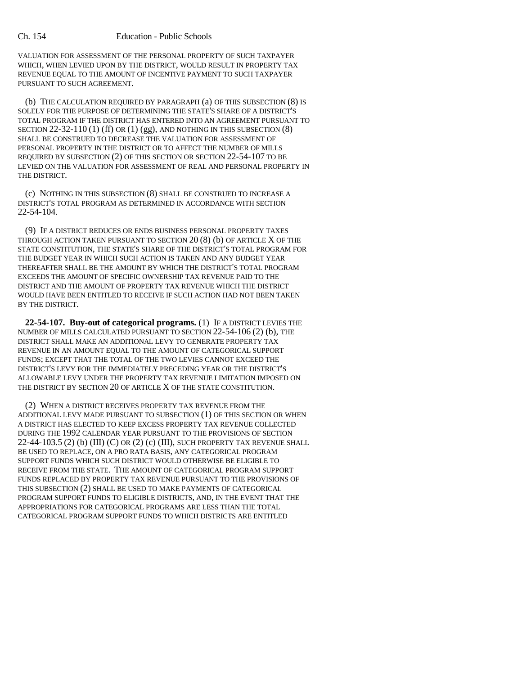VALUATION FOR ASSESSMENT OF THE PERSONAL PROPERTY OF SUCH TAXPAYER WHICH, WHEN LEVIED UPON BY THE DISTRICT, WOULD RESULT IN PROPERTY TAX REVENUE EQUAL TO THE AMOUNT OF INCENTIVE PAYMENT TO SUCH TAXPAYER PURSUANT TO SUCH AGREEMENT.

(b) THE CALCULATION REQUIRED BY PARAGRAPH (a) OF THIS SUBSECTION (8) IS SOLELY FOR THE PURPOSE OF DETERMINING THE STATE'S SHARE OF A DISTRICT'S TOTAL PROGRAM IF THE DISTRICT HAS ENTERED INTO AN AGREEMENT PURSUANT TO SECTION  $22-32-110$  (1) (ff) OR (1) (gg), AND NOTHING IN THIS SUBSECTION  $(8)$ SHALL BE CONSTRUED TO DECREASE THE VALUATION FOR ASSESSMENT OF PERSONAL PROPERTY IN THE DISTRICT OR TO AFFECT THE NUMBER OF MILLS REQUIRED BY SUBSECTION (2) OF THIS SECTION OR SECTION 22-54-107 TO BE LEVIED ON THE VALUATION FOR ASSESSMENT OF REAL AND PERSONAL PROPERTY IN THE DISTRICT.

(c) NOTHING IN THIS SUBSECTION (8) SHALL BE CONSTRUED TO INCREASE A DISTRICT'S TOTAL PROGRAM AS DETERMINED IN ACCORDANCE WITH SECTION 22-54-104.

(9) IF A DISTRICT REDUCES OR ENDS BUSINESS PERSONAL PROPERTY TAXES THROUGH ACTION TAKEN PURSUANT TO SECTION 20 (8) (b) OF ARTICLE X OF THE STATE CONSTITUTION, THE STATE'S SHARE OF THE DISTRICT'S TOTAL PROGRAM FOR THE BUDGET YEAR IN WHICH SUCH ACTION IS TAKEN AND ANY BUDGET YEAR THEREAFTER SHALL BE THE AMOUNT BY WHICH THE DISTRICT'S TOTAL PROGRAM EXCEEDS THE AMOUNT OF SPECIFIC OWNERSHIP TAX REVENUE PAID TO THE DISTRICT AND THE AMOUNT OF PROPERTY TAX REVENUE WHICH THE DISTRICT WOULD HAVE BEEN ENTITLED TO RECEIVE IF SUCH ACTION HAD NOT BEEN TAKEN BY THE DISTRICT.

**22-54-107. Buy-out of categorical programs.** (1) IF A DISTRICT LEVIES THE NUMBER OF MILLS CALCULATED PURSUANT TO SECTION 22-54-106 (2) (b), THE DISTRICT SHALL MAKE AN ADDITIONAL LEVY TO GENERATE PROPERTY TAX REVENUE IN AN AMOUNT EQUAL TO THE AMOUNT OF CATEGORICAL SUPPORT FUNDS; EXCEPT THAT THE TOTAL OF THE TWO LEVIES CANNOT EXCEED THE DISTRICT'S LEVY FOR THE IMMEDIATELY PRECEDING YEAR OR THE DISTRICT'S ALLOWABLE LEVY UNDER THE PROPERTY TAX REVENUE LIMITATION IMPOSED ON THE DISTRICT BY SECTION 20 OF ARTICLE X OF THE STATE CONSTITUTION.

(2) WHEN A DISTRICT RECEIVES PROPERTY TAX REVENUE FROM THE ADDITIONAL LEVY MADE PURSUANT TO SUBSECTION (1) OF THIS SECTION OR WHEN A DISTRICT HAS ELECTED TO KEEP EXCESS PROPERTY TAX REVENUE COLLECTED DURING THE 1992 CALENDAR YEAR PURSUANT TO THE PROVISIONS OF SECTION  $22-44-103.5$  (2) (b) (III) (C) OR (2) (c) (III), SUCH PROPERTY TAX REVENUE SHALL BE USED TO REPLACE, ON A PRO RATA BASIS, ANY CATEGORICAL PROGRAM SUPPORT FUNDS WHICH SUCH DISTRICT WOULD OTHERWISE BE ELIGIBLE TO RECEIVE FROM THE STATE. THE AMOUNT OF CATEGORICAL PROGRAM SUPPORT FUNDS REPLACED BY PROPERTY TAX REVENUE PURSUANT TO THE PROVISIONS OF THIS SUBSECTION (2) SHALL BE USED TO MAKE PAYMENTS OF CATEGORICAL PROGRAM SUPPORT FUNDS TO ELIGIBLE DISTRICTS, AND, IN THE EVENT THAT THE APPROPRIATIONS FOR CATEGORICAL PROGRAMS ARE LESS THAN THE TOTAL CATEGORICAL PROGRAM SUPPORT FUNDS TO WHICH DISTRICTS ARE ENTITLED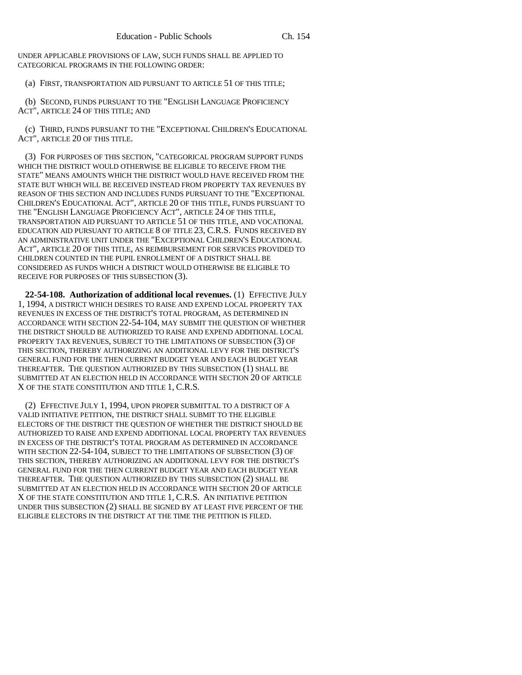UNDER APPLICABLE PROVISIONS OF LAW, SUCH FUNDS SHALL BE APPLIED TO CATEGORICAL PROGRAMS IN THE FOLLOWING ORDER:

(a) FIRST, TRANSPORTATION AID PURSUANT TO ARTICLE 51 OF THIS TITLE;

(b) SECOND, FUNDS PURSUANT TO THE "ENGLISH LANGUAGE PROFICIENCY ACT", ARTICLE 24 OF THIS TITLE; AND

(c) THIRD, FUNDS PURSUANT TO THE "EXCEPTIONAL CHILDREN'S EDUCATIONAL ACT", ARTICLE 20 OF THIS TITLE.

(3) FOR PURPOSES OF THIS SECTION, "CATEGORICAL PROGRAM SUPPORT FUNDS WHICH THE DISTRICT WOULD OTHERWISE BE ELIGIBLE TO RECEIVE FROM THE STATE" MEANS AMOUNTS WHICH THE DISTRICT WOULD HAVE RECEIVED FROM THE STATE BUT WHICH WILL BE RECEIVED INSTEAD FROM PROPERTY TAX REVENUES BY REASON OF THIS SECTION AND INCLUDES FUNDS PURSUANT TO THE "EXCEPTIONAL CHILDREN'S EDUCATIONAL ACT", ARTICLE 20 OF THIS TITLE, FUNDS PURSUANT TO THE "ENGLISH LANGUAGE PROFICIENCY ACT", ARTICLE 24 OF THIS TITLE, TRANSPORTATION AID PURSUANT TO ARTICLE 51 OF THIS TITLE, AND VOCATIONAL EDUCATION AID PURSUANT TO ARTICLE 8 OF TITLE 23, C.R.S. FUNDS RECEIVED BY AN ADMINISTRATIVE UNIT UNDER THE "EXCEPTIONAL CHILDREN'S EDUCATIONAL ACT", ARTICLE 20 OF THIS TITLE, AS REIMBURSEMENT FOR SERVICES PROVIDED TO CHILDREN COUNTED IN THE PUPIL ENROLLMENT OF A DISTRICT SHALL BE CONSIDERED AS FUNDS WHICH A DISTRICT WOULD OTHERWISE BE ELIGIBLE TO RECEIVE FOR PURPOSES OF THIS SUBSECTION (3).

**22-54-108. Authorization of additional local revenues.** (1) EFFECTIVE JULY 1, 1994, A DISTRICT WHICH DESIRES TO RAISE AND EXPEND LOCAL PROPERTY TAX REVENUES IN EXCESS OF THE DISTRICT'S TOTAL PROGRAM, AS DETERMINED IN ACCORDANCE WITH SECTION 22-54-104, MAY SUBMIT THE QUESTION OF WHETHER THE DISTRICT SHOULD BE AUTHORIZED TO RAISE AND EXPEND ADDITIONAL LOCAL PROPERTY TAX REVENUES, SUBJECT TO THE LIMITATIONS OF SUBSECTION (3) OF THIS SECTION, THEREBY AUTHORIZING AN ADDITIONAL LEVY FOR THE DISTRICT'S GENERAL FUND FOR THE THEN CURRENT BUDGET YEAR AND EACH BUDGET YEAR THEREAFTER. THE QUESTION AUTHORIZED BY THIS SUBSECTION (1) SHALL BE SUBMITTED AT AN ELECTION HELD IN ACCORDANCE WITH SECTION 20 OF ARTICLE X OF THE STATE CONSTITUTION AND TITLE 1, C.R.S.

(2) EFFECTIVE JULY 1, 1994, UPON PROPER SUBMITTAL TO A DISTRICT OF A VALID INITIATIVE PETITION, THE DISTRICT SHALL SUBMIT TO THE ELIGIBLE ELECTORS OF THE DISTRICT THE QUESTION OF WHETHER THE DISTRICT SHOULD BE AUTHORIZED TO RAISE AND EXPEND ADDITIONAL LOCAL PROPERTY TAX REVENUES IN EXCESS OF THE DISTRICT'S TOTAL PROGRAM AS DETERMINED IN ACCORDANCE WITH SECTION 22-54-104, SUBJECT TO THE LIMITATIONS OF SUBSECTION (3) OF THIS SECTION, THEREBY AUTHORIZING AN ADDITIONAL LEVY FOR THE DISTRICT'S GENERAL FUND FOR THE THEN CURRENT BUDGET YEAR AND EACH BUDGET YEAR THEREAFTER. THE QUESTION AUTHORIZED BY THIS SUBSECTION (2) SHALL BE SUBMITTED AT AN ELECTION HELD IN ACCORDANCE WITH SECTION 20 OF ARTICLE X OF THE STATE CONSTITUTION AND TITLE 1, C.R.S. AN INITIATIVE PETITION UNDER THIS SUBSECTION (2) SHALL BE SIGNED BY AT LEAST FIVE PERCENT OF THE ELIGIBLE ELECTORS IN THE DISTRICT AT THE TIME THE PETITION IS FILED.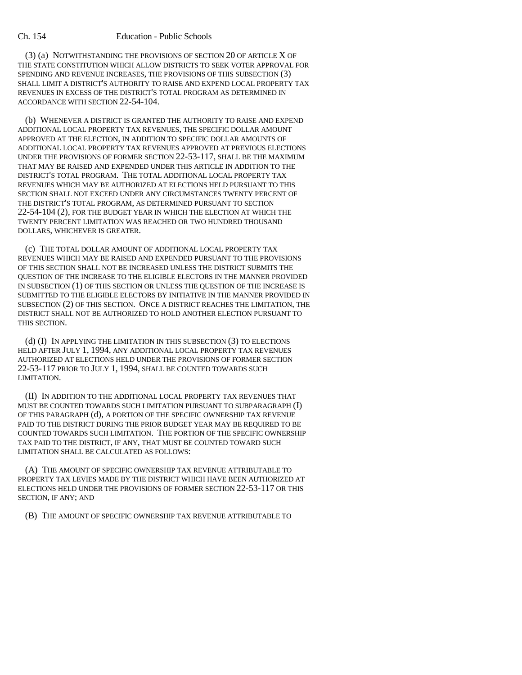(3) (a) NOTWITHSTANDING THE PROVISIONS OF SECTION 20 OF ARTICLE X OF THE STATE CONSTITUTION WHICH ALLOW DISTRICTS TO SEEK VOTER APPROVAL FOR SPENDING AND REVENUE INCREASES, THE PROVISIONS OF THIS SUBSECTION (3) SHALL LIMIT A DISTRICT'S AUTHORITY TO RAISE AND EXPEND LOCAL PROPERTY TAX REVENUES IN EXCESS OF THE DISTRICT'S TOTAL PROGRAM AS DETERMINED IN ACCORDANCE WITH SECTION 22-54-104.

(b) WHENEVER A DISTRICT IS GRANTED THE AUTHORITY TO RAISE AND EXPEND ADDITIONAL LOCAL PROPERTY TAX REVENUES, THE SPECIFIC DOLLAR AMOUNT APPROVED AT THE ELECTION, IN ADDITION TO SPECIFIC DOLLAR AMOUNTS OF ADDITIONAL LOCAL PROPERTY TAX REVENUES APPROVED AT PREVIOUS ELECTIONS UNDER THE PROVISIONS OF FORMER SECTION 22-53-117, SHALL BE THE MAXIMUM THAT MAY BE RAISED AND EXPENDED UNDER THIS ARTICLE IN ADDITION TO THE DISTRICT'S TOTAL PROGRAM. THE TOTAL ADDITIONAL LOCAL PROPERTY TAX REVENUES WHICH MAY BE AUTHORIZED AT ELECTIONS HELD PURSUANT TO THIS SECTION SHALL NOT EXCEED UNDER ANY CIRCUMSTANCES TWENTY PERCENT OF THE DISTRICT'S TOTAL PROGRAM, AS DETERMINED PURSUANT TO SECTION 22-54-104 (2), FOR THE BUDGET YEAR IN WHICH THE ELECTION AT WHICH THE TWENTY PERCENT LIMITATION WAS REACHED OR TWO HUNDRED THOUSAND DOLLARS, WHICHEVER IS GREATER.

(c) THE TOTAL DOLLAR AMOUNT OF ADDITIONAL LOCAL PROPERTY TAX REVENUES WHICH MAY BE RAISED AND EXPENDED PURSUANT TO THE PROVISIONS OF THIS SECTION SHALL NOT BE INCREASED UNLESS THE DISTRICT SUBMITS THE QUESTION OF THE INCREASE TO THE ELIGIBLE ELECTORS IN THE MANNER PROVIDED IN SUBSECTION (1) OF THIS SECTION OR UNLESS THE QUESTION OF THE INCREASE IS SUBMITTED TO THE ELIGIBLE ELECTORS BY INITIATIVE IN THE MANNER PROVIDED IN SUBSECTION (2) OF THIS SECTION. ONCE A DISTRICT REACHES THE LIMITATION, THE DISTRICT SHALL NOT BE AUTHORIZED TO HOLD ANOTHER ELECTION PURSUANT TO THIS SECTION.

(d) (I) IN APPLYING THE LIMITATION IN THIS SUBSECTION (3) TO ELECTIONS HELD AFTER JULY 1, 1994, ANY ADDITIONAL LOCAL PROPERTY TAX REVENUES AUTHORIZED AT ELECTIONS HELD UNDER THE PROVISIONS OF FORMER SECTION 22-53-117 PRIOR TO JULY 1, 1994, SHALL BE COUNTED TOWARDS SUCH LIMITATION.

(II) IN ADDITION TO THE ADDITIONAL LOCAL PROPERTY TAX REVENUES THAT MUST BE COUNTED TOWARDS SUCH LIMITATION PURSUANT TO SUBPARAGRAPH (I) OF THIS PARAGRAPH (d), A PORTION OF THE SPECIFIC OWNERSHIP TAX REVENUE PAID TO THE DISTRICT DURING THE PRIOR BUDGET YEAR MAY BE REQUIRED TO BE COUNTED TOWARDS SUCH LIMITATION. THE PORTION OF THE SPECIFIC OWNERSHIP TAX PAID TO THE DISTRICT, IF ANY, THAT MUST BE COUNTED TOWARD SUCH LIMITATION SHALL BE CALCULATED AS FOLLOWS:

(A) THE AMOUNT OF SPECIFIC OWNERSHIP TAX REVENUE ATTRIBUTABLE TO PROPERTY TAX LEVIES MADE BY THE DISTRICT WHICH HAVE BEEN AUTHORIZED AT ELECTIONS HELD UNDER THE PROVISIONS OF FORMER SECTION 22-53-117 OR THIS SECTION, IF ANY; AND

(B) THE AMOUNT OF SPECIFIC OWNERSHIP TAX REVENUE ATTRIBUTABLE TO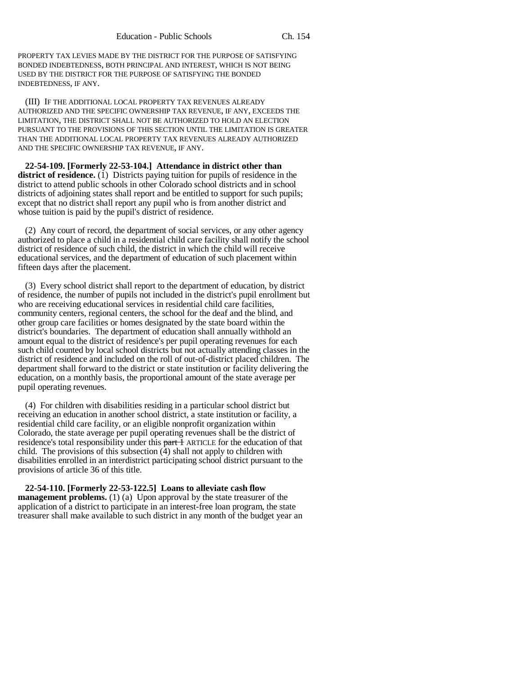PROPERTY TAX LEVIES MADE BY THE DISTRICT FOR THE PURPOSE OF SATISFYING BONDED INDEBTEDNESS, BOTH PRINCIPAL AND INTEREST, WHICH IS NOT BEING USED BY THE DISTRICT FOR THE PURPOSE OF SATISFYING THE BONDED INDEBTEDNESS, IF ANY.

(III) IF THE ADDITIONAL LOCAL PROPERTY TAX REVENUES ALREADY AUTHORIZED AND THE SPECIFIC OWNERSHIP TAX REVENUE, IF ANY, EXCEEDS THE LIMITATION, THE DISTRICT SHALL NOT BE AUTHORIZED TO HOLD AN ELECTION PURSUANT TO THE PROVISIONS OF THIS SECTION UNTIL THE LIMITATION IS GREATER THAN THE ADDITIONAL LOCAL PROPERTY TAX REVENUES ALREADY AUTHORIZED AND THE SPECIFIC OWNERSHIP TAX REVENUE, IF ANY.

**22-54-109. [Formerly 22-53-104.] Attendance in district other than district of residence.** (1) Districts paying tuition for pupils of residence in the district to attend public schools in other Colorado school districts and in school districts of adjoining states shall report and be entitled to support for such pupils; except that no district shall report any pupil who is from another district and whose tuition is paid by the pupil's district of residence.

(2) Any court of record, the department of social services, or any other agency authorized to place a child in a residential child care facility shall notify the school district of residence of such child, the district in which the child will receive educational services, and the department of education of such placement within fifteen days after the placement.

(3) Every school district shall report to the department of education, by district of residence, the number of pupils not included in the district's pupil enrollment but who are receiving educational services in residential child care facilities, community centers, regional centers, the school for the deaf and the blind, and other group care facilities or homes designated by the state board within the district's boundaries. The department of education shall annually withhold an amount equal to the district of residence's per pupil operating revenues for each such child counted by local school districts but not actually attending classes in the district of residence and included on the roll of out-of-district placed children. The department shall forward to the district or state institution or facility delivering the education, on a monthly basis, the proportional amount of the state average per pupil operating revenues.

(4) For children with disabilities residing in a particular school district but receiving an education in another school district, a state institution or facility, a residential child care facility, or an eligible nonprofit organization within Colorado, the state average per pupil operating revenues shall be the district of residence's total responsibility under this  $part 1$  ARTICLE for the education of that child. The provisions of this subsection (4) shall not apply to children with disabilities enrolled in an interdistrict participating school district pursuant to the provisions of article 36 of this title.

**22-54-110. [Formerly 22-53-122.5] Loans to alleviate cash flow management problems.** (1) (a) Upon approval by the state treasurer of the application of a district to participate in an interest-free loan program, the state treasurer shall make available to such district in any month of the budget year an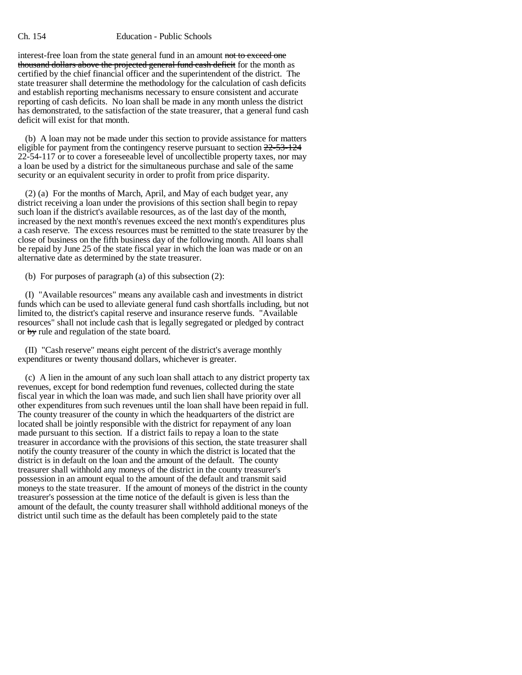### Ch. 154 Education - Public Schools

interest-free loan from the state general fund in an amount not to exceed one thousand dollars above the projected general fund cash deficit for the month as certified by the chief financial officer and the superintendent of the district. The state treasurer shall determine the methodology for the calculation of cash deficits and establish reporting mechanisms necessary to ensure consistent and accurate reporting of cash deficits. No loan shall be made in any month unless the district has demonstrated, to the satisfaction of the state treasurer, that a general fund cash deficit will exist for that month.

(b) A loan may not be made under this section to provide assistance for matters eligible for payment from the contingency reserve pursuant to section  $22-53-124$ 22-54-117 or to cover a foreseeable level of uncollectible property taxes, nor may a loan be used by a district for the simultaneous purchase and sale of the same security or an equivalent security in order to profit from price disparity.

(2) (a) For the months of March, April, and May of each budget year, any district receiving a loan under the provisions of this section shall begin to repay such loan if the district's available resources, as of the last day of the month, increased by the next month's revenues exceed the next month's expenditures plus a cash reserve. The excess resources must be remitted to the state treasurer by the close of business on the fifth business day of the following month. All loans shall be repaid by June 25 of the state fiscal year in which the loan was made or on an alternative date as determined by the state treasurer.

(b) For purposes of paragraph (a) of this subsection (2):

(I) "Available resources" means any available cash and investments in district funds which can be used to alleviate general fund cash shortfalls including, but not limited to, the district's capital reserve and insurance reserve funds. "Available resources" shall not include cash that is legally segregated or pledged by contract or by rule and regulation of the state board.

(II) "Cash reserve" means eight percent of the district's average monthly expenditures or twenty thousand dollars, whichever is greater.

(c) A lien in the amount of any such loan shall attach to any district property tax revenues, except for bond redemption fund revenues, collected during the state fiscal year in which the loan was made, and such lien shall have priority over all other expenditures from such revenues until the loan shall have been repaid in full. The county treasurer of the county in which the headquarters of the district are located shall be jointly responsible with the district for repayment of any loan made pursuant to this section. If a district fails to repay a loan to the state treasurer in accordance with the provisions of this section, the state treasurer shall notify the county treasurer of the county in which the district is located that the district is in default on the loan and the amount of the default. The county treasurer shall withhold any moneys of the district in the county treasurer's possession in an amount equal to the amount of the default and transmit said moneys to the state treasurer. If the amount of moneys of the district in the county treasurer's possession at the time notice of the default is given is less than the amount of the default, the county treasurer shall withhold additional moneys of the district until such time as the default has been completely paid to the state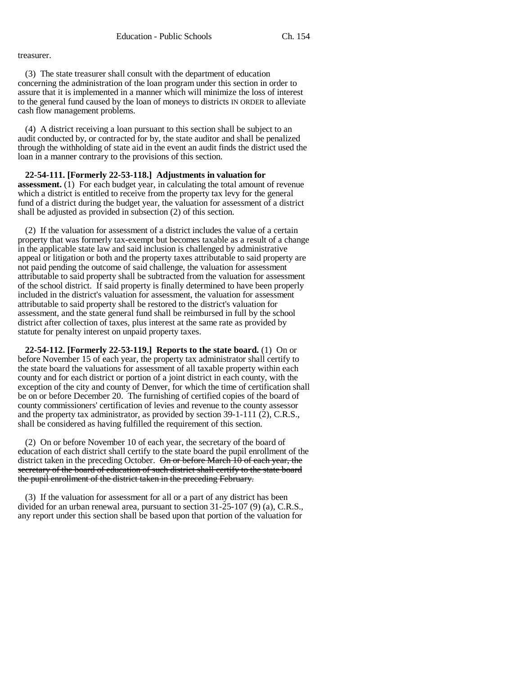treasurer.

(3) The state treasurer shall consult with the department of education concerning the administration of the loan program under this section in order to assure that it is implemented in a manner which will minimize the loss of interest to the general fund caused by the loan of moneys to districts IN ORDER to alleviate cash flow management problems.

(4) A district receiving a loan pursuant to this section shall be subject to an audit conducted by, or contracted for by, the state auditor and shall be penalized through the withholding of state aid in the event an audit finds the district used the loan in a manner contrary to the provisions of this section.

**22-54-111. [Formerly 22-53-118.] Adjustments in valuation for assessment.** (1) For each budget year, in calculating the total amount of revenue which a district is entitled to receive from the property tax levy for the general fund of a district during the budget year, the valuation for assessment of a district shall be adjusted as provided in subsection (2) of this section.

(2) If the valuation for assessment of a district includes the value of a certain property that was formerly tax-exempt but becomes taxable as a result of a change in the applicable state law and said inclusion is challenged by administrative appeal or litigation or both and the property taxes attributable to said property are not paid pending the outcome of said challenge, the valuation for assessment attributable to said property shall be subtracted from the valuation for assessment of the school district. If said property is finally determined to have been properly included in the district's valuation for assessment, the valuation for assessment attributable to said property shall be restored to the district's valuation for assessment, and the state general fund shall be reimbursed in full by the school district after collection of taxes, plus interest at the same rate as provided by statute for penalty interest on unpaid property taxes.

**22-54-112. [Formerly 22-53-119.] Reports to the state board.** (1) On or before November 15 of each year, the property tax administrator shall certify to the state board the valuations for assessment of all taxable property within each county and for each district or portion of a joint district in each county, with the exception of the city and county of Denver, for which the time of certification shall be on or before December 20. The furnishing of certified copies of the board of county commissioners' certification of levies and revenue to the county assessor and the property tax administrator, as provided by section 39-1-111 (2), C.R.S., shall be considered as having fulfilled the requirement of this section.

(2) On or before November 10 of each year, the secretary of the board of education of each district shall certify to the state board the pupil enrollment of the district taken in the preceding October.  $\Theta$  or before March 10 of each year, the secretary of the board of education of such district shall certify to the state board the pupil enrollment of the district taken in the preceding February.

(3) If the valuation for assessment for all or a part of any district has been divided for an urban renewal area, pursuant to section 31-25-107 (9) (a), C.R.S., any report under this section shall be based upon that portion of the valuation for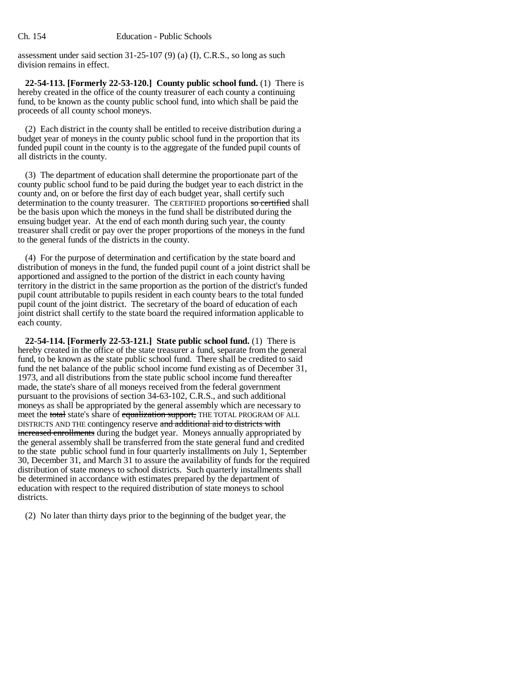assessment under said section 31-25-107 (9) (a) (I), C.R.S., so long as such division remains in effect.

**22-54-113. [Formerly 22-53-120.] County public school fund.** (1) There is hereby created in the office of the county treasurer of each county a continuing fund, to be known as the county public school fund, into which shall be paid the proceeds of all county school moneys.

(2) Each district in the county shall be entitled to receive distribution during a budget year of moneys in the county public school fund in the proportion that its funded pupil count in the county is to the aggregate of the funded pupil counts of all districts in the county.

(3) The department of education shall determine the proportionate part of the county public school fund to be paid during the budget year to each district in the county and, on or before the first day of each budget year, shall certify such determination to the county treasurer. The CERTIFIED proportions so certified shall be the basis upon which the moneys in the fund shall be distributed during the ensuing budget year. At the end of each month during such year, the county treasurer shall credit or pay over the proper proportions of the moneys in the fund to the general funds of the districts in the county.

(4) For the purpose of determination and certification by the state board and distribution of moneys in the fund, the funded pupil count of a joint district shall be apportioned and assigned to the portion of the district in each county having territory in the district in the same proportion as the portion of the district's funded pupil count attributable to pupils resident in each county bears to the total funded pupil count of the joint district. The secretary of the board of education of each joint district shall certify to the state board the required information applicable to each county.

**22-54-114. [Formerly 22-53-121.] State public school fund.** (1) There is hereby created in the office of the state treasurer a fund, separate from the general fund, to be known as the state public school fund. There shall be credited to said fund the net balance of the public school income fund existing as of December 31, 1973, and all distributions from the state public school income fund thereafter made, the state's share of all moneys received from the federal government pursuant to the provisions of section 34-63-102, C.R.S., and such additional moneys as shall be appropriated by the general assembly which are necessary to meet the total state's share of equalization support, THE TOTAL PROGRAM OF ALL DISTRICTS AND THE contingency reserve and additional aid to districts with increased enrollments during the budget year. Moneys annually appropriated by the general assembly shall be transferred from the state general fund and credited to the state public school fund in four quarterly installments on July 1, September 30, December 31, and March 31 to assure the availability of funds for the required distribution of state moneys to school districts. Such quarterly installments shall be determined in accordance with estimates prepared by the department of education with respect to the required distribution of state moneys to school districts.

(2) No later than thirty days prior to the beginning of the budget year, the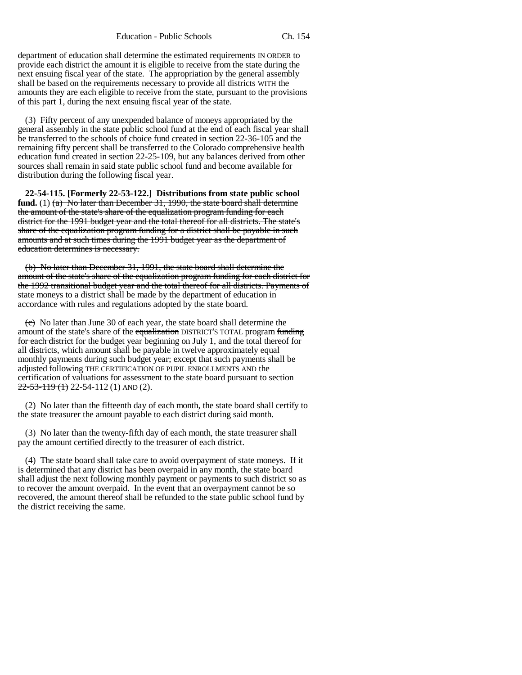department of education shall determine the estimated requirements IN ORDER to provide each district the amount it is eligible to receive from the state during the next ensuing fiscal year of the state. The appropriation by the general assembly shall be based on the requirements necessary to provide all districts WITH the amounts they are each eligible to receive from the state, pursuant to the provisions of this part 1, during the next ensuing fiscal year of the state.

(3) Fifty percent of any unexpended balance of moneys appropriated by the general assembly in the state public school fund at the end of each fiscal year shall be transferred to the schools of choice fund created in section 22-36-105 and the remaining fifty percent shall be transferred to the Colorado comprehensive health education fund created in section 22-25-109, but any balances derived from other sources shall remain in said state public school fund and become available for distribution during the following fiscal year.

**22-54-115. [Formerly 22-53-122.] Distributions from state public school fund.** (1) (a) No later than December 31, 1990, the state board shall determine the amount of the state's share of the equalization program funding for each district for the 1991 budget year and the total thereof for all districts. The state's share of the equalization program funding for a district shall be payable in such amounts and at such times during the 1991 budget year as the department of education determines is necessary.

(b) No later than December 31, 1991, the state board shall determine the amount of the state's share of the equalization program funding for each district for the 1992 transitional budget year and the total thereof for all districts. Payments of state moneys to a district shall be made by the department of education in accordance with rules and regulations adopted by the state board.

(c) No later than June 30 of each year, the state board shall determine the amount of the state's share of the equalization DISTRICT'S TOTAL program funding for each district for the budget year beginning on July 1, and the total thereof for all districts, which amount shall be payable in twelve approximately equal monthly payments during such budget year; except that such payments shall be adjusted following THE CERTIFICATION OF PUPIL ENROLLMENTS AND the certification of valuations for assessment to the state board pursuant to section  $22-53-119$  (1) 22-54-112 (1) AND (2).

(2) No later than the fifteenth day of each month, the state board shall certify to the state treasurer the amount payable to each district during said month.

(3) No later than the twenty-fifth day of each month, the state treasurer shall pay the amount certified directly to the treasurer of each district.

(4) The state board shall take care to avoid overpayment of state moneys. If it is determined that any district has been overpaid in any month, the state board shall adjust the next following monthly payment or payments to such district so as to recover the amount overpaid. In the event that an overpayment cannot be  $\overline{s}$ recovered, the amount thereof shall be refunded to the state public school fund by the district receiving the same.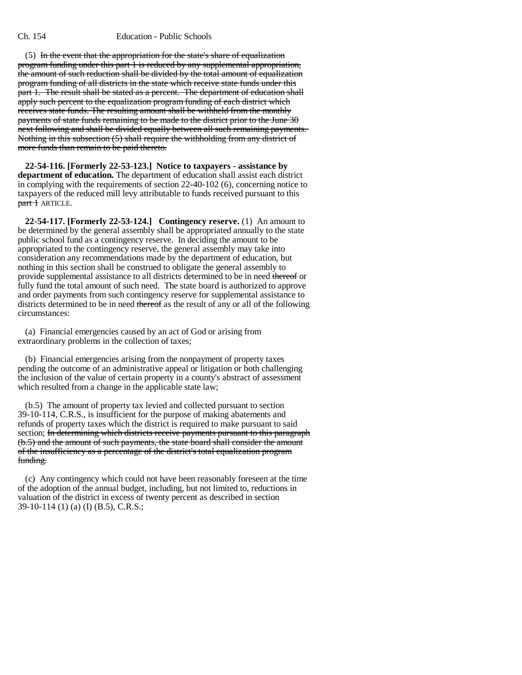### Ch. 154 Education - Public Schools

(5) In the event that the appropriation for the state's share of equalization program funding under this part 1 is reduced by any supplemental appropriation, the amount of such reduction shall be divided by the total amount of equalization program funding of all districts in the state which receive state funds under this part 1. The result shall be stated as a percent. The department of education shall apply such percent to the equalization program funding of each district which receives state funds. The resulting amount shall be withheld from the monthly payments of state funds remaining to be made to the district prior to the June 30 next following and shall be divided equally between all such remaining payments. Nothing in this subsection (5) shall require the withholding from any district of more funds than remain to be paid thereto.

**22-54-116. [Formerly 22-53-123.] Notice to taxpayers - assistance by department of education.** The department of education shall assist each district in complying with the requirements of section 22-40-102 (6), concerning notice to taxpayers of the reduced mill levy attributable to funds received pursuant to this part + ARTICLE.

**22-54-117. [Formerly 22-53-124.] Contingency reserve.** (1) An amount to be determined by the general assembly shall be appropriated annually to the state public school fund as a contingency reserve. In deciding the amount to be appropriated to the contingency reserve, the general assembly may take into consideration any recommendations made by the department of education, but nothing in this section shall be construed to obligate the general assembly to provide supplemental assistance to all districts determined to be in need thereof or fully fund the total amount of such need. The state board is authorized to approve and order payments from such contingency reserve for supplemental assistance to districts determined to be in need thereof as the result of any or all of the following circumstances:

(a) Financial emergencies caused by an act of God or arising from extraordinary problems in the collection of taxes;

(b) Financial emergencies arising from the nonpayment of property taxes pending the outcome of an administrative appeal or litigation or both challenging the inclusion of the value of certain property in a county's abstract of assessment which resulted from a change in the applicable state law;

(b.5) The amount of property tax levied and collected pursuant to section 39-10-114, C.R.S., is insufficient for the purpose of making abatements and refunds of property taxes which the district is required to make pursuant to said section; In determining which districts receive payments pursuant to this paragraph (b.5) and the amount of such payments, the state board shall consider the amount of the insufficiency as a percentage of the district's total equalization program funding.

(c) Any contingency which could not have been reasonably foreseen at the time of the adoption of the annual budget, including, but not limited to, reductions in valuation of the district in excess of twenty percent as described in section 39-10-114 (1) (a) (I) (B.5), C.R.S.;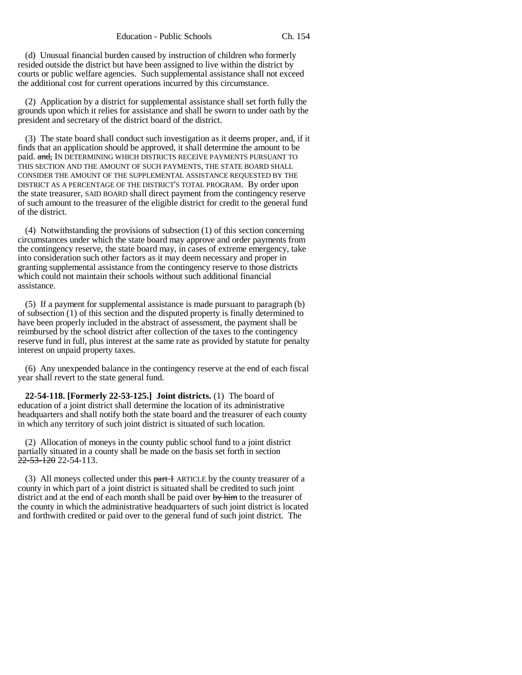(d) Unusual financial burden caused by instruction of children who formerly resided outside the district but have been assigned to live within the district by courts or public welfare agencies. Such supplemental assistance shall not exceed the additional cost for current operations incurred by this circumstance.

(2) Application by a district for supplemental assistance shall set forth fully the grounds upon which it relies for assistance and shall be sworn to under oath by the president and secretary of the district board of the district.

(3) The state board shall conduct such investigation as it deems proper, and, if it finds that an application should be approved, it shall determine the amount to be paid. and, IN DETERMINING WHICH DISTRICTS RECEIVE PAYMENTS PURSUANT TO THIS SECTION AND THE AMOUNT OF SUCH PAYMENTS, THE STATE BOARD SHALL CONSIDER THE AMOUNT OF THE SUPPLEMENTAL ASSISTANCE REQUESTED BY THE DISTRICT AS A PERCENTAGE OF THE DISTRICT'S TOTAL PROGRAM. By order upon the state treasurer, SAID BOARD shall direct payment from the contingency reserve of such amount to the treasurer of the eligible district for credit to the general fund of the district.

(4) Notwithstanding the provisions of subsection (1) of this section concerning circumstances under which the state board may approve and order payments from the contingency reserve, the state board may, in cases of extreme emergency, take into consideration such other factors as it may deem necessary and proper in granting supplemental assistance from the contingency reserve to those districts which could not maintain their schools without such additional financial assistance.

(5) If a payment for supplemental assistance is made pursuant to paragraph (b) of subsection (1) of this section and the disputed property is finally determined to have been properly included in the abstract of assessment, the payment shall be reimbursed by the school district after collection of the taxes to the contingency reserve fund in full, plus interest at the same rate as provided by statute for penalty interest on unpaid property taxes.

(6) Any unexpended balance in the contingency reserve at the end of each fiscal year shall revert to the state general fund.

**22-54-118. [Formerly 22-53-125.] Joint districts.** (1) The board of education of a joint district shall determine the location of its administrative headquarters and shall notify both the state board and the treasurer of each county in which any territory of such joint district is situated of such location.

(2) Allocation of moneys in the county public school fund to a joint district partially situated in a county shall be made on the basis set forth in section  $\frac{22-53-120}{22-54-113}$ .

(3) All moneys collected under this  $part 1$  ARTICLE by the county treasurer of a county in which part of a joint district is situated shall be credited to such joint district and at the end of each month shall be paid over by him to the treasurer of the county in which the administrative headquarters of such joint district is located and forthwith credited or paid over to the general fund of such joint district. The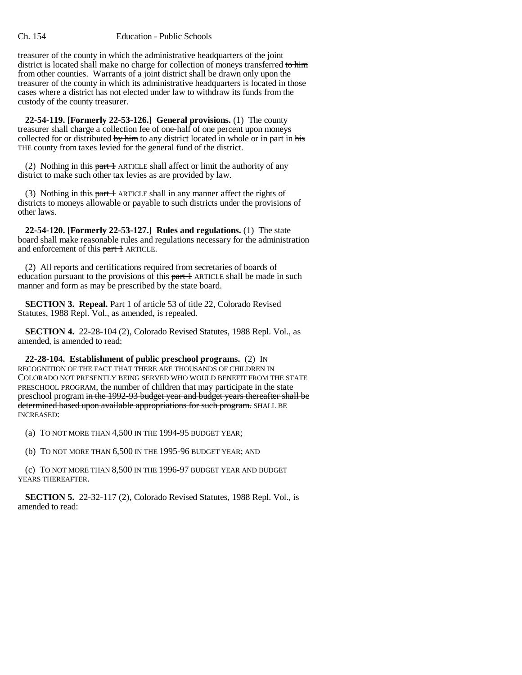treasurer of the county in which the administrative headquarters of the joint district is located shall make no charge for collection of moneys transferred to him from other counties. Warrants of a joint district shall be drawn only upon the treasurer of the county in which its administrative headquarters is located in those cases where a district has not elected under law to withdraw its funds from the custody of the county treasurer.

**22-54-119. [Formerly 22-53-126.] General provisions.** (1) The county treasurer shall charge a collection fee of one-half of one percent upon moneys collected for or distributed by him to any district located in whole or in part in his THE county from taxes levied for the general fund of the district.

(2) Nothing in this part  $\pm$  ARTICLE shall affect or limit the authority of any district to make such other tax levies as are provided by law.

(3) Nothing in this  $part 1$  ARTICLE shall in any manner affect the rights of districts to moneys allowable or payable to such districts under the provisions of other laws.

**22-54-120. [Formerly 22-53-127.] Rules and regulations.** (1) The state board shall make reasonable rules and regulations necessary for the administration and enforcement of this part 1 ARTICLE.

(2) All reports and certifications required from secretaries of boards of education pursuant to the provisions of this part  $\pm$  ARTICLE shall be made in such manner and form as may be prescribed by the state board.

**SECTION 3. Repeal.** Part 1 of article 53 of title 22, Colorado Revised Statutes, 1988 Repl. Vol., as amended, is repealed.

**SECTION 4.** 22-28-104 (2), Colorado Revised Statutes, 1988 Repl. Vol., as amended, is amended to read:

**22-28-104. Establishment of public preschool programs.** (2) IN RECOGNITION OF THE FACT THAT THERE ARE THOUSANDS OF CHILDREN IN COLORADO NOT PRESENTLY BEING SERVED WHO WOULD BENEFIT FROM THE STATE PRESCHOOL PROGRAM, the number of children that may participate in the state preschool program in the 1992-93 budget year and budget years thereafter shall be determined based upon available appropriations for such program. SHALL BE INCREASED:

(a) TO NOT MORE THAN 4,500 IN THE 1994-95 BUDGET YEAR;

(b) TO NOT MORE THAN 6,500 IN THE 1995-96 BUDGET YEAR; AND

(c) TO NOT MORE THAN 8,500 IN THE 1996-97 BUDGET YEAR AND BUDGET YEARS THEREAFTER.

**SECTION 5.** 22-32-117 (2), Colorado Revised Statutes, 1988 Repl. Vol., is amended to read: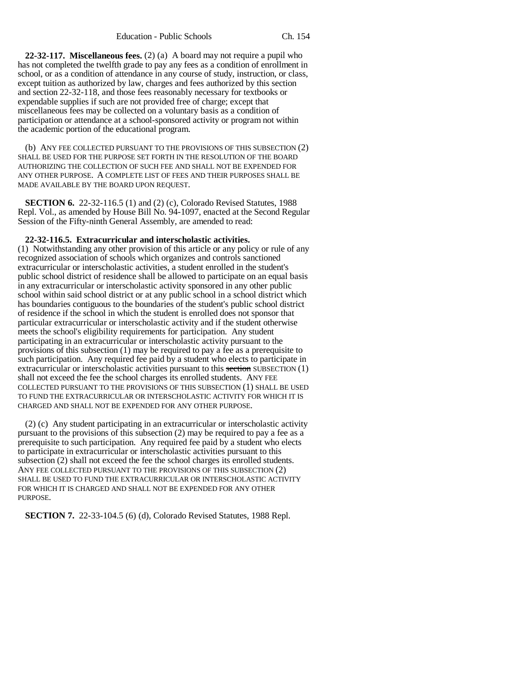**22-32-117. Miscellaneous fees.** (2) (a) A board may not require a pupil who has not completed the twelfth grade to pay any fees as a condition of enrollment in school, or as a condition of attendance in any course of study, instruction, or class, except tuition as authorized by law, charges and fees authorized by this section and section 22-32-118, and those fees reasonably necessary for textbooks or expendable supplies if such are not provided free of charge; except that miscellaneous fees may be collected on a voluntary basis as a condition of participation or attendance at a school-sponsored activity or program not within the academic portion of the educational program.

(b) ANY FEE COLLECTED PURSUANT TO THE PROVISIONS OF THIS SUBSECTION (2) SHALL BE USED FOR THE PURPOSE SET FORTH IN THE RESOLUTION OF THE BOARD AUTHORIZING THE COLLECTION OF SUCH FEE AND SHALL NOT BE EXPENDED FOR ANY OTHER PURPOSE. A COMPLETE LIST OF FEES AND THEIR PURPOSES SHALL BE MADE AVAILABLE BY THE BOARD UPON REQUEST.

**SECTION 6.** 22-32-116.5 (1) and (2) (c), Colorado Revised Statutes, 1988 Repl. Vol., as amended by House Bill No. 94-1097, enacted at the Second Regular Session of the Fifty-ninth General Assembly, are amended to read:

### **22-32-116.5. Extracurricular and interscholastic activities.**

(1) Notwithstanding any other provision of this article or any policy or rule of any recognized association of schools which organizes and controls sanctioned extracurricular or interscholastic activities, a student enrolled in the student's public school district of residence shall be allowed to participate on an equal basis in any extracurricular or interscholastic activity sponsored in any other public school within said school district or at any public school in a school district which has boundaries contiguous to the boundaries of the student's public school district of residence if the school in which the student is enrolled does not sponsor that particular extracurricular or interscholastic activity and if the student otherwise meets the school's eligibility requirements for participation. Any student participating in an extracurricular or interscholastic activity pursuant to the provisions of this subsection (1) may be required to pay a fee as a prerequisite to such participation. Any required fee paid by a student who elects to participate in extracurricular or interscholastic activities pursuant to this section SUBSECTION  $(1)$ shall not exceed the fee the school charges its enrolled students. ANY FEE COLLECTED PURSUANT TO THE PROVISIONS OF THIS SUBSECTION (1) SHALL BE USED TO FUND THE EXTRACURRICULAR OR INTERSCHOLASTIC ACTIVITY FOR WHICH IT IS CHARGED AND SHALL NOT BE EXPENDED FOR ANY OTHER PURPOSE.

(2) (c) Any student participating in an extracurricular or interscholastic activity pursuant to the provisions of this subsection (2) may be required to pay a fee as a prerequisite to such participation. Any required fee paid by a student who elects to participate in extracurricular or interscholastic activities pursuant to this subsection (2) shall not exceed the fee the school charges its enrolled students. ANY FEE COLLECTED PURSUANT TO THE PROVISIONS OF THIS SUBSECTION (2) SHALL BE USED TO FUND THE EXTRACURRICULAR OR INTERSCHOLASTIC ACTIVITY FOR WHICH IT IS CHARGED AND SHALL NOT BE EXPENDED FOR ANY OTHER PURPOSE.

**SECTION 7.** 22-33-104.5 (6) (d), Colorado Revised Statutes, 1988 Repl.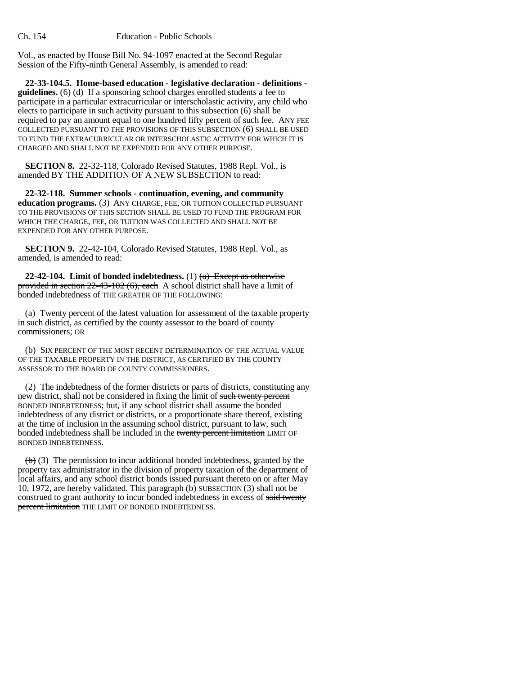Vol., as enacted by House Bill No. 94-1097 enacted at the Second Regular Session of the Fifty-ninth General Assembly, is amended to read:

**22-33-104.5. Home-based education - legislative declaration - definitions guidelines.** (6) (d) If a sponsoring school charges enrolled students a fee to participate in a particular extracurricular or interscholastic activity, any child who elects to participate in such activity pursuant to this subsection (6) shall be required to pay an amount equal to one hundred fifty percent of such fee. ANY FEE COLLECTED PURSUANT TO THE PROVISIONS OF THIS SUBSECTION (6) SHALL BE USED TO FUND THE EXTRACURRICULAR OR INTERSCHOLASTIC ACTIVITY FOR WHICH IT IS CHARGED AND SHALL NOT BE EXPENDED FOR ANY OTHER PURPOSE.

**SECTION 8.** 22-32-118, Colorado Revised Statutes, 1988 Repl. Vol., is amended BY THE ADDITION OF A NEW SUBSECTION to read:

**22-32-118. Summer schools - continuation, evening, and community education programs.** (3) ANY CHARGE, FEE, OR TUITION COLLECTED PURSUANT TO THE PROVISIONS OF THIS SECTION SHALL BE USED TO FUND THE PROGRAM FOR WHICH THE CHARGE, FEE, OR TUITION WAS COLLECTED AND SHALL NOT BE EXPENDED FOR ANY OTHER PURPOSE.

**SECTION 9.** 22-42-104, Colorado Revised Statutes, 1988 Repl. Vol., as amended, is amended to read:

**22-42-104.** Limit of bonded indebtedness.  $(1)$   $(a)$  Except as otherwise provided in section 22-43-102 (6), each A school district shall have a limit of bonded indebtedness of THE GREATER OF THE FOLLOWING:

(a) Twenty percent of the latest valuation for assessment of the taxable property in such district, as certified by the county assessor to the board of county commissioners; OR

(b) SIX PERCENT OF THE MOST RECENT DETERMINATION OF THE ACTUAL VALUE OF THE TAXABLE PROPERTY IN THE DISTRICT, AS CERTIFIED BY THE COUNTY ASSESSOR TO THE BOARD OF COUNTY COMMISSIONERS.

(2) The indebtedness of the former districts or parts of districts, constituting any new district, shall not be considered in fixing the limit of such twenty percent BONDED INDEBTEDNESS; but, if any school district shall assume the bonded indebtedness of any district or districts, or a proportionate share thereof, existing at the time of inclusion in the assuming school district, pursuant to law, such bonded indebtedness shall be included in the twenty percent limitation LIMIT OF BONDED INDEBTEDNESS.

 $\leftrightarrow$  (3) The permission to incur additional bonded indebtedness, granted by the property tax administrator in the division of property taxation of the department of local affairs, and any school district bonds issued pursuant thereto on or after May 10, 1972, are hereby validated. This paragraph  $(b)$  SUBSECTION (3) shall not be construed to grant authority to incur bonded indebtedness in excess of said twenty percent limitation THE LIMIT OF BONDED INDEBTEDNESS.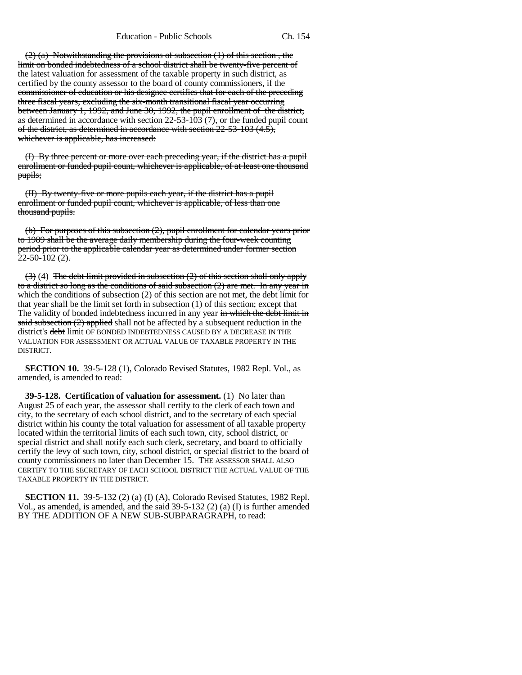Education - Public Schools Ch. 154

 $(2)$  (a) Notwithstanding the provisions of subsection  $(1)$  of this section, the limit on bonded indebtedness of a school district shall be twenty-five percent of the latest valuation for assessment of the taxable property in such district, as certified by the county assessor to the board of county commissioners, if the commissioner of education or his designee certifies that for each of the preceding three fiscal years, excluding the six-month transitional fiscal year occurring between January 1, 1992, and June 30, 1992, the pupil enrollment of the district, as determined in accordance with section  $22-53-103(7)$ , or the funded pupil count of the district, as determined in accordance with section  $22-53-103$  (4.5), whichever is applicable, has increased:

(I) By three percent or more over each preceding year, if the district has a pupil enrollment or funded pupil count, whichever is applicable, of at least one thousand pupils;

(II) By twenty-five or more pupils each year, if the district has a pupil enrollment or funded pupil count, whichever is applicable, of less than one thousand pupils.

(b) For purposes of this subsection (2), pupil enrollment for calendar years prior to 1989 shall be the average daily membership during the four-week counting period prior to the applicable calendar year as determined under former section  $22 - 50 - 102$  (2).

 $(3)$  (4) The debt limit provided in subsection (2) of this section shall only apply to a district so long as the conditions of said subsection (2) are met. In any year in which the conditions of subsection  $(2)$  of this section are not met, the debt limit for that year shall be the limit set forth in subsection (1) of this section; except that The validity of bonded indebtedness incurred in any year in which the debt limit in said subsection (2) applied shall not be affected by a subsequent reduction in the district's debt limit OF BONDED INDEBTEDNESS CAUSED BY A DECREASE IN THE VALUATION FOR ASSESSMENT OR ACTUAL VALUE OF TAXABLE PROPERTY IN THE DISTRICT.

**SECTION 10.** 39-5-128 (1), Colorado Revised Statutes, 1982 Repl. Vol., as amended, is amended to read:

**39-5-128. Certification of valuation for assessment.** (1) No later than August 25 of each year, the assessor shall certify to the clerk of each town and city, to the secretary of each school district, and to the secretary of each special district within his county the total valuation for assessment of all taxable property located within the territorial limits of each such town, city, school district, or special district and shall notify each such clerk, secretary, and board to officially certify the levy of such town, city, school district, or special district to the board of county commissioners no later than December 15. THE ASSESSOR SHALL ALSO CERTIFY TO THE SECRETARY OF EACH SCHOOL DISTRICT THE ACTUAL VALUE OF THE TAXABLE PROPERTY IN THE DISTRICT.

**SECTION 11.** 39-5-132 (2) (a) (I) (A), Colorado Revised Statutes, 1982 Repl. Vol., as amended, is amended, and the said 39-5-132 (2) (a) (I) is further amended BY THE ADDITION OF A NEW SUB-SUBPARAGRAPH, to read: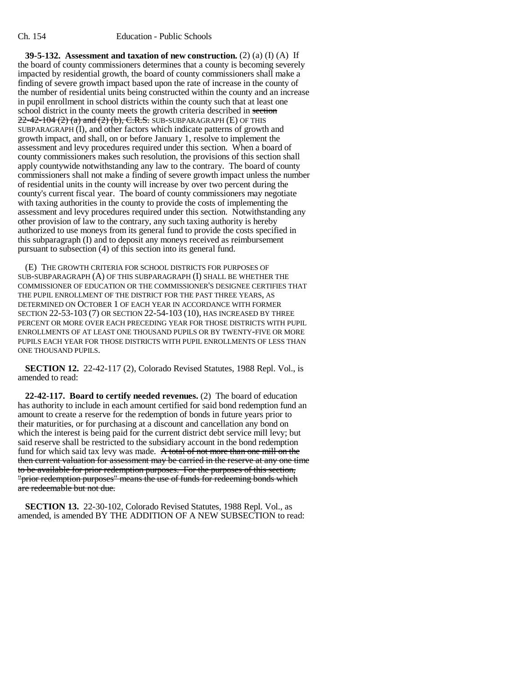**39-5-132. Assessment and taxation of new construction.** (2) (a) (I) (A) If the board of county commissioners determines that a county is becoming severely impacted by residential growth, the board of county commissioners shall make a finding of severe growth impact based upon the rate of increase in the county of the number of residential units being constructed within the county and an increase in pupil enrollment in school districts within the county such that at least one school district in the county meets the growth criteria described in section  $22-42-104(2)$  (a) and (2) (b), C.R.S. SUB-SUBPARAGRAPH (E) OF THIS SUBPARAGRAPH (I), and other factors which indicate patterns of growth and growth impact, and shall, on or before January 1, resolve to implement the assessment and levy procedures required under this section. When a board of county commissioners makes such resolution, the provisions of this section shall apply countywide notwithstanding any law to the contrary. The board of county commissioners shall not make a finding of severe growth impact unless the number of residential units in the county will increase by over two percent during the county's current fiscal year. The board of county commissioners may negotiate with taxing authorities in the county to provide the costs of implementing the assessment and levy procedures required under this section. Notwithstanding any other provision of law to the contrary, any such taxing authority is hereby authorized to use moneys from its general fund to provide the costs specified in this subparagraph (I) and to deposit any moneys received as reimbursement pursuant to subsection (4) of this section into its general fund.

(E) THE GROWTH CRITERIA FOR SCHOOL DISTRICTS FOR PURPOSES OF SUB-SUBPARAGRAPH (A) OF THIS SUBPARAGRAPH (I) SHALL BE WHETHER THE COMMISSIONER OF EDUCATION OR THE COMMISSIONER'S DESIGNEE CERTIFIES THAT THE PUPIL ENROLLMENT OF THE DISTRICT FOR THE PAST THREE YEARS, AS DETERMINED ON OCTOBER 1 OF EACH YEAR IN ACCORDANCE WITH FORMER SECTION 22-53-103 (7) OR SECTION 22-54-103 (10), HAS INCREASED BY THREE PERCENT OR MORE OVER EACH PRECEDING YEAR FOR THOSE DISTRICTS WITH PUPIL ENROLLMENTS OF AT LEAST ONE THOUSAND PUPILS OR BY TWENTY-FIVE OR MORE PUPILS EACH YEAR FOR THOSE DISTRICTS WITH PUPIL ENROLLMENTS OF LESS THAN ONE THOUSAND PUPILS.

**SECTION 12.** 22-42-117 (2), Colorado Revised Statutes, 1988 Repl. Vol., is amended to read:

**22-42-117. Board to certify needed revenues.** (2) The board of education has authority to include in each amount certified for said bond redemption fund an amount to create a reserve for the redemption of bonds in future years prior to their maturities, or for purchasing at a discount and cancellation any bond on which the interest is being paid for the current district debt service mill levy; but said reserve shall be restricted to the subsidiary account in the bond redemption fund for which said tax levy was made. A total of not more than one mill on the then current valuation for assessment may be carried in the reserve at any one time to be available for prior redemption purposes. For the purposes of this section, "prior redemption purposes" means the use of funds for redeeming bonds which are redeemable but not due.

**SECTION 13.** 22-30-102, Colorado Revised Statutes, 1988 Repl. Vol., as amended, is amended BY THE ADDITION OF A NEW SUBSECTION to read: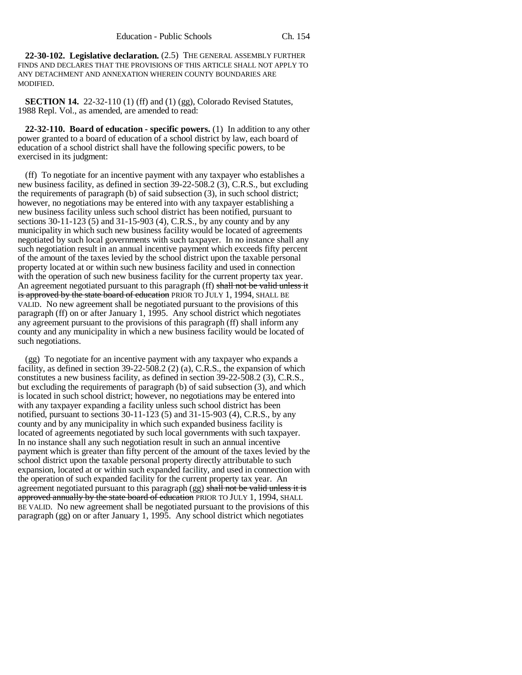**22-30-102. Legislative declaration.** (2.5) THE GENERAL ASSEMBLY FURTHER FINDS AND DECLARES THAT THE PROVISIONS OF THIS ARTICLE SHALL NOT APPLY TO ANY DETACHMENT AND ANNEXATION WHEREIN COUNTY BOUNDARIES ARE MODIFIED.

**SECTION 14.** 22-32-110 (1) (ff) and (1) (gg), Colorado Revised Statutes, 1988 Repl. Vol., as amended, are amended to read:

**22-32-110. Board of education - specific powers.** (1) In addition to any other power granted to a board of education of a school district by law, each board of education of a school district shall have the following specific powers, to be exercised in its judgment:

(ff) To negotiate for an incentive payment with any taxpayer who establishes a new business facility, as defined in section 39-22-508.2 (3), C.R.S., but excluding the requirements of paragraph (b) of said subsection (3), in such school district; however, no negotiations may be entered into with any taxpayer establishing a new business facility unless such school district has been notified, pursuant to sections 30-11-123 (5) and 31-15-903 (4), C.R.S., by any county and by any municipality in which such new business facility would be located of agreements negotiated by such local governments with such taxpayer. In no instance shall any such negotiation result in an annual incentive payment which exceeds fifty percent of the amount of the taxes levied by the school district upon the taxable personal property located at or within such new business facility and used in connection with the operation of such new business facility for the current property tax year. An agreement negotiated pursuant to this paragraph (ff) shall not be valid unless it is approved by the state board of education PRIOR TO JULY 1, 1994, SHALL BE VALID. No new agreement shall be negotiated pursuant to the provisions of this paragraph (ff) on or after January 1, 1995. Any school district which negotiates any agreement pursuant to the provisions of this paragraph (ff) shall inform any county and any municipality in which a new business facility would be located of such negotiations.

(gg) To negotiate for an incentive payment with any taxpayer who expands a facility, as defined in section 39-22-508.2 (2) (a), C.R.S., the expansion of which constitutes a new business facility, as defined in section 39-22-508.2 (3), C.R.S., but excluding the requirements of paragraph (b) of said subsection (3), and which is located in such school district; however, no negotiations may be entered into with any taxpayer expanding a facility unless such school district has been notified, pursuant to sections 30-11-123 (5) and 31-15-903 (4), C.R.S., by any county and by any municipality in which such expanded business facility is located of agreements negotiated by such local governments with such taxpayer. In no instance shall any such negotiation result in such an annual incentive payment which is greater than fifty percent of the amount of the taxes levied by the school district upon the taxable personal property directly attributable to such expansion, located at or within such expanded facility, and used in connection with the operation of such expanded facility for the current property tax year. An agreement negotiated pursuant to this paragraph (gg) shall not be valid unless it is approved annually by the state board of education PRIOR TO JULY 1, 1994, SHALL BE VALID. No new agreement shall be negotiated pursuant to the provisions of this paragraph (gg) on or after January 1, 1995. Any school district which negotiates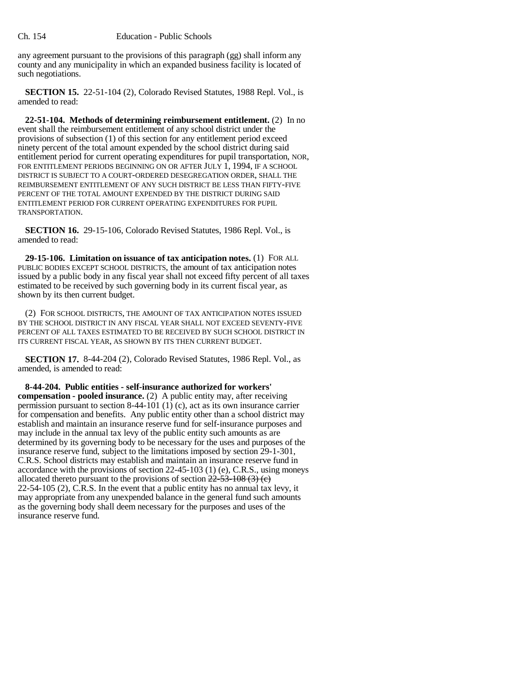any agreement pursuant to the provisions of this paragraph (gg) shall inform any county and any municipality in which an expanded business facility is located of such negotiations.

**SECTION 15.** 22-51-104 (2), Colorado Revised Statutes, 1988 Repl. Vol., is amended to read:

**22-51-104. Methods of determining reimbursement entitlement.** (2) In no event shall the reimbursement entitlement of any school district under the provisions of subsection (1) of this section for any entitlement period exceed ninety percent of the total amount expended by the school district during said entitlement period for current operating expenditures for pupil transportation, NOR, FOR ENTITLEMENT PERIODS BEGINNING ON OR AFTER JULY 1, 1994, IF A SCHOOL DISTRICT IS SUBJECT TO A COURT-ORDERED DESEGREGATION ORDER, SHALL THE REIMBURSEMENT ENTITLEMENT OF ANY SUCH DISTRICT BE LESS THAN FIFTY-FIVE PERCENT OF THE TOTAL AMOUNT EXPENDED BY THE DISTRICT DURING SAID ENTITLEMENT PERIOD FOR CURRENT OPERATING EXPENDITURES FOR PUPIL TRANSPORTATION.

**SECTION 16.** 29-15-106, Colorado Revised Statutes, 1986 Repl. Vol., is amended to read:

**29-15-106. Limitation on issuance of tax anticipation notes.** (1) FOR ALL PUBLIC BODIES EXCEPT SCHOOL DISTRICTS, the amount of tax anticipation notes issued by a public body in any fiscal year shall not exceed fifty percent of all taxes estimated to be received by such governing body in its current fiscal year, as shown by its then current budget.

(2) FOR SCHOOL DISTRICTS, THE AMOUNT OF TAX ANTICIPATION NOTES ISSUED BY THE SCHOOL DISTRICT IN ANY FISCAL YEAR SHALL NOT EXCEED SEVENTY-FIVE PERCENT OF ALL TAXES ESTIMATED TO BE RECEIVED BY SUCH SCHOOL DISTRICT IN ITS CURRENT FISCAL YEAR, AS SHOWN BY ITS THEN CURRENT BUDGET.

**SECTION 17.** 8-44-204 (2), Colorado Revised Statutes, 1986 Repl. Vol., as amended, is amended to read:

**8-44-204. Public entities - self-insurance authorized for workers' compensation - pooled insurance.** (2) A public entity may, after receiving permission pursuant to section 8-44-101 (1) (c), act as its own insurance carrier for compensation and benefits. Any public entity other than a school district may establish and maintain an insurance reserve fund for self-insurance purposes and may include in the annual tax levy of the public entity such amounts as are determined by its governing body to be necessary for the uses and purposes of the insurance reserve fund, subject to the limitations imposed by section 29-1-301, C.R.S. School districts may establish and maintain an insurance reserve fund in accordance with the provisions of section 22-45-103 (1) (e), C.R.S., using moneys allocated thereto pursuant to the provisions of section  $22-53-108$  (3) (e)  $22-54-105$  (2), C.R.S. In the event that a public entity has no annual tax levy, it may appropriate from any unexpended balance in the general fund such amounts as the governing body shall deem necessary for the purposes and uses of the insurance reserve fund.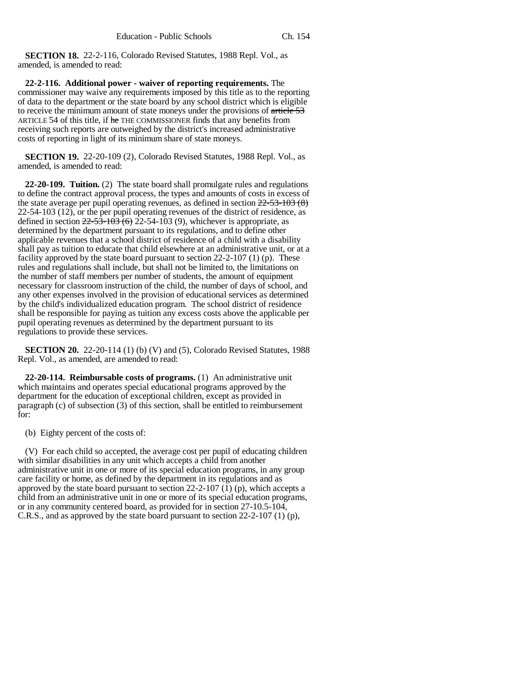**SECTION 18.** 22-2-116, Colorado Revised Statutes, 1988 Repl. Vol., as amended, is amended to read:

**22-2-116. Additional power - waiver of reporting requirements.** The commissioner may waive any requirements imposed by this title as to the reporting of data to the department or the state board by any school district which is eligible to receive the minimum amount of state moneys under the provisions of article 53 ARTICLE 54 of this title, if he THE COMMISSIONER finds that any benefits from receiving such reports are outweighed by the district's increased administrative costs of reporting in light of its minimum share of state moneys.

**SECTION 19.** 22-20-109 (2), Colorado Revised Statutes, 1988 Repl. Vol., as amended, is amended to read:

**22-20-109. Tuition.** (2) The state board shall promulgate rules and regulations to define the contract approval process, the types and amounts of costs in excess of the state average per pupil operating revenues, as defined in section  $22-53-103(8)$ 22-54-103 (12), or the per pupil operating revenues of the district of residence, as defined in section  $22-53-103(6)$   $22-54-103(9)$ , whichever is appropriate, as determined by the department pursuant to its regulations, and to define other applicable revenues that a school district of residence of a child with a disability shall pay as tuition to educate that child elsewhere at an administrative unit, or at a facility approved by the state board pursuant to section 22-2-107 (1) (p). These rules and regulations shall include, but shall not be limited to, the limitations on the number of staff members per number of students, the amount of equipment necessary for classroom instruction of the child, the number of days of school, and any other expenses involved in the provision of educational services as determined by the child's individualized education program. The school district of residence shall be responsible for paying as tuition any excess costs above the applicable per pupil operating revenues as determined by the department pursuant to its regulations to provide these services.

**SECTION 20.** 22-20-114 (1) (b) (V) and (5), Colorado Revised Statutes, 1988 Repl. Vol., as amended, are amended to read:

**22-20-114. Reimbursable costs of programs.** (1) An administrative unit which maintains and operates special educational programs approved by the department for the education of exceptional children, except as provided in paragraph (c) of subsection (3) of this section, shall be entitled to reimbursement for:

(b) Eighty percent of the costs of:

(V) For each child so accepted, the average cost per pupil of educating children with similar disabilities in any unit which accepts a child from another administrative unit in one or more of its special education programs, in any group care facility or home, as defined by the department in its regulations and as approved by the state board pursuant to section  $22-2-107$  (1) (p), which accepts a child from an administrative unit in one or more of its special education programs, or in any community centered board, as provided for in section 27-10.5-104, C.R.S., and as approved by the state board pursuant to section 22-2-107 (1) (p),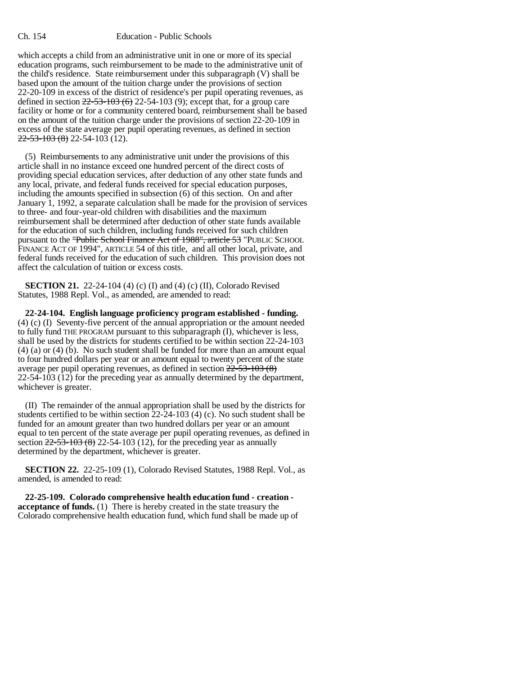### Ch. 154 Education - Public Schools

which accepts a child from an administrative unit in one or more of its special education programs, such reimbursement to be made to the administrative unit of the child's residence. State reimbursement under this subparagraph (V) shall be based upon the amount of the tuition charge under the provisions of section 22-20-109 in excess of the district of residence's per pupil operating revenues, as defined in section  $22-53-103(6)$  22-54-103 (9); except that, for a group care facility or home or for a community centered board, reimbursement shall be based on the amount of the tuition charge under the provisions of section 22-20-109 in excess of the state average per pupil operating revenues, as defined in section  $22 - 53 - 103 (8) 22 - 54 - 103 (12)$ .

(5) Reimbursements to any administrative unit under the provisions of this article shall in no instance exceed one hundred percent of the direct costs of providing special education services, after deduction of any other state funds and any local, private, and federal funds received for special education purposes, including the amounts specified in subsection (6) of this section. On and after January 1, 1992, a separate calculation shall be made for the provision of services to three- and four-year-old children with disabilities and the maximum reimbursement shall be determined after deduction of other state funds available for the education of such children, including funds received for such children pursuant to the "Public School Finance Act of 1988", article 53 "PUBLIC SCHOOL FINANCE ACT OF 1994", ARTICLE 54 of this title, and all other local, private, and federal funds received for the education of such children. This provision does not affect the calculation of tuition or excess costs.

**SECTION 21.** 22-24-104 (4) (c) (I) and (4) (c) (II), Colorado Revised Statutes, 1988 Repl. Vol., as amended, are amended to read:

**22-24-104. English language proficiency program established - funding.** (4) (c) (I) Seventy-five percent of the annual appropriation or the amount needed to fully fund THE PROGRAM pursuant to this subparagraph (I), whichever is less, shall be used by the districts for students certified to be within section 22-24-103 (4) (a) or (4) (b). No such student shall be funded for more than an amount equal to four hundred dollars per year or an amount equal to twenty percent of the state average per pupil operating revenues, as defined in section 22-53-103 (8) 22-54-103 (12) for the preceding year as annually determined by the department, whichever is greater.

(II) The remainder of the annual appropriation shall be used by the districts for students certified to be within section 22-24-103 (4) (c). No such student shall be funded for an amount greater than two hundred dollars per year or an amount equal to ten percent of the state average per pupil operating revenues, as defined in section  $22-53-103(8)$  22-54-103 (12), for the preceding year as annually determined by the department, whichever is greater.

**SECTION 22.** 22-25-109 (1), Colorado Revised Statutes, 1988 Repl. Vol., as amended, is amended to read:

**22-25-109. Colorado comprehensive health education fund - creation acceptance of funds.** (1) There is hereby created in the state treasury the Colorado comprehensive health education fund, which fund shall be made up of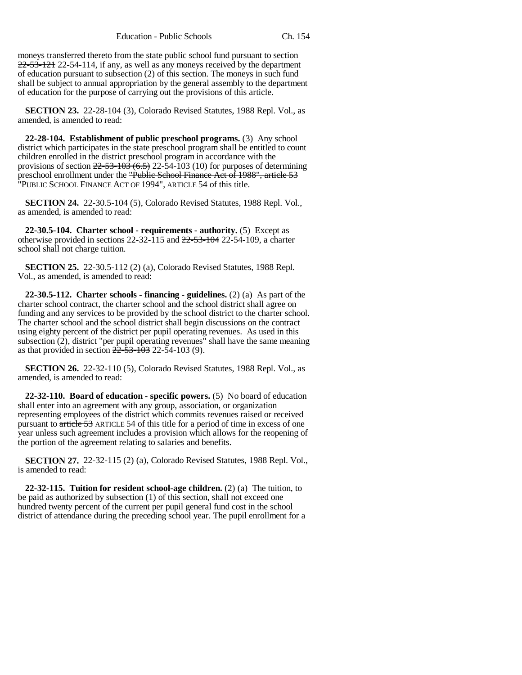moneys transferred thereto from the state public school fund pursuant to section  $22-53-121$  22-54-114, if any, as well as any moneys received by the department of education pursuant to subsection (2) of this section. The moneys in such fund shall be subject to annual appropriation by the general assembly to the department of education for the purpose of carrying out the provisions of this article.

**SECTION 23.** 22-28-104 (3), Colorado Revised Statutes, 1988 Repl. Vol., as amended, is amended to read:

**22-28-104. Establishment of public preschool programs.** (3) Any school district which participates in the state preschool program shall be entitled to count children enrolled in the district preschool program in accordance with the provisions of section  $22-53-103(6.5)$   $22-54-103(10)$  for purposes of determining preschool enrollment under the "<del>Public School Finance Act of 1988", article 53</del> "PUBLIC SCHOOL FINANCE ACT OF 1994", ARTICLE 54 of this title.

**SECTION 24.** 22-30.5-104 (5), Colorado Revised Statutes, 1988 Repl. Vol., as amended, is amended to read:

**22-30.5-104. Charter school - requirements - authority.** (5) Except as otherwise provided in sections 22-32-115 and 22-53-104 22-54-109, a charter school shall not charge tuition.

**SECTION 25.** 22-30.5-112 (2) (a), Colorado Revised Statutes, 1988 Repl. Vol., as amended, is amended to read:

**22-30.5-112. Charter schools - financing - guidelines.** (2) (a) As part of the charter school contract, the charter school and the school district shall agree on funding and any services to be provided by the school district to the charter school. The charter school and the school district shall begin discussions on the contract using eighty percent of the district per pupil operating revenues. As used in this subsection (2), district "per pupil operating revenues" shall have the same meaning as that provided in section  $2\overline{2}$ -53-103 22-54-103 (9).

**SECTION 26.** 22-32-110 (5), Colorado Revised Statutes, 1988 Repl. Vol., as amended, is amended to read:

**22-32-110. Board of education - specific powers.** (5) No board of education shall enter into an agreement with any group, association, or organization representing employees of the district which commits revenues raised or received pursuant to article 53 ARTICLE 54 of this title for a period of time in excess of one year unless such agreement includes a provision which allows for the reopening of the portion of the agreement relating to salaries and benefits.

**SECTION 27.** 22-32-115 (2) (a), Colorado Revised Statutes, 1988 Repl. Vol., is amended to read:

**22-32-115. Tuition for resident school-age children.** (2) (a) The tuition, to be paid as authorized by subsection (1) of this section, shall not exceed one hundred twenty percent of the current per pupil general fund cost in the school district of attendance during the preceding school year. The pupil enrollment for a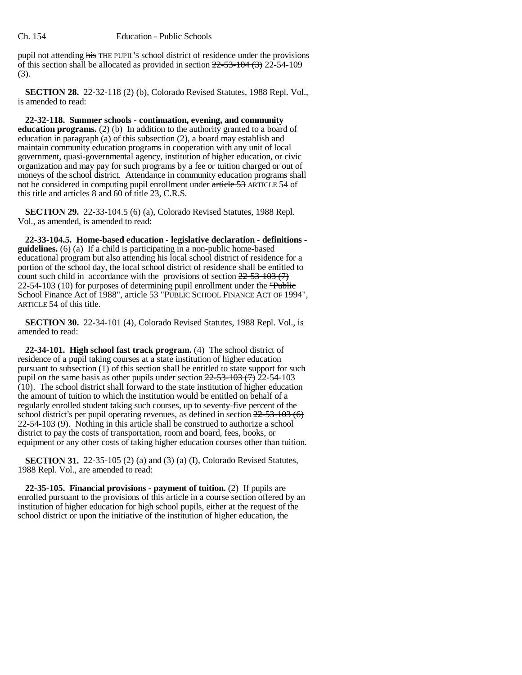pupil not attending his THE PUPIL'S school district of residence under the provisions of this section shall be allocated as provided in section  $22-53-104$   $(3)$  22-54-109 (3).

**SECTION 28.** 22-32-118 (2) (b), Colorado Revised Statutes, 1988 Repl. Vol., is amended to read:

**22-32-118. Summer schools - continuation, evening, and community education programs.** (2) (b) In addition to the authority granted to a board of education in paragraph (a) of this subsection (2), a board may establish and maintain community education programs in cooperation with any unit of local government, quasi-governmental agency, institution of higher education, or civic organization and may pay for such programs by a fee or tuition charged or out of moneys of the school district. Attendance in community education programs shall not be considered in computing pupil enrollment under article 53 ARTICLE 54 of this title and articles 8 and 60 of title 23, C.R.S.

**SECTION 29.** 22-33-104.5 (6) (a), Colorado Revised Statutes, 1988 Repl. Vol., as amended, is amended to read:

**22-33-104.5. Home-based education - legislative declaration - definitions guidelines.** (6) (a) If a child is participating in a non-public home-based educational program but also attending his local school district of residence for a portion of the school day, the local school district of residence shall be entitled to count such child in accordance with the provisions of section  $22-53-103$  (7) 22-54-103 (10) for purposes of determining pupil enrollment under the "Public School Finance Act of 1988", article 53 "PUBLIC SCHOOL FINANCE ACT OF 1994", ARTICLE 54 of this title.

**SECTION 30.** 22-34-101 (4), Colorado Revised Statutes, 1988 Repl. Vol., is amended to read:

**22-34-101. High school fast track program.** (4) The school district of residence of a pupil taking courses at a state institution of higher education pursuant to subsection  $(1)$  of this section shall be entitled to state support for such pupil on the same basis as other pupils under section  $22-53-103$  (7) 22-54-103  $(10)$ . The school district shall forward to the state institution of higher education the amount of tuition to which the institution would be entitled on behalf of a regularly enrolled student taking such courses, up to seventy-five percent of the school district's per pupil operating revenues, as defined in section  $22-53-103(6)$ 22-54-103 (9). Nothing in this article shall be construed to authorize a school district to pay the costs of transportation, room and board, fees, books, or equipment or any other costs of taking higher education courses other than tuition.

**SECTION 31.** 22-35-105 (2) (a) and (3) (a) (I), Colorado Revised Statutes, 1988 Repl. Vol., are amended to read:

**22-35-105. Financial provisions - payment of tuition.** (2) If pupils are enrolled pursuant to the provisions of this article in a course section offered by an institution of higher education for high school pupils, either at the request of the school district or upon the initiative of the institution of higher education, the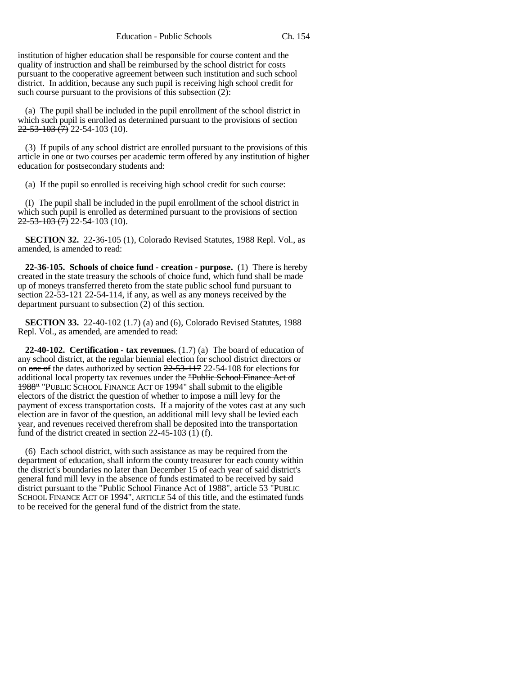institution of higher education shall be responsible for course content and the quality of instruction and shall be reimbursed by the school district for costs pursuant to the cooperative agreement between such institution and such school district. In addition, because any such pupil is receiving high school credit for such course pursuant to the provisions of this subsection (2):

(a) The pupil shall be included in the pupil enrollment of the school district in which such pupil is enrolled as determined pursuant to the provisions of section  $22 - 53 - 103$   $\overline{(7)}$  22-54-103 (10).

(3) If pupils of any school district are enrolled pursuant to the provisions of this article in one or two courses per academic term offered by any institution of higher education for postsecondary students and:

(a) If the pupil so enrolled is receiving high school credit for such course:

(I) The pupil shall be included in the pupil enrollment of the school district in which such pupil is enrolled as determined pursuant to the provisions of section  $22 - 53 - 103$   $\overline{(7)}$  22-54-103 (10).

**SECTION 32.** 22-36-105 (1), Colorado Revised Statutes, 1988 Repl. Vol., as amended, is amended to read:

**22-36-105. Schools of choice fund - creation - purpose.** (1) There is hereby created in the state treasury the schools of choice fund, which fund shall be made up of moneys transferred thereto from the state public school fund pursuant to section  $22-53-121$  22-54-114, if any, as well as any moneys received by the department pursuant to subsection (2) of this section.

**SECTION 33.** 22-40-102 (1.7) (a) and (6), Colorado Revised Statutes, 1988 Repl. Vol., as amended, are amended to read:

**22-40-102. Certification - tax revenues.** (1.7) (a) The board of education of any school district, at the regular biennial election for school district directors or on one of the dates authorized by section 22-53-117 22-54-108 for elections for additional local property tax revenues under the "Public School Finance Act of 1988" "PUBLIC SCHOOL FINANCE ACT OF 1994" shall submit to the eligible electors of the district the question of whether to impose a mill levy for the payment of excess transportation costs. If a majority of the votes cast at any such election are in favor of the question, an additional mill levy shall be levied each year, and revenues received therefrom shall be deposited into the transportation fund of the district created in section  $22-45-103$  (1) (f).

(6) Each school district, with such assistance as may be required from the department of education, shall inform the county treasurer for each county within the district's boundaries no later than December 15 of each year of said district's general fund mill levy in the absence of funds estimated to be received by said district pursuant to the "Public School Finance Act of 1988", article 53 "PUBLIC SCHOOL FINANCE ACT OF 1994", ARTICLE 54 of this title, and the estimated funds to be received for the general fund of the district from the state.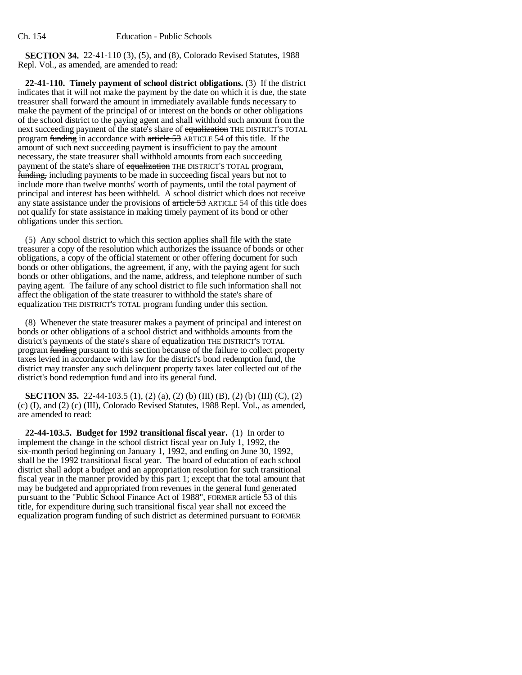**SECTION 34.** 22-41-110 (3), (5), and (8), Colorado Revised Statutes, 1988 Repl. Vol., as amended, are amended to read:

**22-41-110. Timely payment of school district obligations.** (3) If the district indicates that it will not make the payment by the date on which it is due, the state treasurer shall forward the amount in immediately available funds necessary to make the payment of the principal of or interest on the bonds or other obligations of the school district to the paying agent and shall withhold such amount from the next succeeding payment of the state's share of equalization THE DISTRICT'S TOTAL program funding in accordance with article 53 ARTICLE 54 of this title. If the amount of such next succeeding payment is insufficient to pay the amount necessary, the state treasurer shall withhold amounts from each succeeding payment of the state's share of equalization THE DISTRICT'S TOTAL program, funding, including payments to be made in succeeding fiscal years but not to include more than twelve months' worth of payments, until the total payment of principal and interest has been withheld. A school district which does not receive any state assistance under the provisions of article 53 ARTICLE 54 of this title does not qualify for state assistance in making timely payment of its bond or other obligations under this section.

(5) Any school district to which this section applies shall file with the state treasurer a copy of the resolution which authorizes the issuance of bonds or other obligations, a copy of the official statement or other offering document for such bonds or other obligations, the agreement, if any, with the paying agent for such bonds or other obligations, and the name, address, and telephone number of such paying agent. The failure of any school district to file such information shall not affect the obligation of the state treasurer to withhold the state's share of equalization THE DISTRICT'S TOTAL program funding under this section.

(8) Whenever the state treasurer makes a payment of principal and interest on bonds or other obligations of a school district and withholds amounts from the district's payments of the state's share of equalization THE DISTRICT'S TOTAL program funding pursuant to this section because of the failure to collect property taxes levied in accordance with law for the district's bond redemption fund, the district may transfer any such delinquent property taxes later collected out of the district's bond redemption fund and into its general fund.

**SECTION 35.** 22-44-103.5 (1), (2) (a), (2) (b) (III) (B), (2) (b) (III) (C), (2) (c) (I), and (2) (c) (III), Colorado Revised Statutes, 1988 Repl. Vol., as amended, are amended to read:

**22-44-103.5. Budget for 1992 transitional fiscal year.** (1) In order to implement the change in the school district fiscal year on July 1, 1992, the six-month period beginning on January 1, 1992, and ending on June 30, 1992, shall be the 1992 transitional fiscal year. The board of education of each school district shall adopt a budget and an appropriation resolution for such transitional fiscal year in the manner provided by this part 1; except that the total amount that may be budgeted and appropriated from revenues in the general fund generated pursuant to the "Public School Finance Act of 1988", FORMER article 53 of this title, for expenditure during such transitional fiscal year shall not exceed the equalization program funding of such district as determined pursuant to FORMER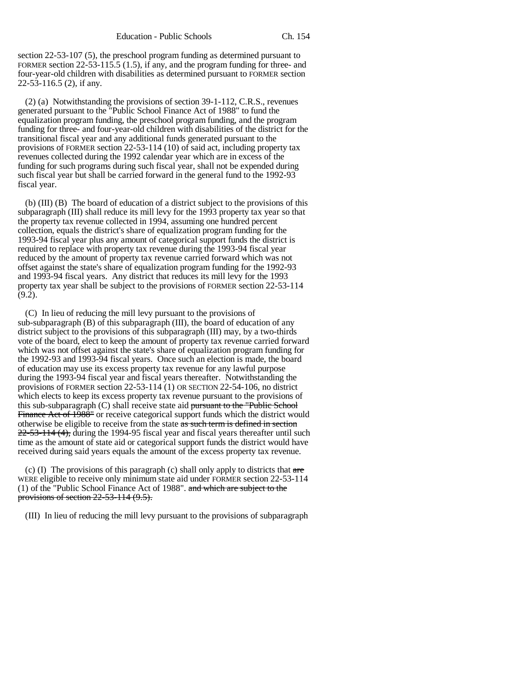section 22-53-107 (5), the preschool program funding as determined pursuant to FORMER section 22-53-115.5 (1.5), if any, and the program funding for three- and four-year-old children with disabilities as determined pursuant to FORMER section 22-53-116.5 (2), if any.

(2) (a) Notwithstanding the provisions of section 39-1-112, C.R.S., revenues generated pursuant to the "Public School Finance Act of 1988" to fund the equalization program funding, the preschool program funding, and the program funding for three- and four-year-old children with disabilities of the district for the transitional fiscal year and any additional funds generated pursuant to the provisions of FORMER section 22-53-114 (10) of said act, including property tax revenues collected during the 1992 calendar year which are in excess of the funding for such programs during such fiscal year, shall not be expended during such fiscal year but shall be carried forward in the general fund to the 1992-93 fiscal year.

(b) (III) (B) The board of education of a district subject to the provisions of this subparagraph (III) shall reduce its mill levy for the 1993 property tax year so that the property tax revenue collected in 1994, assuming one hundred percent collection, equals the district's share of equalization program funding for the 1993-94 fiscal year plus any amount of categorical support funds the district is required to replace with property tax revenue during the 1993-94 fiscal year reduced by the amount of property tax revenue carried forward which was not offset against the state's share of equalization program funding for the 1992-93 and 1993-94 fiscal years. Any district that reduces its mill levy for the 1993 property tax year shall be subject to the provisions of FORMER section 22-53-114  $(9.2)$ .

(C) In lieu of reducing the mill levy pursuant to the provisions of sub-subparagraph (B) of this subparagraph (III), the board of education of any district subject to the provisions of this subparagraph (III) may, by a two-thirds vote of the board, elect to keep the amount of property tax revenue carried forward which was not offset against the state's share of equalization program funding for the 1992-93 and 1993-94 fiscal years. Once such an election is made, the board of education may use its excess property tax revenue for any lawful purpose during the 1993-94 fiscal year and fiscal years thereafter. Notwithstanding the provisions of FORMER section 22-53-114 (1) OR SECTION 22-54-106, no district which elects to keep its excess property tax revenue pursuant to the provisions of this sub-subparagraph (C) shall receive state aid pursuant to the "Public School" Finance Act of 1988" or receive categorical support funds which the district would otherwise be eligible to receive from the state as such term is defined in section 22-53-114 (4), during the 1994-95 fiscal year and fiscal years thereafter until such time as the amount of state aid or categorical support funds the district would have received during said years equals the amount of the excess property tax revenue.

(c) (I) The provisions of this paragraph (c) shall only apply to districts that  $are$ WERE eligible to receive only minimum state aid under FORMER section 22-53-114 (1) of the "Public School Finance Act of 1988". and which are subject to the provisions of section 22-53-114 (9.5).

(III) In lieu of reducing the mill levy pursuant to the provisions of subparagraph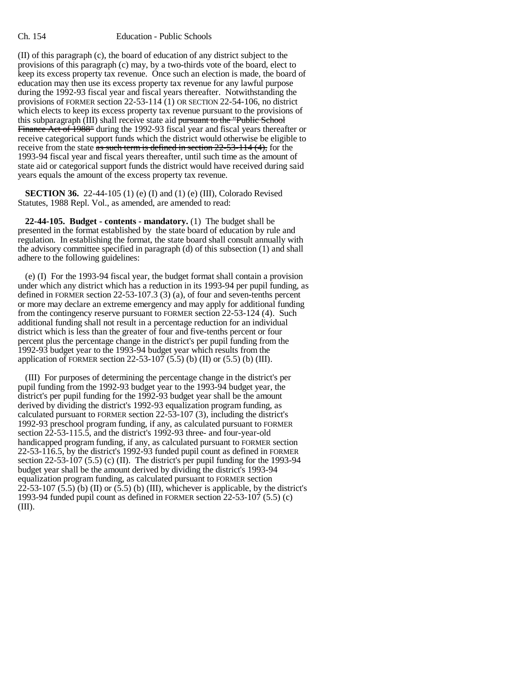(II) of this paragraph (c), the board of education of any district subject to the provisions of this paragraph (c) may, by a two-thirds vote of the board, elect to keep its excess property tax revenue. Once such an election is made, the board of education may then use its excess property tax revenue for any lawful purpose during the 1992-93 fiscal year and fiscal years thereafter. Notwithstanding the provisions of FORMER section 22-53-114 (1) OR SECTION 22-54-106, no district which elects to keep its excess property tax revenue pursuant to the provisions of this subparagraph (III) shall receive state aid pursuant to the "Public School Finance Act of 1988" during the 1992-93 fiscal year and fiscal years thereafter or receive categorical support funds which the district would otherwise be eligible to receive from the state as such term is defined in section  $22-53-114$  (4), for the 1993-94 fiscal year and fiscal years thereafter, until such time as the amount of state aid or categorical support funds the district would have received during said years equals the amount of the excess property tax revenue.

**SECTION 36.** 22-44-105 (1) (e) (I) and (1) (e) (III), Colorado Revised Statutes, 1988 Repl. Vol., as amended, are amended to read:

**22-44-105. Budget - contents - mandatory.** (1) The budget shall be presented in the format established by the state board of education by rule and regulation. In establishing the format, the state board shall consult annually with the advisory committee specified in paragraph (d) of this subsection (1) and shall adhere to the following guidelines:

(e) (I) For the 1993-94 fiscal year, the budget format shall contain a provision under which any district which has a reduction in its 1993-94 per pupil funding, as defined in FORMER section 22-53-107.3 (3) (a), of four and seven-tenths percent or more may declare an extreme emergency and may apply for additional funding from the contingency reserve pursuant to FORMER section 22-53-124 (4). Such additional funding shall not result in a percentage reduction for an individual district which is less than the greater of four and five-tenths percent or four percent plus the percentage change in the district's per pupil funding from the 1992-93 budget year to the 1993-94 budget year which results from the application of FORMER section 22-53-107 (5.5) (b) (II) or  $(5.5)$  (b) (III).

(III) For purposes of determining the percentage change in the district's per pupil funding from the 1992-93 budget year to the 1993-94 budget year, the district's per pupil funding for the 1992-93 budget year shall be the amount derived by dividing the district's 1992-93 equalization program funding, as calculated pursuant to FORMER section 22-53-107 (3), including the district's 1992-93 preschool program funding, if any, as calculated pursuant to FORMER section 22-53-115.5, and the district's 1992-93 three- and four-year-old handicapped program funding, if any, as calculated pursuant to FORMER section 22-53-116.5, by the district's 1992-93 funded pupil count as defined in FORMER section  $22-53-107(5.5)$  (c) (II). The district's per pupil funding for the 1993-94 budget year shall be the amount derived by dividing the district's 1993-94 equalization program funding, as calculated pursuant to FORMER section  $22-53-107(5.5)$  (b) (II) or  $(5.5)$  (b) (III), whichever is applicable, by the district's 1993-94 funded pupil count as defined in FORMER section 22-53-107 (5.5) (c) (III).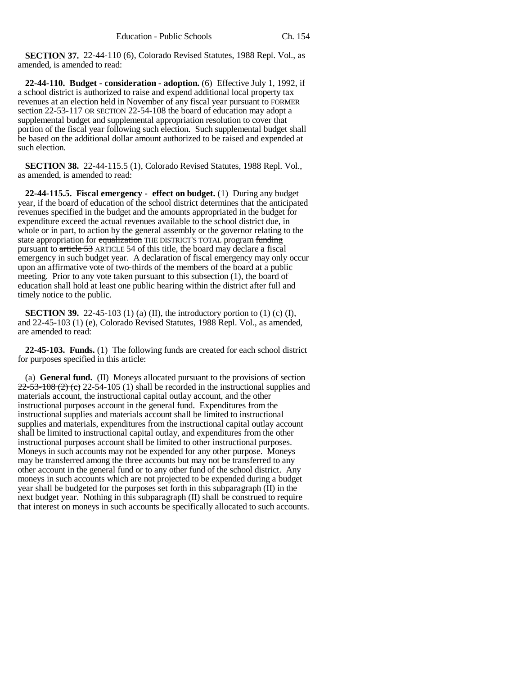**SECTION 37.** 22-44-110 (6), Colorado Revised Statutes, 1988 Repl. Vol., as amended, is amended to read:

**22-44-110. Budget - consideration - adoption.** (6) Effective July 1, 1992, if a school district is authorized to raise and expend additional local property tax revenues at an election held in November of any fiscal year pursuant to FORMER section 22-53-117 OR SECTION 22-54-108 the board of education may adopt a supplemental budget and supplemental appropriation resolution to cover that portion of the fiscal year following such election. Such supplemental budget shall be based on the additional dollar amount authorized to be raised and expended at such election.

**SECTION 38.** 22-44-115.5 (1), Colorado Revised Statutes, 1988 Repl. Vol., as amended, is amended to read:

**22-44-115.5. Fiscal emergency - effect on budget.** (1) During any budget year, if the board of education of the school district determines that the anticipated revenues specified in the budget and the amounts appropriated in the budget for expenditure exceed the actual revenues available to the school district due, in whole or in part, to action by the general assembly or the governor relating to the state appropriation for equalization THE DISTRICT'S TOTAL program funding pursuant to article 53 ARTICLE 54 of this title, the board may declare a fiscal emergency in such budget year. A declaration of fiscal emergency may only occur upon an affirmative vote of two-thirds of the members of the board at a public meeting. Prior to any vote taken pursuant to this subsection (1), the board of education shall hold at least one public hearing within the district after full and timely notice to the public.

**SECTION 39.** 22-45-103 (1) (a) (II), the introductory portion to (1) (c) (I), and 22-45-103 (1) (e), Colorado Revised Statutes, 1988 Repl. Vol., as amended, are amended to read:

**22-45-103. Funds.** (1) The following funds are created for each school district for purposes specified in this article:

(a) **General fund.** (II) Moneys allocated pursuant to the provisions of section  $22-53-108$  (2) (e) 22-54-105 (1) shall be recorded in the instructional supplies and materials account, the instructional capital outlay account, and the other instructional purposes account in the general fund. Expenditures from the instructional supplies and materials account shall be limited to instructional supplies and materials, expenditures from the instructional capital outlay account shall be limited to instructional capital outlay, and expenditures from the other instructional purposes account shall be limited to other instructional purposes. Moneys in such accounts may not be expended for any other purpose. Moneys may be transferred among the three accounts but may not be transferred to any other account in the general fund or to any other fund of the school district. Any moneys in such accounts which are not projected to be expended during a budget year shall be budgeted for the purposes set forth in this subparagraph (II) in the next budget year. Nothing in this subparagraph (II) shall be construed to require that interest on moneys in such accounts be specifically allocated to such accounts.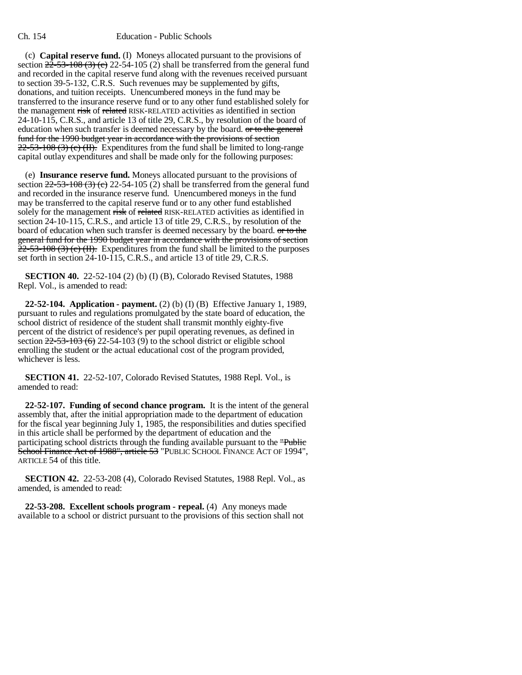### Ch. 154 Education - Public Schools

(c) **Capital reserve fund.** (I) Moneys allocated pursuant to the provisions of section  $2\overline{2}$ -53-108 (3) (c) 22-54-105 (2) shall be transferred from the general fund and recorded in the capital reserve fund along with the revenues received pursuant to section 39-5-132, C.R.S. Such revenues may be supplemented by gifts, donations, and tuition receipts. Unencumbered moneys in the fund may be transferred to the insurance reserve fund or to any other fund established solely for the management risk of related RISK-RELATED activities as identified in section 24-10-115, C.R.S., and article 13 of title 29, C.R.S., by resolution of the board of education when such transfer is deemed necessary by the board. or to the general fund for the 1990 budget year in accordance with the provisions of section  $22-53-108$  (3) (e) (H). Expenditures from the fund shall be limited to long-range capital outlay expenditures and shall be made only for the following purposes:

(e) **Insurance reserve fund.** Moneys allocated pursuant to the provisions of section  $22-53-108(3)$  (c) 22-54-105 (2) shall be transferred from the general fund and recorded in the insurance reserve fund. Unencumbered moneys in the fund may be transferred to the capital reserve fund or to any other fund established solely for the management risk of related RISK-RELATED activities as identified in section 24-10-115, C.R.S., and article 13 of title 29, C.R.S., by resolution of the board of education when such transfer is deemed necessary by the board. or to the general fund for the 1990 budget year in accordance with the provisions of section  $22-53-108$  (3) (e) (II). Expenditures from the fund shall be limited to the purposes set forth in section 24-10-115, C.R.S., and article 13 of title 29, C.R.S.

**SECTION 40.** 22-52-104 (2) (b) (I) (B), Colorado Revised Statutes, 1988 Repl. Vol., is amended to read:

**22-52-104. Application - payment.** (2) (b) (I) (B) Effective January 1, 1989, pursuant to rules and regulations promulgated by the state board of education, the school district of residence of the student shall transmit monthly eighty-five percent of the district of residence's per pupil operating revenues, as defined in section  $22-53-103$  (6) 22-54-103 (9) to the school district or eligible school enrolling the student or the actual educational cost of the program provided, whichever is less.

**SECTION 41.** 22-52-107, Colorado Revised Statutes, 1988 Repl. Vol., is amended to read:

**22-52-107. Funding of second chance program.** It is the intent of the general assembly that, after the initial appropriation made to the department of education for the fiscal year beginning July 1, 1985, the responsibilities and duties specified in this article shall be performed by the department of education and the participating school districts through the funding available pursuant to the "Public School Finance Act of 1988", article 53 "PUBLIC SCHOOL FINANCE ACT OF 1994", ARTICLE 54 of this title.

**SECTION 42.** 22-53-208 (4), Colorado Revised Statutes, 1988 Repl. Vol., as amended, is amended to read:

**22-53-208. Excellent schools program - repeal.** (4) Any moneys made available to a school or district pursuant to the provisions of this section shall not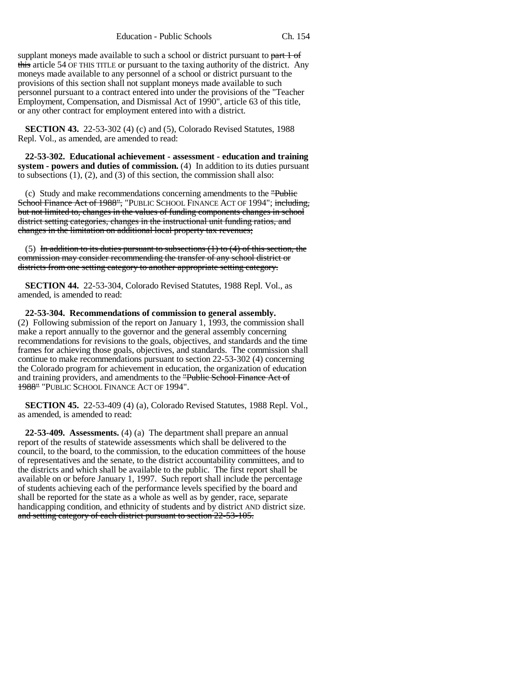Education - Public Schools Ch. 154

supplant moneys made available to such a school or district pursuant to part 1 of this article 54 OF THIS TITLE or pursuant to the taxing authority of the district. Any moneys made available to any personnel of a school or district pursuant to the provisions of this section shall not supplant moneys made available to such personnel pursuant to a contract entered into under the provisions of the "Teacher Employment, Compensation, and Dismissal Act of 1990", article 63 of this title, or any other contract for employment entered into with a district.

**SECTION 43.** 22-53-302 (4) (c) and (5), Colorado Revised Statutes, 1988 Repl. Vol., as amended, are amended to read:

**22-53-302. Educational achievement - assessment - education and training system - powers and duties of commission.** (4) In addition to its duties pursuant to subsections (1), (2), and (3) of this section, the commission shall also:

(c) Study and make recommendations concerning amendments to the "Public School Finance Act of 1988", "PUBLIC SCHOOL FINANCE ACT OF 1994"; including, but not limited to, changes in the values of funding components changes in school district setting categories, changes in the instructional unit funding ratios, and changes in the limitation on additional local property tax revenues;

(5) In addition to its duties pursuant to subsections  $(1)$  to  $(4)$  of this section, the commission may consider recommending the transfer of any school district or districts from one setting category to another appropriate setting category.

**SECTION 44.** 22-53-304, Colorado Revised Statutes, 1988 Repl. Vol., as amended, is amended to read:

**22-53-304. Recommendations of commission to general assembly.** (2) Following submission of the report on January 1, 1993, the commission shall make a report annually to the governor and the general assembly concerning recommendations for revisions to the goals, objectives, and standards and the time frames for achieving those goals, objectives, and standards. The commission shall continue to make recommendations pursuant to section 22-53-302 (4) concerning the Colorado program for achievement in education, the organization of education and training providers, and amendments to the "Public School Finance Act of 1988" "PUBLIC SCHOOL FINANCE ACT OF 1994".

**SECTION 45.** 22-53-409 (4) (a), Colorado Revised Statutes, 1988 Repl. Vol., as amended, is amended to read:

**22-53-409. Assessments.** (4) (a) The department shall prepare an annual report of the results of statewide assessments which shall be delivered to the council, to the board, to the commission, to the education committees of the house of representatives and the senate, to the district accountability committees, and to the districts and which shall be available to the public. The first report shall be available on or before January 1, 1997. Such report shall include the percentage of students achieving each of the performance levels specified by the board and shall be reported for the state as a whole as well as by gender, race, separate handicapping condition, and ethnicity of students and by district AND district size. and setting category of each district pursuant to section 22-53-105.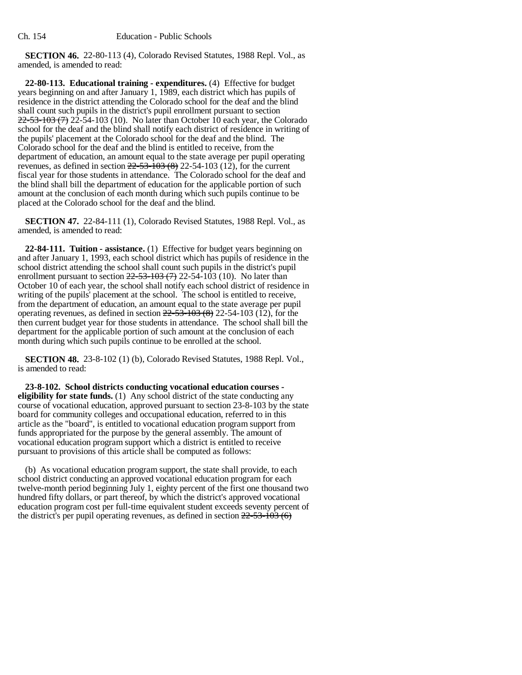**SECTION 46.** 22-80-113 (4), Colorado Revised Statutes, 1988 Repl. Vol., as amended, is amended to read:

**22-80-113. Educational training - expenditures.** (4) Effective for budget years beginning on and after January 1, 1989, each district which has pupils of residence in the district attending the Colorado school for the deaf and the blind shall count such pupils in the district's pupil enrollment pursuant to section  $22-53-103$  (7) 22-54-103 (10). No later than October 10 each year, the Colorado school for the deaf and the blind shall notify each district of residence in writing of the pupils' placement at the Colorado school for the deaf and the blind. The Colorado school for the deaf and the blind is entitled to receive, from the department of education, an amount equal to the state average per pupil operating revenues, as defined in section  $22-53-103(8)$  22-54-103 (12), for the current fiscal year for those students in attendance. The Colorado school for the deaf and the blind shall bill the department of education for the applicable portion of such amount at the conclusion of each month during which such pupils continue to be placed at the Colorado school for the deaf and the blind.

**SECTION 47.** 22-84-111 (1), Colorado Revised Statutes, 1988 Repl. Vol., as amended, is amended to read:

**22-84-111. Tuition - assistance.** (1) Effective for budget years beginning on and after January 1, 1993, each school district which has pupils of residence in the school district attending the school shall count such pupils in the district's pupil enrollment pursuant to section  $22-53-103$  (7) 22-54-103 (10). No later than October 10 of each year, the school shall notify each school district of residence in writing of the pupils' placement at the school. The school is entitled to receive, from the department of education, an amount equal to the state average per pupil operating revenues, as defined in section  $22-53-103(8)$  22-54-103 (12), for the then current budget year for those students in attendance. The school shall bill the department for the applicable portion of such amount at the conclusion of each month during which such pupils continue to be enrolled at the school.

**SECTION 48.** 23-8-102 (1) (b), Colorado Revised Statutes, 1988 Repl. Vol., is amended to read:

**23-8-102. School districts conducting vocational education courses eligibility for state funds.** (1) Any school district of the state conducting any course of vocational education, approved pursuant to section 23-8-103 by the state board for community colleges and occupational education, referred to in this article as the "board", is entitled to vocational education program support from funds appropriated for the purpose by the general assembly. The amount of vocational education program support which a district is entitled to receive pursuant to provisions of this article shall be computed as follows:

(b) As vocational education program support, the state shall provide, to each school district conducting an approved vocational education program for each twelve-month period beginning July 1, eighty percent of the first one thousand two hundred fifty dollars, or part thereof, by which the district's approved vocational education program cost per full-time equivalent student exceeds seventy percent of the district's per pupil operating revenues, as defined in section  $22-53-103(6)$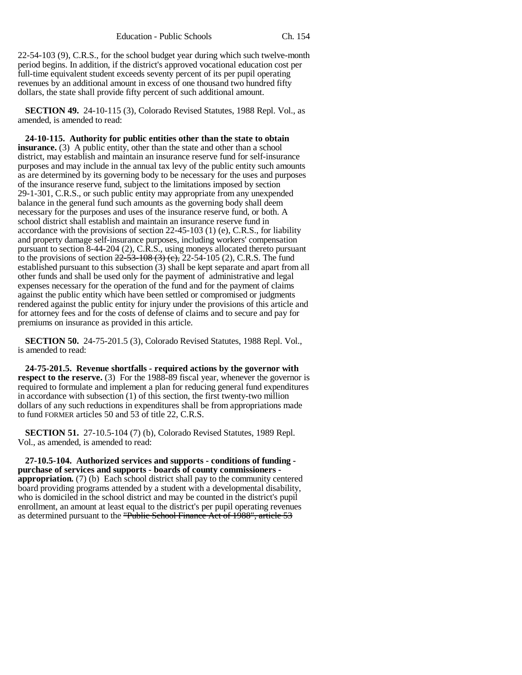22-54-103 (9), C.R.S., for the school budget year during which such twelve-month period begins. In addition, if the district's approved vocational education cost per full-time equivalent student exceeds seventy percent of its per pupil operating revenues by an additional amount in excess of one thousand two hundred fifty dollars, the state shall provide fifty percent of such additional amount.

**SECTION 49.** 24-10-115 (3), Colorado Revised Statutes, 1988 Repl. Vol., as amended, is amended to read:

**24-10-115. Authority for public entities other than the state to obtain insurance.** (3) A public entity, other than the state and other than a school district, may establish and maintain an insurance reserve fund for self-insurance purposes and may include in the annual tax levy of the public entity such amounts as are determined by its governing body to be necessary for the uses and purposes of the insurance reserve fund, subject to the limitations imposed by section 29-1-301, C.R.S., or such public entity may appropriate from any unexpended balance in the general fund such amounts as the governing body shall deem necessary for the purposes and uses of the insurance reserve fund, or both. A school district shall establish and maintain an insurance reserve fund in accordance with the provisions of section 22-45-103 (1) (e), C.R.S., for liability and property damage self-insurance purposes, including workers' compensation pursuant to section 8-44-204 (2), C.R.S., using moneys allocated thereto pursuant to the provisions of section  $22-53-108$  (3) (c), 22-54-105 (2), C.R.S. The fund established pursuant to this subsection (3) shall be kept separate and apart from all other funds and shall be used only for the payment of administrative and legal expenses necessary for the operation of the fund and for the payment of claims against the public entity which have been settled or compromised or judgments rendered against the public entity for injury under the provisions of this article and for attorney fees and for the costs of defense of claims and to secure and pay for premiums on insurance as provided in this article.

**SECTION 50.** 24-75-201.5 (3), Colorado Revised Statutes, 1988 Repl. Vol., is amended to read:

**24-75-201.5. Revenue shortfalls - required actions by the governor with respect to the reserve.** (3) For the 1988-89 fiscal year, whenever the governor is required to formulate and implement a plan for reducing general fund expenditures in accordance with subsection (1) of this section, the first twenty-two million dollars of any such reductions in expenditures shall be from appropriations made to fund FORMER articles 50 and 53 of title 22, C.R.S.

**SECTION 51.** 27-10.5-104 (7) (b), Colorado Revised Statutes, 1989 Repl. Vol., as amended, is amended to read:

**27-10.5-104. Authorized services and supports - conditions of funding purchase of services and supports - boards of county commissioners appropriation.** (7) (b) Each school district shall pay to the community centered board providing programs attended by a student with a developmental disability, who is domiciled in the school district and may be counted in the district's pupil enrollment, an amount at least equal to the district's per pupil operating revenues as determined pursuant to the "Public School Finance Act of 1988", article 53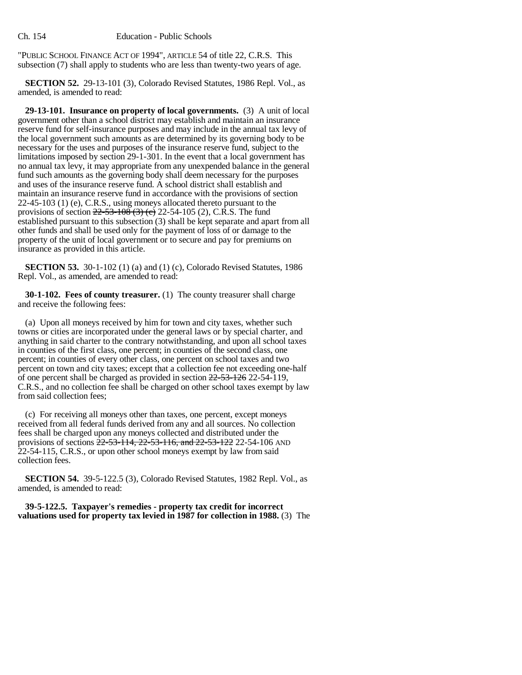"PUBLIC SCHOOL FINANCE ACT OF 1994", ARTICLE 54 of title 22, C.R.S. This subsection (7) shall apply to students who are less than twenty-two years of age.

**SECTION 52.** 29-13-101 (3), Colorado Revised Statutes, 1986 Repl. Vol., as amended, is amended to read:

**29-13-101. Insurance on property of local governments.** (3) A unit of local government other than a school district may establish and maintain an insurance reserve fund for self-insurance purposes and may include in the annual tax levy of the local government such amounts as are determined by its governing body to be necessary for the uses and purposes of the insurance reserve fund, subject to the limitations imposed by section 29-1-301. In the event that a local government has no annual tax levy, it may appropriate from any unexpended balance in the general fund such amounts as the governing body shall deem necessary for the purposes and uses of the insurance reserve fund. A school district shall establish and maintain an insurance reserve fund in accordance with the provisions of section 22-45-103 (1) (e), C.R.S., using moneys allocated thereto pursuant to the provisions of section  $22 - 53 - 108$  (3) (c) 22-54-105 (2), C.R.S. The fund established pursuant to this subsection (3) shall be kept separate and apart from all other funds and shall be used only for the payment of loss of or damage to the property of the unit of local government or to secure and pay for premiums on insurance as provided in this article.

**SECTION 53.** 30-1-102 (1) (a) and (1) (c), Colorado Revised Statutes, 1986 Repl. Vol., as amended, are amended to read:

**30-1-102. Fees of county treasurer.** (1) The county treasurer shall charge and receive the following fees:

(a) Upon all moneys received by him for town and city taxes, whether such towns or cities are incorporated under the general laws or by special charter, and anything in said charter to the contrary notwithstanding, and upon all school taxes in counties of the first class, one percent; in counties of the second class, one percent; in counties of every other class, one percent on school taxes and two percent on town and city taxes; except that a collection fee not exceeding one-half of one percent shall be charged as provided in section  $22-53-126$  22-54-119, C.R.S., and no collection fee shall be charged on other school taxes exempt by law from said collection fees;

(c) For receiving all moneys other than taxes, one percent, except moneys received from all federal funds derived from any and all sources. No collection fees shall be charged upon any moneys collected and distributed under the provisions of sections  $\frac{22-53-114}{22-53-116}$ , and  $22-53-122$  22-54-106 AND 22-54-115, C.R.S., or upon other school moneys exempt by law from said collection fees.

**SECTION 54.** 39-5-122.5 (3), Colorado Revised Statutes, 1982 Repl. Vol., as amended, is amended to read:

**39-5-122.5. Taxpayer's remedies - property tax credit for incorrect valuations used for property tax levied in 1987 for collection in 1988.** (3) The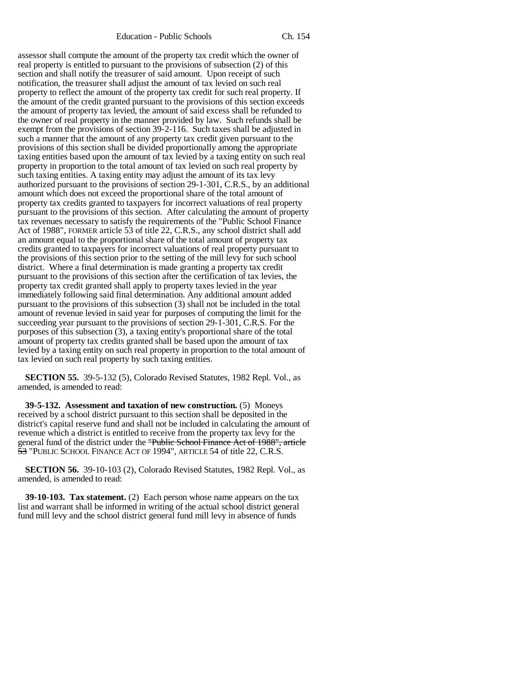Education - Public Schools Ch. 154

assessor shall compute the amount of the property tax credit which the owner of real property is entitled to pursuant to the provisions of subsection (2) of this section and shall notify the treasurer of said amount. Upon receipt of such notification, the treasurer shall adjust the amount of tax levied on such real property to reflect the amount of the property tax credit for such real property. If the amount of the credit granted pursuant to the provisions of this section exceeds the amount of property tax levied, the amount of said excess shall be refunded to the owner of real property in the manner provided by law. Such refunds shall be exempt from the provisions of section 39-2-116. Such taxes shall be adjusted in such a manner that the amount of any property tax credit given pursuant to the provisions of this section shall be divided proportionally among the appropriate taxing entities based upon the amount of tax levied by a taxing entity on such real property in proportion to the total amount of tax levied on such real property by such taxing entities. A taxing entity may adjust the amount of its tax levy authorized pursuant to the provisions of section 29-1-301, C.R.S., by an additional amount which does not exceed the proportional share of the total amount of property tax credits granted to taxpayers for incorrect valuations of real property pursuant to the provisions of this section. After calculating the amount of property tax revenues necessary to satisfy the requirements of the "Public School Finance Act of 1988", FORMER article 53 of title 22, C.R.S., any school district shall add an amount equal to the proportional share of the total amount of property tax credits granted to taxpayers for incorrect valuations of real property pursuant to the provisions of this section prior to the setting of the mill levy for such school district. Where a final determination is made granting a property tax credit pursuant to the provisions of this section after the certification of tax levies, the property tax credit granted shall apply to property taxes levied in the year immediately following said final determination. Any additional amount added pursuant to the provisions of this subsection (3) shall not be included in the total amount of revenue levied in said year for purposes of computing the limit for the succeeding year pursuant to the provisions of section 29-1-301, C.R.S. For the purposes of this subsection (3), a taxing entity's proportional share of the total amount of property tax credits granted shall be based upon the amount of tax levied by a taxing entity on such real property in proportion to the total amount of tax levied on such real property by such taxing entities.

**SECTION 55.** 39-5-132 (5), Colorado Revised Statutes, 1982 Repl. Vol., as amended, is amended to read:

**39-5-132. Assessment and taxation of new construction.** (5) Moneys received by a school district pursuant to this section shall be deposited in the district's capital reserve fund and shall not be included in calculating the amount of revenue which a district is entitled to receive from the property tax levy for the general fund of the district under the "Public School Finance Act of 1988", article 53 "PUBLIC SCHOOL FINANCE ACT OF 1994", ARTICLE 54 of title 22, C.R.S.

**SECTION 56.** 39-10-103 (2), Colorado Revised Statutes, 1982 Repl. Vol., as amended, is amended to read:

**39-10-103. Tax statement.** (2) Each person whose name appears on the tax list and warrant shall be informed in writing of the actual school district general fund mill levy and the school district general fund mill levy in absence of funds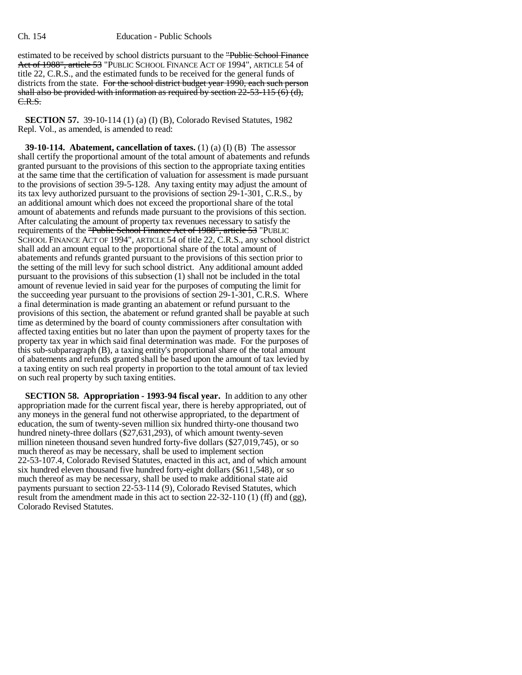#### Ch. 154 Education - Public Schools

estimated to be received by school districts pursuant to the "Public School Finance Act of 1988", article 53 "PUBLIC SCHOOL FINANCE ACT OF 1994", ARTICLE 54 of title 22, C.R.S., and the estimated funds to be received for the general funds of districts from the state. For the school district budget year 1990, each such person shall also be provided with information as required by section  $22-53-115$  (6) (d), C.R.S.

**SECTION 57.** 39-10-114 (1) (a) (I) (B), Colorado Revised Statutes, 1982 Repl. Vol., as amended, is amended to read:

**39-10-114. Abatement, cancellation of taxes.** (1) (a) (I) (B) The assessor shall certify the proportional amount of the total amount of abatements and refunds granted pursuant to the provisions of this section to the appropriate taxing entities at the same time that the certification of valuation for assessment is made pursuant to the provisions of section 39-5-128. Any taxing entity may adjust the amount of its tax levy authorized pursuant to the provisions of section 29-1-301, C.R.S., by an additional amount which does not exceed the proportional share of the total amount of abatements and refunds made pursuant to the provisions of this section. After calculating the amount of property tax revenues necessary to satisfy the requirements of the "Public School Finance Act of 1988", article 53 "PUBLIC SCHOOL FINANCE ACT OF 1994", ARTICLE 54 of title 22, C.R.S., any school district shall add an amount equal to the proportional share of the total amount of abatements and refunds granted pursuant to the provisions of this section prior to the setting of the mill levy for such school district. Any additional amount added pursuant to the provisions of this subsection (1) shall not be included in the total amount of revenue levied in said year for the purposes of computing the limit for the succeeding year pursuant to the provisions of section 29-1-301, C.R.S. Where a final determination is made granting an abatement or refund pursuant to the provisions of this section, the abatement or refund granted shall be payable at such time as determined by the board of county commissioners after consultation with affected taxing entities but no later than upon the payment of property taxes for the property tax year in which said final determination was made. For the purposes of this sub-subparagraph (B), a taxing entity's proportional share of the total amount of abatements and refunds granted shall be based upon the amount of tax levied by a taxing entity on such real property in proportion to the total amount of tax levied on such real property by such taxing entities.

**SECTION 58. Appropriation - 1993-94 fiscal year.** In addition to any other appropriation made for the current fiscal year, there is hereby appropriated, out of any moneys in the general fund not otherwise appropriated, to the department of education, the sum of twenty-seven million six hundred thirty-one thousand two hundred ninety-three dollars (\$27,631,293), of which amount twenty-seven million nineteen thousand seven hundred forty-five dollars (\$27,019,745), or so much thereof as may be necessary, shall be used to implement section 22-53-107.4, Colorado Revised Statutes, enacted in this act, and of which amount six hundred eleven thousand five hundred forty-eight dollars (\$611,548), or so much thereof as may be necessary, shall be used to make additional state aid payments pursuant to section 22-53-114 (9), Colorado Revised Statutes, which result from the amendment made in this act to section 22-32-110 (1) (ff) and (gg), Colorado Revised Statutes.